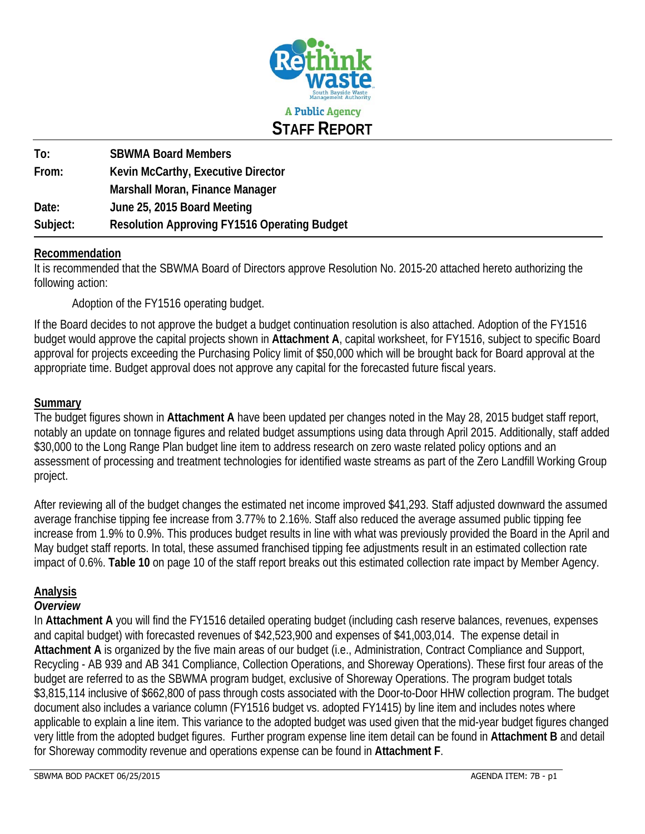

| To:      | <b>SBWMA Board Members</b>                          |
|----------|-----------------------------------------------------|
| From:    | Kevin McCarthy, Executive Director                  |
|          | Marshall Moran, Finance Manager                     |
| Date:    | June 25, 2015 Board Meeting                         |
| Subject: | <b>Resolution Approving FY1516 Operating Budget</b> |

### **Recommendation**

It is recommended that the SBWMA Board of Directors approve Resolution No. 2015-20 attached hereto authorizing the following action:

Adoption of the FY1516 operating budget.

If the Board decides to not approve the budget a budget continuation resolution is also attached. Adoption of the FY1516 budget would approve the capital projects shown in **Attachment A**, capital worksheet, for FY1516, subject to specific Board approval for projects exceeding the Purchasing Policy limit of \$50,000 which will be brought back for Board approval at the appropriate time. Budget approval does not approve any capital for the forecasted future fiscal years.

### **Summary**

The budget figures shown in **Attachment A** have been updated per changes noted in the May 28, 2015 budget staff report, notably an update on tonnage figures and related budget assumptions using data through April 2015. Additionally, staff added \$30,000 to the Long Range Plan budget line item to address research on zero waste related policy options and an assessment of processing and treatment technologies for identified waste streams as part of the Zero Landfill Working Group project.

After reviewing all of the budget changes the estimated net income improved \$41,293. Staff adjusted downward the assumed average franchise tipping fee increase from 3.77% to 2.16%. Staff also reduced the average assumed public tipping fee increase from 1.9% to 0.9%. This produces budget results in line with what was previously provided the Board in the April and May budget staff reports. In total, these assumed franchised tipping fee adjustments result in an estimated collection rate impact of 0.6%. **Table 10** on page 10 of the staff report breaks out this estimated collection rate impact by Member Agency.

### **Analysis**

### *Overview*

In **Attachment A** you will find the FY1516 detailed operating budget (including cash reserve balances, revenues, expenses and capital budget) with forecasted revenues of \$42,523,900 and expenses of \$41,003,014. The expense detail in **Attachment A** is organized by the five main areas of our budget (i.e., Administration, Contract Compliance and Support, Recycling - AB 939 and AB 341 Compliance, Collection Operations, and Shoreway Operations). These first four areas of the budget are referred to as the SBWMA program budget, exclusive of Shoreway Operations. The program budget totals \$3,815,114 inclusive of \$662,800 of pass through costs associated with the Door-to-Door HHW collection program. The budget document also includes a variance column (FY1516 budget vs. adopted FY1415) by line item and includes notes where applicable to explain a line item. This variance to the adopted budget was used given that the mid-year budget figures changed very little from the adopted budget figures. Further program expense line item detail can be found in **Attachment B** and detail for Shoreway commodity revenue and operations expense can be found in **Attachment F**.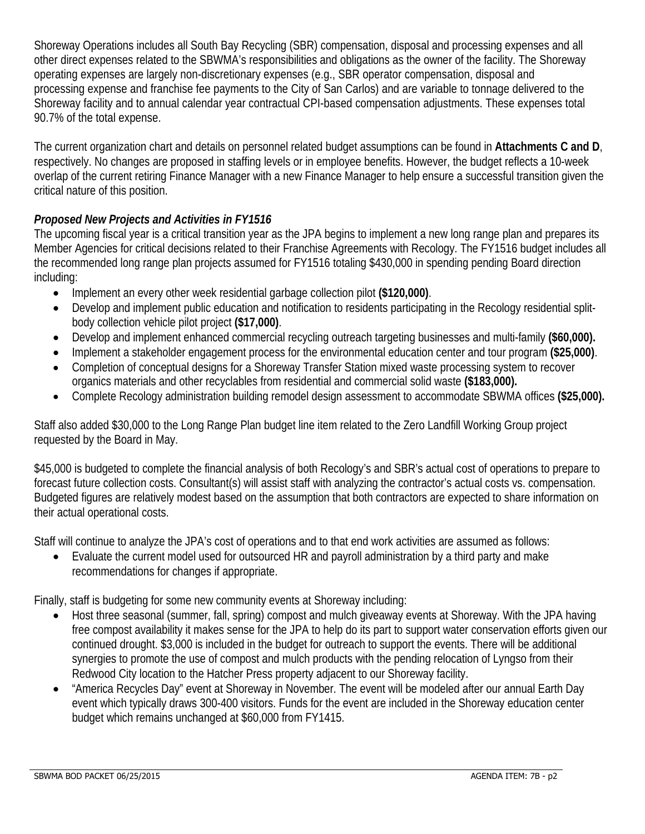Shoreway Operations includes all South Bay Recycling (SBR) compensation, disposal and processing expenses and all other direct expenses related to the SBWMA's responsibilities and obligations as the owner of the facility. The Shoreway operating expenses are largely non-discretionary expenses (e.g., SBR operator compensation, disposal and processing expense and franchise fee payments to the City of San Carlos) and are variable to tonnage delivered to the Shoreway facility and to annual calendar year contractual CPI-based compensation adjustments. These expenses total 90.7% of the total expense.

The current organization chart and details on personnel related budget assumptions can be found in **Attachments C and D**, respectively. No changes are proposed in staffing levels or in employee benefits. However, the budget reflects a 10-week overlap of the current retiring Finance Manager with a new Finance Manager to help ensure a successful transition given the critical nature of this position.

# *Proposed New Projects and Activities in FY1516*

The upcoming fiscal year is a critical transition year as the JPA begins to implement a new long range plan and prepares its Member Agencies for critical decisions related to their Franchise Agreements with Recology. The FY1516 budget includes all the recommended long range plan projects assumed for FY1516 totaling \$430,000 in spending pending Board direction including:

- Implement an every other week residential garbage collection pilot **(\$120,000)**.
- Develop and implement public education and notification to residents participating in the Recology residential splitbody collection vehicle pilot project **(\$17,000)**.
- Develop and implement enhanced commercial recycling outreach targeting businesses and multi-family **(\$60,000).**
- Implement a stakeholder engagement process for the environmental education center and tour program **(\$25,000)**.
- Completion of conceptual designs for a Shoreway Transfer Station mixed waste processing system to recover organics materials and other recyclables from residential and commercial solid waste **(\$183,000).**
- Complete Recology administration building remodel design assessment to accommodate SBWMA offices **(\$25,000).**

Staff also added \$30,000 to the Long Range Plan budget line item related to the Zero Landfill Working Group project requested by the Board in May.

\$45,000 is budgeted to complete the financial analysis of both Recology's and SBR's actual cost of operations to prepare to forecast future collection costs. Consultant(s) will assist staff with analyzing the contractor's actual costs vs. compensation. Budgeted figures are relatively modest based on the assumption that both contractors are expected to share information on their actual operational costs.

Staff will continue to analyze the JPA's cost of operations and to that end work activities are assumed as follows:

 Evaluate the current model used for outsourced HR and payroll administration by a third party and make recommendations for changes if appropriate.

Finally, staff is budgeting for some new community events at Shoreway including:

- Host three seasonal (summer, fall, spring) compost and mulch giveaway events at Shoreway. With the JPA having free compost availability it makes sense for the JPA to help do its part to support water conservation efforts given our continued drought. \$3,000 is included in the budget for outreach to support the events. There will be additional synergies to promote the use of compost and mulch products with the pending relocation of Lyngso from their Redwood City location to the Hatcher Press property adjacent to our Shoreway facility.
- "America Recycles Day" event at Shoreway in November. The event will be modeled after our annual Earth Day event which typically draws 300-400 visitors. Funds for the event are included in the Shoreway education center budget which remains unchanged at \$60,000 from FY1415.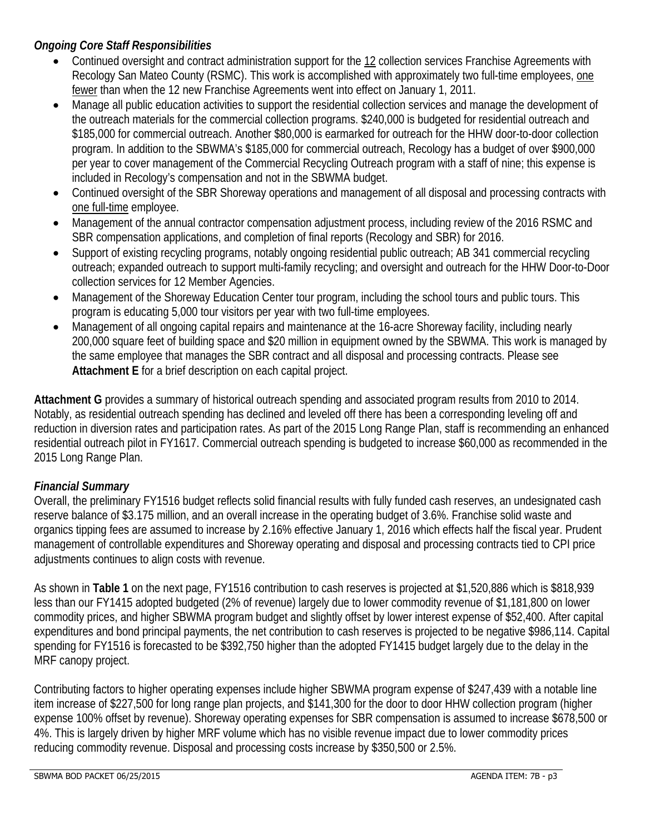### *Ongoing Core Staff Responsibilities*

- Continued oversight and contract administration support for the 12 collection services Franchise Agreements with Recology San Mateo County (RSMC). This work is accomplished with approximately two full-time employees, one fewer than when the 12 new Franchise Agreements went into effect on January 1, 2011.
- Manage all public education activities to support the residential collection services and manage the development of the outreach materials for the commercial collection programs. \$240,000 is budgeted for residential outreach and \$185,000 for commercial outreach. Another \$80,000 is earmarked for outreach for the HHW door-to-door collection program. In addition to the SBWMA's \$185,000 for commercial outreach, Recology has a budget of over \$900,000 per year to cover management of the Commercial Recycling Outreach program with a staff of nine; this expense is included in Recology's compensation and not in the SBWMA budget.
- Continued oversight of the SBR Shoreway operations and management of all disposal and processing contracts with one full-time employee.
- Management of the annual contractor compensation adjustment process, including review of the 2016 RSMC and SBR compensation applications, and completion of final reports (Recology and SBR) for 2016.
- Support of existing recycling programs, notably ongoing residential public outreach; AB 341 commercial recycling outreach; expanded outreach to support multi-family recycling; and oversight and outreach for the HHW Door-to-Door collection services for 12 Member Agencies.
- Management of the Shoreway Education Center tour program, including the school tours and public tours. This program is educating 5,000 tour visitors per year with two full-time employees.
- Management of all ongoing capital repairs and maintenance at the 16-acre Shoreway facility, including nearly 200,000 square feet of building space and \$20 million in equipment owned by the SBWMA. This work is managed by the same employee that manages the SBR contract and all disposal and processing contracts. Please see **Attachment E** for a brief description on each capital project.

**Attachment G** provides a summary of historical outreach spending and associated program results from 2010 to 2014. Notably, as residential outreach spending has declined and leveled off there has been a corresponding leveling off and reduction in diversion rates and participation rates. As part of the 2015 Long Range Plan, staff is recommending an enhanced residential outreach pilot in FY1617. Commercial outreach spending is budgeted to increase \$60,000 as recommended in the 2015 Long Range Plan.

# *Financial Summary*

Overall, the preliminary FY1516 budget reflects solid financial results with fully funded cash reserves, an undesignated cash reserve balance of \$3.175 million, and an overall increase in the operating budget of 3.6%. Franchise solid waste and organics tipping fees are assumed to increase by 2.16% effective January 1, 2016 which effects half the fiscal year. Prudent management of controllable expenditures and Shoreway operating and disposal and processing contracts tied to CPI price adjustments continues to align costs with revenue.

As shown in **Table 1** on the next page, FY1516 contribution to cash reserves is projected at \$1,520,886 which is \$818,939 less than our FY1415 adopted budgeted (2% of revenue) largely due to lower commodity revenue of \$1,181,800 on lower commodity prices, and higher SBWMA program budget and slightly offset by lower interest expense of \$52,400. After capital expenditures and bond principal payments, the net contribution to cash reserves is projected to be negative \$986,114. Capital spending for FY1516 is forecasted to be \$392,750 higher than the adopted FY1415 budget largely due to the delay in the MRF canopy project.

Contributing factors to higher operating expenses include higher SBWMA program expense of \$247,439 with a notable line item increase of \$227,500 for long range plan projects, and \$141,300 for the door to door HHW collection program (higher expense 100% offset by revenue). Shoreway operating expenses for SBR compensation is assumed to increase \$678,500 or 4%. This is largely driven by higher MRF volume which has no visible revenue impact due to lower commodity prices reducing commodity revenue. Disposal and processing costs increase by \$350,500 or 2.5%.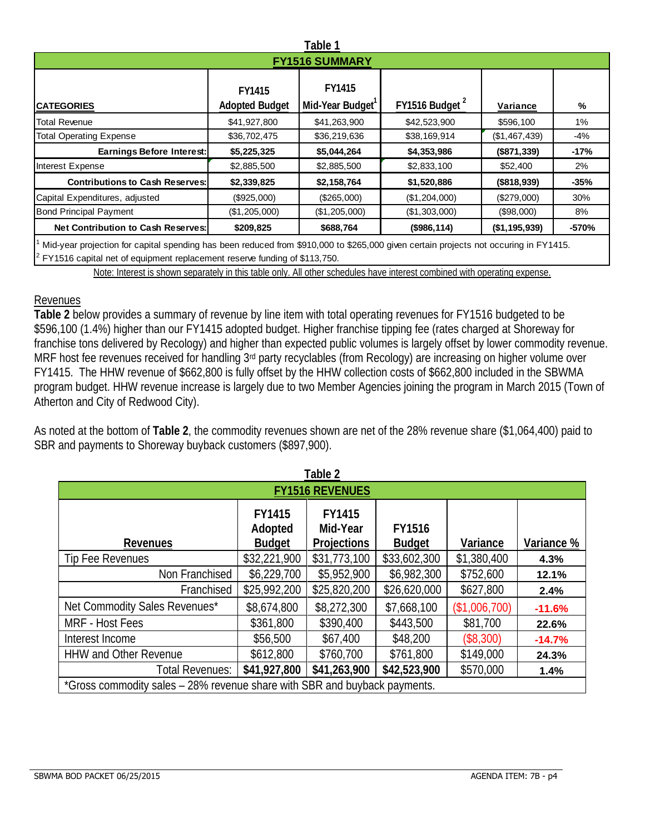| Table 1                                |                                        |                           |               |               |         |  |  |  |  |  |
|----------------------------------------|----------------------------------------|---------------------------|---------------|---------------|---------|--|--|--|--|--|
| <b>FY1516 SUMMARY</b>                  |                                        |                           |               |               |         |  |  |  |  |  |
| <b>CATEGORIES</b>                      | <b>FY1415</b><br><b>Adopted Budget</b> | FY1415<br>Mid-Year Budget | FY1516 Budget | Variance      | %       |  |  |  |  |  |
| Total Revenue                          | \$41,927,800                           | \$41,263,900              | \$42,523,900  | \$596,100     | $1\%$   |  |  |  |  |  |
| <b>Total Operating Expense</b>         | \$36,702,475                           | \$36,219,636              | \$38,169,914  | (\$1,467,439) | $-4%$   |  |  |  |  |  |
| Earnings Before Interest:              | \$5,225,325                            | \$5,044,264               | \$4,353,986   | (\$871,339)   | $-17%$  |  |  |  |  |  |
| Interest Expense                       | \$2,885,500                            | \$2,885,500               | \$2,833,100   | \$52,400      | 2%      |  |  |  |  |  |
| <b>Contributions to Cash Reserves:</b> | \$2,339,825                            | \$2,158,764               | \$1,520,886   | (\$818,939)   | $-35%$  |  |  |  |  |  |
| Capital Expenditures, adjusted         | (\$925,000)                            | (\$265,000)               | (\$1,204,000) | (\$279,000)   | 30%     |  |  |  |  |  |
| <b>Bond Principal Payment</b>          | (\$1,205,000)                          | (\$1,205,000)             | (\$1,303,000) | (\$98,000)    | 8%      |  |  |  |  |  |
| Net Contribution to Cash Reserves:     | \$209,825                              | \$688,764                 | (\$986,114)   | (\$1,195,939) | $-570%$ |  |  |  |  |  |

1 Mid-year projection for capital spending has been reduced from \$910,000 to \$265,000 given certain projects not occuring in FY1415. 2

FY1516 capital net of equipment replacement reserve funding of \$113,750.

Note: Interest is shown separately in this table only. All other schedules have interest combined with operating expense.

### Revenues

**Table 2** below provides a summary of revenue by line item with total operating revenues for FY1516 budgeted to be \$596,100 (1.4%) higher than our FY1415 adopted budget. Higher franchise tipping fee (rates charged at Shoreway for franchise tons delivered by Recology) and higher than expected public volumes is largely offset by lower commodity revenue. MRF host fee revenues received for handling 3<sup>rd</sup> party recyclables (from Recology) are increasing on higher volume over FY1415. The HHW revenue of \$662,800 is fully offset by the HHW collection costs of \$662,800 included in the SBWMA program budget. HHW revenue increase is largely due to two Member Agencies joining the program in March 2015 (Town of Atherton and City of Redwood City).

As noted at the bottom of **Table 2**, the commodity revenues shown are net of the 28% revenue share (\$1,064,400) paid to SBR and payments to Shoreway buyback customers (\$897,900).

| Table 2                                                                                                                                         |              |              |              |               |          |  |  |  |  |
|-------------------------------------------------------------------------------------------------------------------------------------------------|--------------|--------------|--------------|---------------|----------|--|--|--|--|
| <b>FY1516 REVENUES</b>                                                                                                                          |              |              |              |               |          |  |  |  |  |
| FY1415<br>FY1415<br><b>FY1516</b><br>Adopted<br>Mid-Year<br><b>Budget</b><br><b>Projections</b><br>Variance<br><b>Budget</b><br><b>Revenues</b> |              |              |              |               |          |  |  |  |  |
| Tip Fee Revenues                                                                                                                                | \$32,221,900 | \$31,773,100 | \$33,602,300 | \$1,380,400   | 4.3%     |  |  |  |  |
| Non Franchised                                                                                                                                  | \$6,229,700  | \$5,952,900  | \$6,982,300  | \$752,600     | 12.1%    |  |  |  |  |
| Franchised                                                                                                                                      | \$25,992,200 | \$25,820,200 | \$26,620,000 | \$627,800     | 2.4%     |  |  |  |  |
| Net Commodity Sales Revenues*                                                                                                                   | \$8,674,800  | \$8,272,300  | \$7,668,100  | (\$1,006,700) | $-11.6%$ |  |  |  |  |
| MRF - Host Fees                                                                                                                                 | \$361,800    | \$390,400    | \$443,500    | \$81,700      | 22.6%    |  |  |  |  |
| Interest Income                                                                                                                                 | \$56,500     | \$67,400     | \$48,200     | (\$8,300)     | $-14.7%$ |  |  |  |  |
| <b>HHW and Other Revenue</b>                                                                                                                    | \$612,800    | \$760,700    | \$761,800    | \$149,000     | 24.3%    |  |  |  |  |
| <b>Total Revenues:</b>                                                                                                                          | \$41,927,800 | \$41,263,900 | \$42,523,900 | \$570,000     | 1.4%     |  |  |  |  |
| *Gross commodity sales – 28% revenue share with SBR and buyback payments.                                                                       |              |              |              |               |          |  |  |  |  |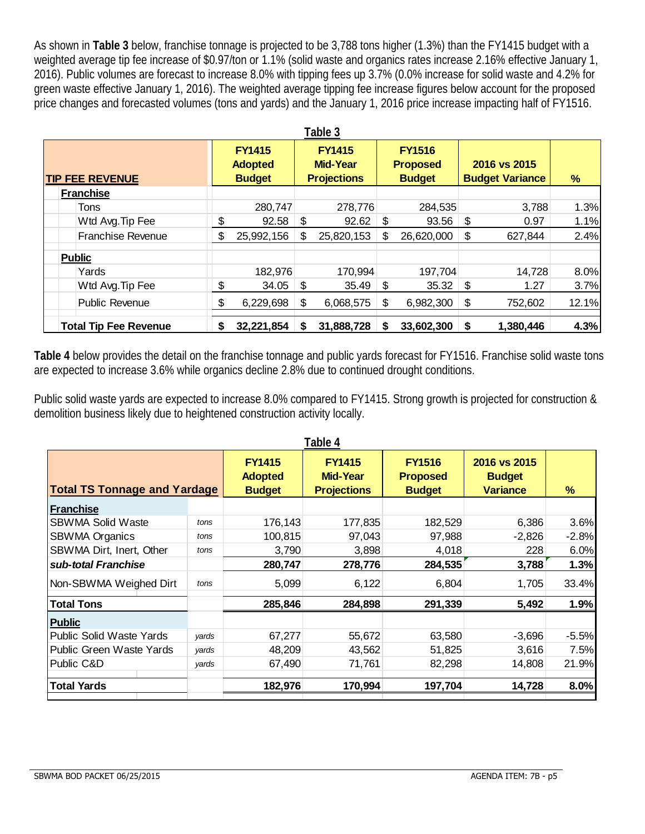As shown in **Table 3** below, franchise tonnage is projected to be 3,788 tons higher (1.3%) than the FY1415 budget with a weighted average tip fee increase of \$0.97/ton or 1.1% (solid waste and organics rates increase 2.16% effective January 1, 2016). Public volumes are forecast to increase 8.0% with tipping fees up 3.7% (0.0% increase for solid waste and 4.2% for green waste effective January 1, 2016). The weighted average tipping fee increase figures below account for the proposed price changes and forecasted volumes (tons and yards) and the January 1, 2016 price increase impacting half of FY1516.

| Table 3                      |                                                  |            |                                                        |            |    |                                                   |    |                                        |       |  |
|------------------------------|--------------------------------------------------|------------|--------------------------------------------------------|------------|----|---------------------------------------------------|----|----------------------------------------|-------|--|
| <b>TIP FEE REVENUE</b>       | <b>FY1415</b><br><b>Adopted</b><br><b>Budget</b> |            | <b>FY1415</b><br><b>Mid-Year</b><br><b>Projections</b> |            |    | <b>FY1516</b><br><b>Proposed</b><br><b>Budget</b> |    | 2016 vs 2015<br><b>Budget Variance</b> | %     |  |
| <b>Franchise</b>             |                                                  |            |                                                        |            |    |                                                   |    |                                        |       |  |
| Tons                         |                                                  | 280,747    |                                                        | 278,776    |    | 284,535                                           |    | 3,788                                  | 1.3%  |  |
| Wtd Avg. Tip Fee             | \$                                               | 92.58      | \$                                                     | 92.62      | \$ | 93.56                                             | \$ | 0.97                                   | 1.1%  |  |
| <b>Franchise Revenue</b>     | S                                                | 25,992,156 | S                                                      | 25,820,153 | \$ | 26,620,000                                        | \$ | 627,844                                | 2.4%  |  |
| <b>Public</b>                |                                                  |            |                                                        |            |    |                                                   |    |                                        |       |  |
| Yards                        |                                                  | 182,976    |                                                        | 170,994    |    | 197,704                                           |    | 14,728                                 | 8.0%  |  |
| Wtd Avg. Tip Fee             | \$                                               | 34.05      | \$                                                     | 35.49      | \$ | 35.32                                             | \$ | 1.27                                   | 3.7%  |  |
| <b>Public Revenue</b>        | \$                                               | 6,229,698  | \$                                                     | 6,068,575  | \$ | 6,982,300                                         | \$ | 752,602                                | 12.1% |  |
| <b>Total Tip Fee Revenue</b> | S                                                | 32,221,854 | S                                                      | 31,888,728 | S  | 33,602,300                                        |    | 1,380,446                              | 4.3%  |  |

**Table 4** below provides the detail on the franchise tonnage and public yards forecast for FY1516. Franchise solid waste tons are expected to increase 3.6% while organics decline 2.8% due to continued drought conditions.

Public solid waste yards are expected to increase 8.0% compared to FY1415. Strong growth is projected for construction & demolition business likely due to heightened construction activity locally.

| Table 4                             |       |                                                  |                                                        |                                                   |                                                  |         |  |  |  |  |  |
|-------------------------------------|-------|--------------------------------------------------|--------------------------------------------------------|---------------------------------------------------|--------------------------------------------------|---------|--|--|--|--|--|
| <b>Total TS Tonnage and Yardage</b> |       | <b>FY1415</b><br><b>Adopted</b><br><b>Budget</b> | <b>FY1415</b><br><b>Mid-Year</b><br><b>Projections</b> | <b>FY1516</b><br><b>Proposed</b><br><b>Budget</b> | 2016 vs 2015<br><b>Budget</b><br><b>Variance</b> | %       |  |  |  |  |  |
| <b>Franchise</b>                    |       |                                                  |                                                        |                                                   |                                                  |         |  |  |  |  |  |
| <b>SBWMA Solid Waste</b>            | tons  | 176,143                                          | 177,835                                                | 182,529                                           | 6,386                                            | 3.6%    |  |  |  |  |  |
| <b>SBWMA Organics</b>               | tons  | 100,815                                          | 97,043                                                 | 97,988                                            | $-2,826$                                         | $-2.8%$ |  |  |  |  |  |
| SBWMA Dirt, Inert, Other            | tons  | 3,790                                            | 3,898                                                  | 4,018                                             | 228                                              | 6.0%    |  |  |  |  |  |
| sub-total Franchise                 |       | 280,747                                          | 278,776                                                | 284,535                                           | 3,788                                            | 1.3%    |  |  |  |  |  |
| Non-SBWMA Weighed Dirt              | tons  | 5,099                                            | 6,122                                                  | 6,804                                             | 1,705                                            | 33.4%   |  |  |  |  |  |
| <b>Total Tons</b>                   |       | 285,846                                          | 284,898                                                | 291,339                                           | 5,492                                            | 1.9%    |  |  |  |  |  |
| <b>Public</b>                       |       |                                                  |                                                        |                                                   |                                                  |         |  |  |  |  |  |
| Public Solid Waste Yards            | yards | 67,277                                           | 55,672                                                 | 63,580                                            | $-3,696$                                         | $-5.5%$ |  |  |  |  |  |
| Public Green Waste Yards            | yards | 48,209                                           | 43,562                                                 | 51,825                                            | 3,616                                            | 7.5%    |  |  |  |  |  |
| Public C&D                          | yards | 67,490                                           | 71,761                                                 | 82,298                                            | 14,808                                           | 21.9%   |  |  |  |  |  |
| <b>Total Yards</b>                  |       | 182,976                                          | 170,994                                                | 197,704                                           | 14,728                                           | 8.0%    |  |  |  |  |  |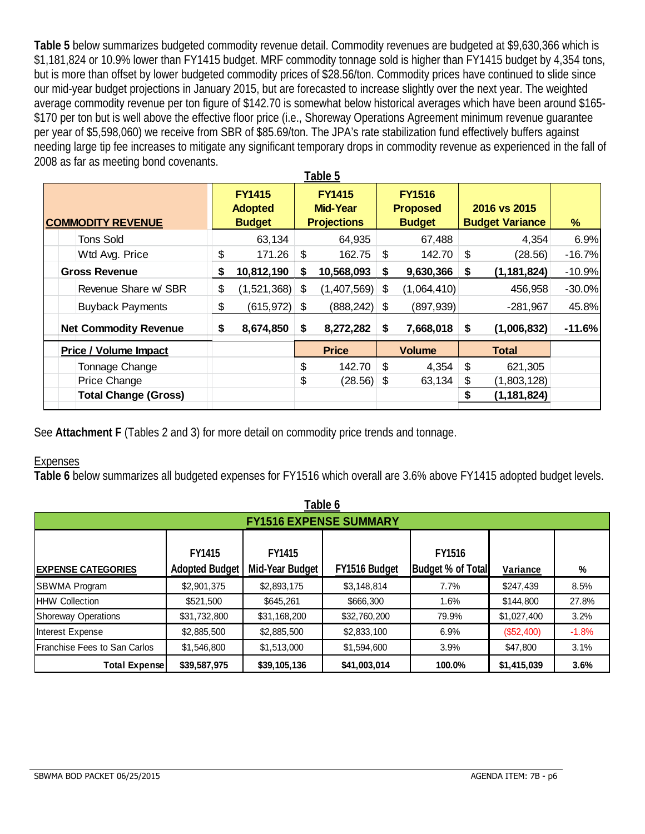**Table 5** below summarizes budgeted commodity revenue detail. Commodity revenues are budgeted at \$9,630,366 which is \$1,181,824 or 10.9% lower than FY1415 budget. MRF commodity tonnage sold is higher than FY1415 budget by 4,354 tons, but is more than offset by lower budgeted commodity prices of \$28.56/ton. Commodity prices have continued to slide since our mid-year budget projections in January 2015, but are forecasted to increase slightly over the next year. The weighted average commodity revenue per ton figure of \$142.70 is somewhat below historical averages which have been around \$165- \$170 per ton but is well above the effective floor price (i.e., Shoreway Operations Agreement minimum revenue quarantee per year of \$5,598,060) we receive from SBR of \$85.69/ton. The JPA's rate stabilization fund effectively buffers against needing large tip fee increases to mitigate any significant temporary drops in commodity revenue as experienced in the fall of 2008 as far as meeting bond covenants.

| <b>COMMODITY REVENUE</b>     |    | <b>FY1415</b><br><b>Adopted</b> |    | <b>FY1415</b><br>Mid-Year<br><b>Budget</b><br><b>Projections</b> |    |               | <b>FY1516</b><br><b>Proposed</b><br><b>Budget</b> |               |          | 2016 vs 2015<br><b>Budget Variance</b> | % |
|------------------------------|----|---------------------------------|----|------------------------------------------------------------------|----|---------------|---------------------------------------------------|---------------|----------|----------------------------------------|---|
| <b>Tons Sold</b>             |    | 63,134                          |    | 64,935                                                           |    | 67,488        |                                                   | 4,354         | 6.9%     |                                        |   |
| Wtd Avg. Price               | \$ | 171.26                          | \$ | 162.75                                                           | \$ | 142.70        | \$                                                | (28.56)       | $-16.7%$ |                                        |   |
| <b>Gross Revenue</b>         | \$ | 10,812,190                      | S  | 10,568,093                                                       | \$ | 9,630,366     | S                                                 | (1, 181, 824) | $-10.9%$ |                                        |   |
| Revenue Share w/ SBR         | \$ | (1,521,368)                     | \$ | (1,407,569)                                                      | \$ | (1,064,410)   |                                                   | 456,958       | $-30.0%$ |                                        |   |
| <b>Buyback Payments</b>      | \$ | (615, 972)                      | \$ | (888, 242)                                                       | \$ | (897, 939)    |                                                   | $-281,967$    | 45.8%    |                                        |   |
| <b>Net Commodity Revenue</b> | S. | 8,674,850                       | S. | 8,272,282                                                        | S  | 7,668,018     | S                                                 | (1,006,832)   | $-11.6%$ |                                        |   |
| <b>Price / Volume Impact</b> |    |                                 |    | <b>Price</b>                                                     |    | <b>Volume</b> |                                                   | <b>Total</b>  |          |                                        |   |
| Tonnage Change               |    |                                 | \$ | 142.70                                                           | \$ | 4,354         | \$                                                | 621,305       |          |                                        |   |
| Price Change                 |    |                                 | \$ | $(28.56)$ \$                                                     |    | 63,134        | \$                                                | (1,803,128)   |          |                                        |   |
| <b>Total Change (Gross)</b>  |    |                                 |    |                                                                  |    |               |                                                   | (1, 181, 824) |          |                                        |   |

See **Attachment F** (Tables 2 and 3) for more detail on commodity price trends and tonnage.

### **Expenses**

**Table 6** below summarizes all budgeted expenses for FY1516 which overall are 3.6% above FY1415 adopted budget levels.

| Table 6                       |                |                 |               |                   |             |         |  |  |  |  |
|-------------------------------|----------------|-----------------|---------------|-------------------|-------------|---------|--|--|--|--|
| <b>FY1516 EXPENSE SUMMARY</b> |                |                 |               |                   |             |         |  |  |  |  |
| FY1415<br>FY1415<br>FY1516    |                |                 |               |                   |             |         |  |  |  |  |
| <b>EXPENSE CATEGORIES</b>     | Adopted Budget | Mid-Year Budget | FY1516 Budget | Budget % of Total | Variance    | %       |  |  |  |  |
| <b>SBWMA Program</b>          | \$2,901,375    | \$2,893,175     | \$3,148,814   | 7.7%              | \$247,439   | 8.5%    |  |  |  |  |
| <b>HHW Collection</b>         | \$521,500      | \$645,261       | \$666,300     | 1.6%              | \$144,800   | 27.8%   |  |  |  |  |
| Shoreway Operations           | \$31,732,800   | \$31,168,200    | \$32,760,200  | 79.9%             | \$1,027,400 | 3.2%    |  |  |  |  |
| Interest Expense              | \$2,885,500    | \$2,885,500     | \$2,833,100   | 6.9%              | (\$52,400)  | $-1.8%$ |  |  |  |  |
| Franchise Fees to San Carlos  | \$1,546,800    | \$1,513,000     | \$1,594,600   | 3.9%              | \$47,800    | 3.1%    |  |  |  |  |
| <b>Total Expense</b>          | \$39,587,975   | \$39,105,136    | \$41,003,014  | 100.0%            | \$1,415,039 | 3.6%    |  |  |  |  |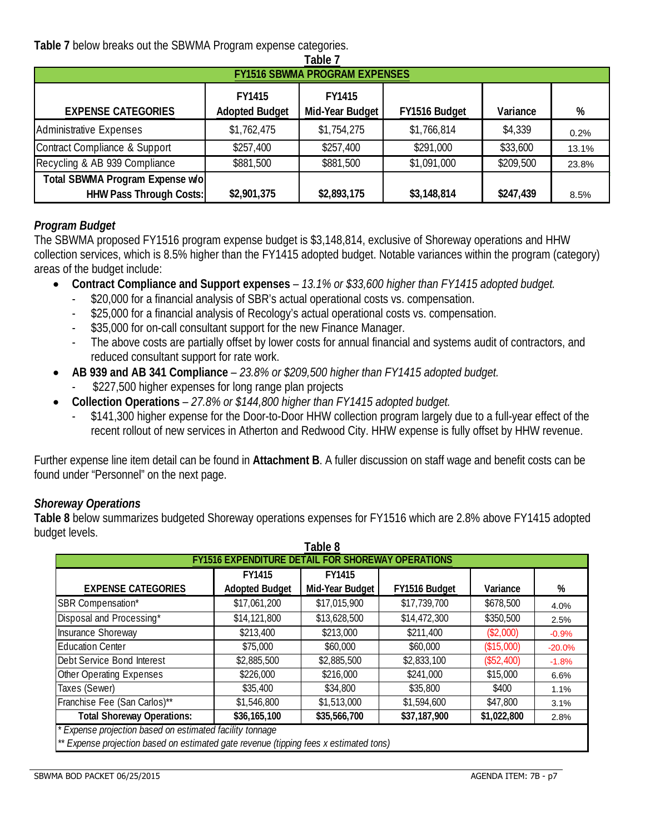**Table 7** below breaks out the SBWMA Program expense categories.

| Table 7                              |                                        |                                  |               |           |       |  |  |  |  |
|--------------------------------------|----------------------------------------|----------------------------------|---------------|-----------|-------|--|--|--|--|
| <b>FY1516 SBWMA PROGRAM EXPENSES</b> |                                        |                                  |               |           |       |  |  |  |  |
| <b>EXPENSE CATEGORIES</b>            | <b>FY1415</b><br><b>Adopted Budget</b> | <b>FY1415</b><br>Mid-Year Budget | FY1516 Budget | Variance  | %     |  |  |  |  |
| Administrative Expenses              | \$1,762,475                            | \$1,754,275                      | \$1,766,814   | \$4,339   | 0.2%  |  |  |  |  |
| Contract Compliance & Support        | \$257,400                              | \$257,400                        | \$291,000     | \$33,600  | 13.1% |  |  |  |  |
| Recycling & AB 939 Compliance        | \$881,500                              | \$881,500                        | \$1,091,000   | \$209,500 | 23.8% |  |  |  |  |
| Total SBWMA Program Expense w/o      |                                        |                                  |               |           |       |  |  |  |  |
| <b>HHW Pass Through Costs:</b>       | \$2,901,375                            | \$2,893,175                      | \$3,148,814   | \$247,439 | 8.5%  |  |  |  |  |

### *Program Budget*

The SBWMA proposed FY1516 program expense budget is \$3,148,814, exclusive of Shoreway operations and HHW collection services, which is 8.5% higher than the FY1415 adopted budget. Notable variances within the program (category) areas of the budget include:

- **Contract Compliance and Support expenses** *13.1% or \$33,600 higher than FY1415 adopted budget.* 
	- \$20,000 for a financial analysis of SBR's actual operational costs vs. compensation.
	- \$25,000 for a financial analysis of Recology's actual operational costs vs. compensation.
	- \$35,000 for on-call consultant support for the new Finance Manager.
	- The above costs are partially offset by lower costs for annual financial and systems audit of contractors, and reduced consultant support for rate work.
- **AB 939 and AB 341 Compliance** *23.8% or \$209,500 higher than FY1415 adopted budget.* 
	- \$227,500 higher expenses for long range plan projects
- **Collection Operations** *27.8% or \$144,800 higher than FY1415 adopted budget.* 
	- \$141,300 higher expense for the Door-to-Door HHW collection program largely due to a full-year effect of the recent rollout of new services in Atherton and Redwood City. HHW expense is fully offset by HHW revenue.

Further expense line item detail can be found in **Attachment B**. A fuller discussion on staff wage and benefit costs can be found under "Personnel" on the next page.

### *Shoreway Operations*

**Table 8** below summarizes budgeted Shoreway operations expenses for FY1516 which are 2.8% above FY1415 adopted budget levels.

| Table 8                                                                                                                                              |                       |                 |               |             |          |  |  |  |  |
|------------------------------------------------------------------------------------------------------------------------------------------------------|-----------------------|-----------------|---------------|-------------|----------|--|--|--|--|
| <b>FY1516 EXPENDITURE DETAIL FOR SHOREWAY OPERATIONS</b>                                                                                             |                       |                 |               |             |          |  |  |  |  |
|                                                                                                                                                      | <b>FY1415</b>         | <b>FY1415</b>   |               |             |          |  |  |  |  |
| <b>EXPENSE CATEGORIES</b>                                                                                                                            | <b>Adopted Budget</b> | Mid-Year Budget | FY1516 Budget | Variance    | %        |  |  |  |  |
| <b>SBR Compensation*</b>                                                                                                                             | \$17,061,200          | \$17,015,900    | \$17,739,700  | \$678,500   | 4.0%     |  |  |  |  |
| Disposal and Processing*                                                                                                                             | \$14,121,800          | \$13,628,500    | \$14,472,300  | \$350,500   | 2.5%     |  |  |  |  |
| <b>Insurance Shoreway</b>                                                                                                                            | \$213,400             | \$213,000       | \$211,400     | (\$2,000)   | $-0.9%$  |  |  |  |  |
| <b>Education Center</b>                                                                                                                              | \$75,000              | \$60,000        | \$60,000      | (\$15,000)  | $-20.0%$ |  |  |  |  |
| Debt Service Bond Interest                                                                                                                           | \$2,885,500           | \$2,885,500     | \$2,833,100   | (\$52,400)  | $-1.8%$  |  |  |  |  |
| <b>Other Operating Expenses</b>                                                                                                                      | \$226,000             | \$216,000       | \$241,000     | \$15,000    | 6.6%     |  |  |  |  |
| Taxes (Sewer)                                                                                                                                        | \$35,400              | \$34,800        | \$35,800      | \$400       | 1.1%     |  |  |  |  |
| Franchise Fee (San Carlos)**                                                                                                                         | \$1,546,800           | \$1,513,000     | \$1,594,600   | \$47,800    | 3.1%     |  |  |  |  |
| <b>Total Shoreway Operations:</b>                                                                                                                    | \$36,165,100          | \$35,566,700    | \$37,187,900  | \$1,022,800 | 2.8%     |  |  |  |  |
| * Expense projection based on estimated facility tonnage<br>** Experience projection based on estimated aste revenue (tipping face y estimated tops) |                       |                 |               |             |          |  |  |  |  |

*\*\* Expense projection based on estimated gate revenue (tipping fees x estimated tons)*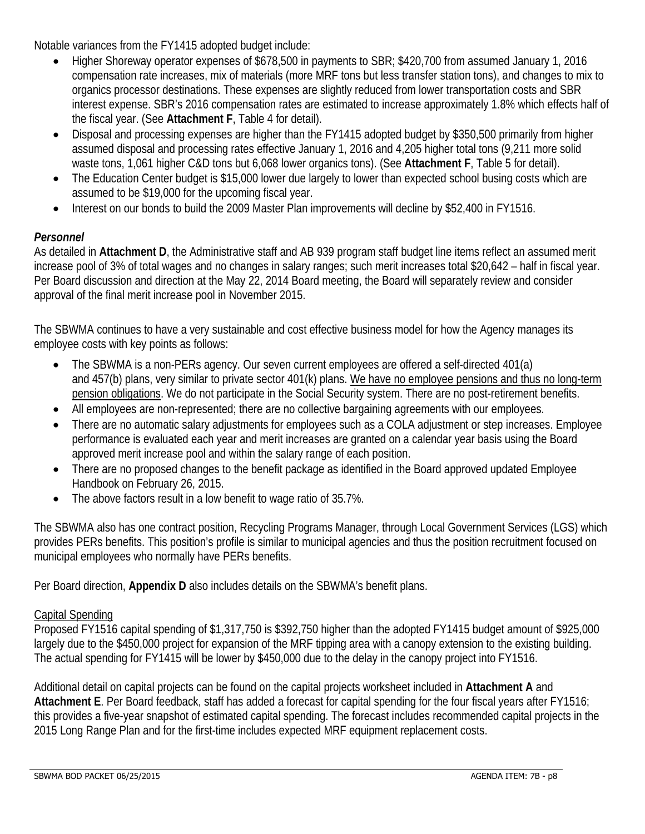Notable variances from the FY1415 adopted budget include:

- Higher Shoreway operator expenses of \$678,500 in payments to SBR; \$420,700 from assumed January 1, 2016 compensation rate increases, mix of materials (more MRF tons but less transfer station tons), and changes to mix to organics processor destinations. These expenses are slightly reduced from lower transportation costs and SBR interest expense. SBR's 2016 compensation rates are estimated to increase approximately 1.8% which effects half of the fiscal year. (See **Attachment F**, Table 4 for detail).
- Disposal and processing expenses are higher than the FY1415 adopted budget by \$350,500 primarily from higher assumed disposal and processing rates effective January 1, 2016 and 4,205 higher total tons (9,211 more solid waste tons, 1,061 higher C&D tons but 6,068 lower organics tons). (See **Attachment F**, Table 5 for detail).
- The Education Center budget is \$15,000 lower due largely to lower than expected school busing costs which are assumed to be \$19,000 for the upcoming fiscal year.
- Interest on our bonds to build the 2009 Master Plan improvements will decline by \$52,400 in FY1516.

# *Personnel*

As detailed in **Attachment D**, the Administrative staff and AB 939 program staff budget line items reflect an assumed merit increase pool of 3% of total wages and no changes in salary ranges; such merit increases total \$20,642 – half in fiscal year. Per Board discussion and direction at the May 22, 2014 Board meeting, the Board will separately review and consider approval of the final merit increase pool in November 2015.

The SBWMA continues to have a very sustainable and cost effective business model for how the Agency manages its employee costs with key points as follows:

- The SBWMA is a non-PERs agency. Our seven current employees are offered a self-directed 401(a) and 457(b) plans, very similar to private sector 401(k) plans. We have no employee pensions and thus no long-term pension obligations. We do not participate in the Social Security system. There are no post-retirement benefits.
- All employees are non-represented; there are no collective bargaining agreements with our employees.
- There are no automatic salary adjustments for employees such as a COLA adjustment or step increases. Employee performance is evaluated each year and merit increases are granted on a calendar year basis using the Board approved merit increase pool and within the salary range of each position.
- There are no proposed changes to the benefit package as identified in the Board approved updated Employee Handbook on February 26, 2015.
- The above factors result in a low benefit to wage ratio of 35.7%.

The SBWMA also has one contract position, Recycling Programs Manager, through Local Government Services (LGS) which provides PERs benefits. This position's profile is similar to municipal agencies and thus the position recruitment focused on municipal employees who normally have PERs benefits.

Per Board direction, **Appendix D** also includes details on the SBWMA's benefit plans.

### Capital Spending

Proposed FY1516 capital spending of \$1,317,750 is \$392,750 higher than the adopted FY1415 budget amount of \$925,000 largely due to the \$450,000 project for expansion of the MRF tipping area with a canopy extension to the existing building. The actual spending for FY1415 will be lower by \$450,000 due to the delay in the canopy project into FY1516.

Additional detail on capital projects can be found on the capital projects worksheet included in **Attachment A** and **Attachment E**. Per Board feedback, staff has added a forecast for capital spending for the four fiscal years after FY1516; this provides a five-year snapshot of estimated capital spending. The forecast includes recommended capital projects in the 2015 Long Range Plan and for the first-time includes expected MRF equipment replacement costs.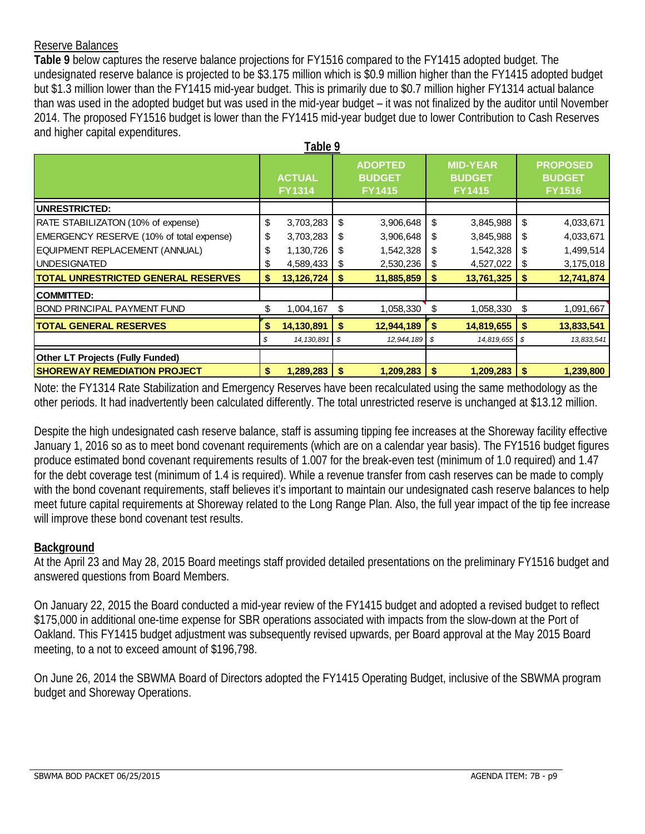### Reserve Balances

**Table 9** below captures the reserve balance projections for FY1516 compared to the FY1415 adopted budget. The undesignated reserve balance is projected to be \$3.175 million which is \$0.9 million higher than the FY1415 adopted budget but \$1.3 million lower than the FY1415 mid-year budget. This is primarily due to \$0.7 million higher FY1314 actual balance than was used in the adopted budget but was used in the mid-year budget – it was not finalized by the auditor until November 2014. The proposed FY1516 budget is lower than the FY1415 mid-year budget due to lower Contribution to Cash Reserves and higher capital expenditures.

|                                            |                                | Table 9      |                                                  |            |                                                   |               |     |                                                   |
|--------------------------------------------|--------------------------------|--------------|--------------------------------------------------|------------|---------------------------------------------------|---------------|-----|---------------------------------------------------|
|                                            | <b>ACTUAL</b><br><b>FY1314</b> |              | <b>ADOPTED</b><br><b>BUDGET</b><br><b>FY1415</b> |            | <b>MID-YEAR</b><br><b>BUDGET</b><br><b>FY1415</b> |               |     | <b>PROPOSED</b><br><b>BUDGET</b><br><b>FY1516</b> |
| UNRESTRICTED:                              |                                |              |                                                  |            |                                                   |               |     |                                                   |
| RATE STABILIZATON (10% of expense)         | \$                             | 3,703,283    | \$                                               | 3,906,648  | \$                                                | 3,845,988     | \$  | 4,033,671                                         |
| EMERGENCY RESERVE (10% of total expense)   | \$                             | 3,703,283    | \$                                               | 3,906,648  | \$                                                | 3,845,988     | -5  | 4,033,671                                         |
| EQUIPMENT REPLACEMENT (ANNUAL)             | \$                             | 1,130,726    | S                                                | 1,542,328  | \$                                                | 1,542,328     | S   | 1,499,514                                         |
| <b>UNDESIGNATED</b>                        | \$                             | 4,589,433    | \$                                               | 2,530,236  | \$                                                | 4,527,022     | - 5 | 3,175,018                                         |
| <b>TOTAL UNRESTRICTED GENERAL RESERVES</b> | \$                             | 13,126,724   | \$                                               | 11,885,859 | S                                                 | 13,761,325    | \$  | 12,741,874                                        |
| <b>COMMITTED:</b>                          |                                |              |                                                  |            |                                                   |               |     |                                                   |
| <b>BOND PRINCIPAL PAYMENT FUND</b>         | \$                             | 1,004,167    | \$                                               | 1,058,330  | \$                                                | 1,058,330     | S   | 1,091,667                                         |
| <b>TOTAL GENERAL RESERVES</b>              | \$                             | 14,130,891   | \$                                               | 12,944,189 | \$                                                | 14,819,655    | -\$ | 13,833,541                                        |
|                                            | \$                             | 14, 130, 891 | l \$                                             | 12,944,189 |                                                   | 14,819,655 \$ |     | 13,833,541                                        |
| <b>Other LT Projects (Fully Funded)</b>    |                                |              |                                                  |            |                                                   |               |     |                                                   |
| <b>ISHOREWAY REMEDIATION PROJECT</b>       | \$                             | 1,289,283    | \$                                               | 1,209,283  | \$                                                | 1,209,283     | -\$ | 1,239,800                                         |

Note: the FY1314 Rate Stabilization and Emergency Reserves have been recalculated using the same methodology as the other periods. It had inadvertently been calculated differently. The total unrestricted reserve is unchanged at \$13.12 million.

Despite the high undesignated cash reserve balance, staff is assuming tipping fee increases at the Shoreway facility effective January 1, 2016 so as to meet bond covenant requirements (which are on a calendar year basis). The FY1516 budget figures produce estimated bond covenant requirements results of 1.007 for the break-even test (minimum of 1.0 required) and 1.47 for the debt coverage test (minimum of 1.4 is required). While a revenue transfer from cash reserves can be made to comply with the bond covenant requirements, staff believes it's important to maintain our undesignated cash reserve balances to help meet future capital requirements at Shoreway related to the Long Range Plan. Also, the full year impact of the tip fee increase will improve these bond covenant test results.

### **Background**

At the April 23 and May 28, 2015 Board meetings staff provided detailed presentations on the preliminary FY1516 budget and answered questions from Board Members.

On January 22, 2015 the Board conducted a mid-year review of the FY1415 budget and adopted a revised budget to reflect \$175,000 in additional one-time expense for SBR operations associated with impacts from the slow-down at the Port of Oakland. This FY1415 budget adjustment was subsequently revised upwards, per Board approval at the May 2015 Board meeting, to a not to exceed amount of \$196,798.

On June 26, 2014 the SBWMA Board of Directors adopted the FY1415 Operating Budget, inclusive of the SBWMA program budget and Shoreway Operations.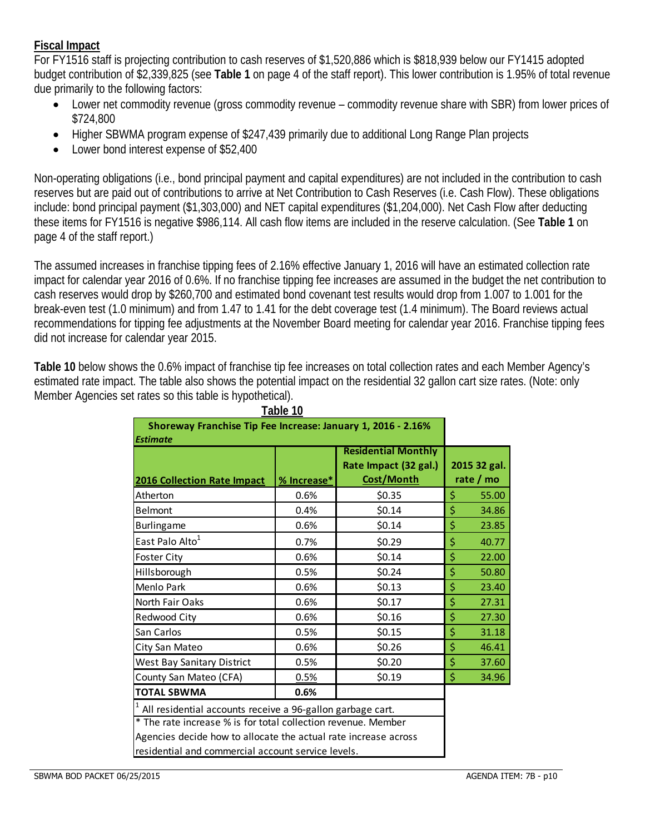### **Fiscal Impact**

For FY1516 staff is projecting contribution to cash reserves of \$1,520,886 which is \$818,939 below our FY1415 adopted budget contribution of \$2,339,825 (see **Table 1** on page 4 of the staff report). This lower contribution is 1.95% of total revenue due primarily to the following factors:

- Lower net commodity revenue (gross commodity revenue commodity revenue share with SBR) from lower prices of \$724,800
- Higher SBWMA program expense of \$247,439 primarily due to additional Long Range Plan projects
- Lower bond interest expense of \$52,400

Non-operating obligations (i.e., bond principal payment and capital expenditures) are not included in the contribution to cash reserves but are paid out of contributions to arrive at Net Contribution to Cash Reserves (i.e. Cash Flow). These obligations include: bond principal payment (\$1,303,000) and NET capital expenditures (\$1,204,000). Net Cash Flow after deducting these items for FY1516 is negative \$986,114. All cash flow items are included in the reserve calculation. (See **Table 1** on page 4 of the staff report.)

The assumed increases in franchise tipping fees of 2.16% effective January 1, 2016 will have an estimated collection rate impact for calendar year 2016 of 0.6%. If no franchise tipping fee increases are assumed in the budget the net contribution to cash reserves would drop by \$260,700 and estimated bond covenant test results would drop from 1.007 to 1.001 for the break-even test (1.0 minimum) and from 1.47 to 1.41 for the debt coverage test (1.4 minimum). The Board reviews actual recommendations for tipping fee adjustments at the November Board meeting for calendar year 2016. Franchise tipping fees did not increase for calendar year 2015.

**Table 10** below shows the 0.6% impact of franchise tip fee increases on total collection rates and each Member Agency's estimated rate impact. The table also shows the potential impact on the residential 32 gallon cart size rates. (Note: only Member Agencies set rates so this table is hypothetical).

|                                                                                                                                                                                                                                                      | Table 10    |                                                                   |                           |
|------------------------------------------------------------------------------------------------------------------------------------------------------------------------------------------------------------------------------------------------------|-------------|-------------------------------------------------------------------|---------------------------|
| Shoreway Franchise Tip Fee Increase: January 1, 2016 - 2.16%<br><b>Estimate</b>                                                                                                                                                                      |             |                                                                   |                           |
| 2016 Collection Rate Impact                                                                                                                                                                                                                          | % Increase* | <b>Residential Monthly</b><br>Rate Impact (32 gal.)<br>Cost/Month | 2015 32 gal.<br>rate / mo |
| Atherton                                                                                                                                                                                                                                             | 0.6%        | \$0.35                                                            | \$<br>55.00               |
| Belmont                                                                                                                                                                                                                                              | 0.4%        | \$0.14                                                            | \$<br>34.86               |
| Burlingame                                                                                                                                                                                                                                           | 0.6%        | \$0.14                                                            | \$<br>23.85               |
| East Palo Alto <sup>1</sup>                                                                                                                                                                                                                          | 0.7%        | \$0.29                                                            | \$<br>40.77               |
| Foster City                                                                                                                                                                                                                                          | 0.6%        | \$0.14                                                            | \$<br>22.00               |
| Hillsborough                                                                                                                                                                                                                                         | 0.5%        | \$0.24                                                            | \$<br>50.80               |
| Menlo Park                                                                                                                                                                                                                                           | 0.6%        | \$0.13                                                            | \$<br>23.40               |
| North Fair Oaks                                                                                                                                                                                                                                      | 0.6%        | \$0.17                                                            | \$<br>27.31               |
| Redwood City                                                                                                                                                                                                                                         | 0.6%        | \$0.16                                                            | \$<br>27.30               |
| San Carlos                                                                                                                                                                                                                                           | 0.5%        | \$0.15                                                            | \$<br>31.18               |
| City San Mateo                                                                                                                                                                                                                                       | 0.6%        | \$0.26                                                            | \$<br>46.41               |
| West Bay Sanitary District                                                                                                                                                                                                                           | 0.5%        | \$0.20                                                            | \$<br>37.60               |
| County San Mateo (CFA)                                                                                                                                                                                                                               | 0.5%        | \$0.19                                                            | \$<br>34.96               |
| <b>TOTAL SBWMA</b>                                                                                                                                                                                                                                   | 0.6%        |                                                                   |                           |
| All residential accounts receive a 96-gallon garbage cart.<br>* The rate increase % is for total collection revenue. Member<br>Agencies decide how to allocate the actual rate increase across<br>residential and commercial account service levels. |             |                                                                   |                           |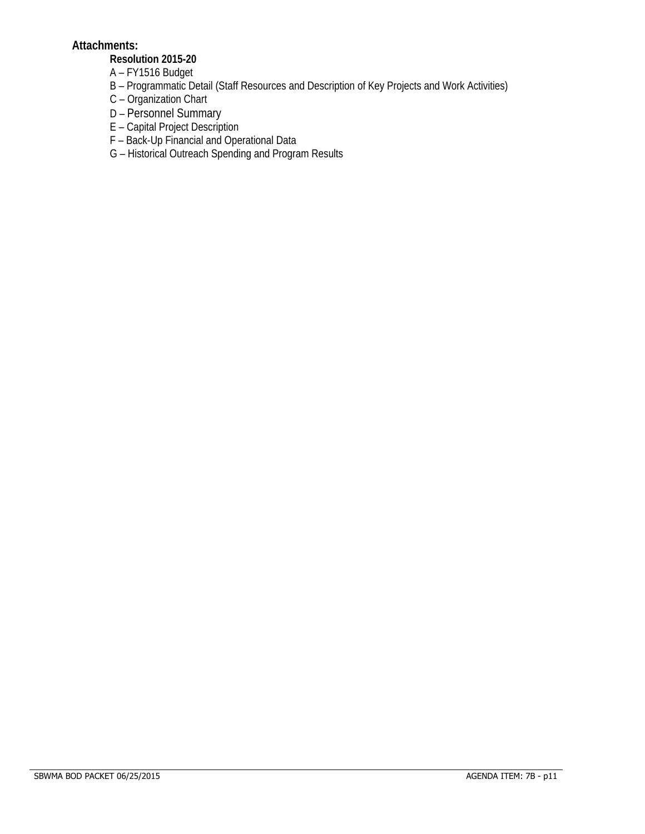### **Attachments:**

### **Resolution 2015-20**

- A FY1516 Budget
- B Programmatic Detail (Staff Resources and Description of Key Projects and Work Activities)
- C Organization Chart
- D Personnel Summary
- E Capital Project Description
- F Back-Up Financial and Operational Data
- G Historical Outreach Spending and Program Results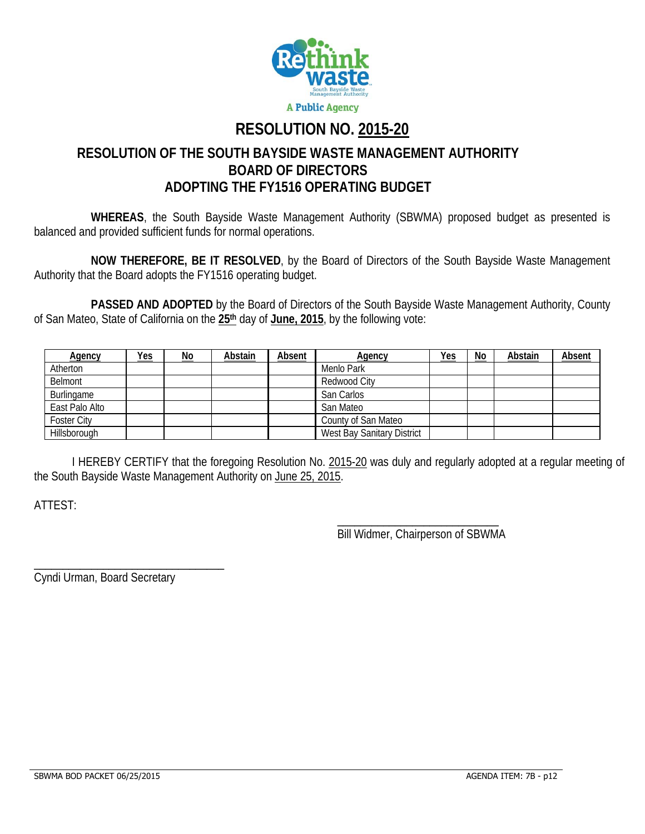

# **RESOLUTION NO. 2015-20**

# **RESOLUTION OF THE SOUTH BAYSIDE WASTE MANAGEMENT AUTHORITY BOARD OF DIRECTORS ADOPTING THE FY1516 OPERATING BUDGET**

**WHEREAS**, the South Bayside Waste Management Authority (SBWMA) proposed budget as presented is balanced and provided sufficient funds for normal operations.

**NOW THEREFORE, BE IT RESOLVED**, by the Board of Directors of the South Bayside Waste Management Authority that the Board adopts the FY1516 operating budget.

 **PASSED AND ADOPTED** by the Board of Directors of the South Bayside Waste Management Authority, County of San Mateo, State of California on the **25th** day of **June, 2015**, by the following vote:

| <b>Agency</b>  | <u>Yes</u> | <u>No</u> | Abstain | Absent | <b>Agency</b>                     | <b>Yes</b> | No | Abstain | <b>Absent</b> |
|----------------|------------|-----------|---------|--------|-----------------------------------|------------|----|---------|---------------|
| Atherton       |            |           |         |        | Menlo Park                        |            |    |         |               |
| Belmont        |            |           |         |        | Redwood City                      |            |    |         |               |
| Burlingame     |            |           |         |        | San Carlos                        |            |    |         |               |
| East Palo Alto |            |           |         |        | San Mateo                         |            |    |         |               |
| Foster City    |            |           |         |        | County of San Mateo               |            |    |         |               |
| Hillsborough   |            |           |         |        | <b>West Bay Sanitary District</b> |            |    |         |               |

 I HEREBY CERTIFY that the foregoing Resolution No. 2015-20 was duly and regularly adopted at a regular meeting of the South Bayside Waste Management Authority on June 25, 2015.

 $\overline{\phantom{a}}$  , and the contract of the contract of the contract of the contract of the contract of the contract of the contract of the contract of the contract of the contract of the contract of the contract of the contrac

ATTEST:

Bill Widmer, Chairperson of SBWMA

Cyndi Urman, Board Secretary

\_\_\_\_\_\_\_\_\_\_\_\_\_\_\_\_\_\_\_\_\_\_\_\_\_\_\_\_\_\_\_\_\_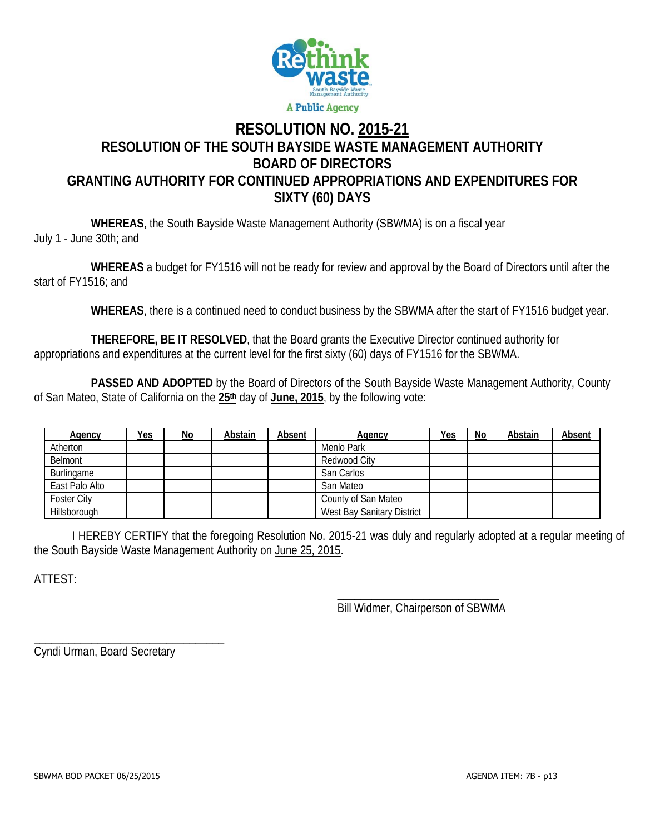

# **RESOLUTION NO. 2015-21 RESOLUTION OF THE SOUTH BAYSIDE WASTE MANAGEMENT AUTHORITY BOARD OF DIRECTORS GRANTING AUTHORITY FOR CONTINUED APPROPRIATIONS AND EXPENDITURES FOR SIXTY (60) DAYS**

 **WHEREAS**, the South Bayside Waste Management Authority (SBWMA) is on a fiscal year July 1 - June 30th; and

 **WHEREAS** a budget for FY1516 will not be ready for review and approval by the Board of Directors until after the start of FY1516; and

 **WHEREAS**, there is a continued need to conduct business by the SBWMA after the start of FY1516 budget year.

 **THEREFORE, BE IT RESOLVED**, that the Board grants the Executive Director continued authority for appropriations and expenditures at the current level for the first sixty (60) days of FY1516 for the SBWMA.

 **PASSED AND ADOPTED** by the Board of Directors of the South Bayside Waste Management Authority, County of San Mateo, State of California on the **25th** day of **June, 2015**, by the following vote:

| Agency         | Yes | No | Abstain | Absent | Agency                     | Yes | No | Abstain | Absent |
|----------------|-----|----|---------|--------|----------------------------|-----|----|---------|--------|
| Atherton       |     |    |         |        | Menlo Park                 |     |    |         |        |
| Belmont        |     |    |         |        | Redwood City               |     |    |         |        |
| Burlingame     |     |    |         |        | San Carlos                 |     |    |         |        |
| East Palo Alto |     |    |         |        | San Mateo                  |     |    |         |        |
| Foster City    |     |    |         |        | County of San Mateo        |     |    |         |        |
| Hillsborough   |     |    |         |        | West Bay Sanitary District |     |    |         |        |

 I HEREBY CERTIFY that the foregoing Resolution No. 2015-21 was duly and regularly adopted at a regular meeting of the South Bayside Waste Management Authority on June 25, 2015.

 $\overline{\phantom{a}}$  , and the contract of the contract of the contract of the contract of the contract of the contract of the contract of the contract of the contract of the contract of the contract of the contract of the contrac

ATTEST:

Bill Widmer, Chairperson of SBWMA

Cyndi Urman, Board Secretary

\_\_\_\_\_\_\_\_\_\_\_\_\_\_\_\_\_\_\_\_\_\_\_\_\_\_\_\_\_\_\_\_\_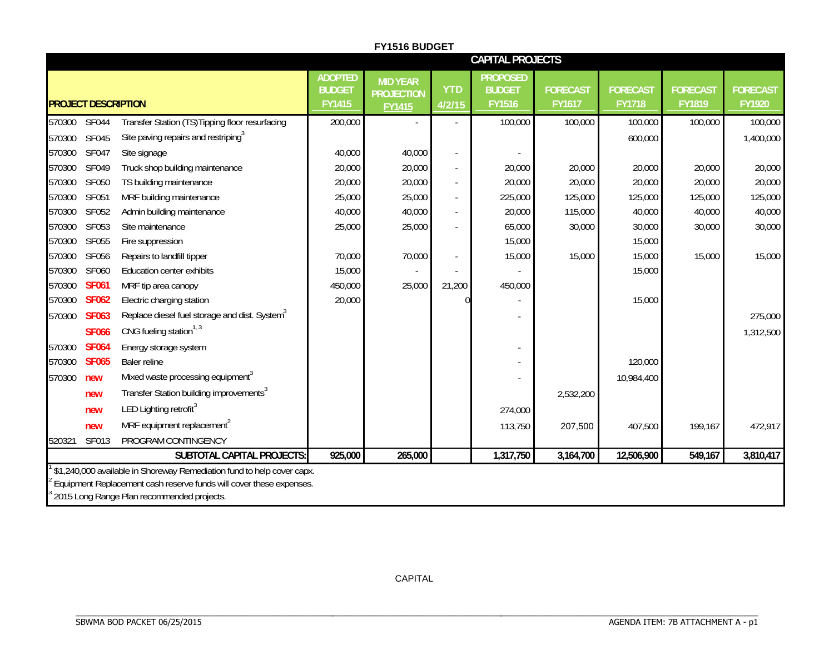|                            |                                                                        |                                           | <b>FY1516 BUDGET</b>                           |                      |                                                   |                           |                                  |                           |                           |
|----------------------------|------------------------------------------------------------------------|-------------------------------------------|------------------------------------------------|----------------------|---------------------------------------------------|---------------------------|----------------------------------|---------------------------|---------------------------|
|                            |                                                                        |                                           |                                                |                      | <b>CAPITAL PROJECTS</b>                           |                           |                                  |                           |                           |
| <b>PROJECT DESCRIPTION</b> |                                                                        | <b>ADOPTED</b><br><b>BUDGET</b><br>FY1415 | <b>MID YEAR</b><br><b>PROJECTION</b><br>FY1415 | <b>YTD</b><br>4/2/15 | <b>PROPOSED</b><br><b>BUDGET</b><br><b>FY1516</b> | <b>FORECAST</b><br>FY1617 | <b>FORECAST</b><br><b>FY1718</b> | <b>FORECAST</b><br>FY1819 | <b>FORECAST</b><br>FY1920 |
| <b>SF044</b><br>570300     | Transfer Station (TS) Tipping floor resurfacing                        | 200,000                                   |                                                |                      | 100,000                                           | 100,000                   | 100,000                          | 100,000                   | 100,000                   |
| 570300<br><b>SF045</b>     | Site paving repairs and restriping <sup>3</sup>                        |                                           |                                                |                      |                                                   |                           | 600,000                          |                           | 1,400,000                 |
| 570300<br><b>SF047</b>     | Site signage                                                           | 40,000                                    | 40,000                                         | $\sim$               |                                                   |                           |                                  |                           |                           |
| SF049<br>570300            | Truck shop building maintenance                                        | 20,000                                    | 20,000                                         |                      | 20,000                                            | 20,000                    | 20,000                           | 20,000                    | 20,000                    |
| 570300<br><b>SF050</b>     | TS building maintenance                                                | 20,000                                    | 20,000                                         |                      | 20,000                                            | 20,000                    | 20,000                           | 20,000                    | 20,000                    |
| SF051<br>570300            | MRF building maintenance                                               | 25,000                                    | 25,000                                         | ÷.                   | 225,000                                           | 125,000                   | 125,000                          | 125,000                   | 125,000                   |
| SF052<br>570300            | Admin building maintenance                                             | 40,000                                    | 40,000                                         |                      | 20,000                                            | 115,000                   | 40,000                           | 40,000                    | 40,000                    |
| 570300<br>SF053            | Site maintenance                                                       | 25,000                                    | 25,000                                         |                      | 65,000                                            | 30,000                    | 30,000                           | 30,000                    | 30,000                    |
| SF055<br>570300            | Fire suppression                                                       |                                           |                                                |                      | 15,000                                            |                           | 15,000                           |                           |                           |
| 570300<br>SF056            | Repairs to landfill tipper                                             | 70,000                                    | 70,000                                         |                      | 15,000                                            | 15,000                    | 15,000                           | 15,000                    | 15,000                    |
| SF060<br>570300            | Education center exhibits                                              | 15,000                                    |                                                |                      |                                                   |                           | 15,000                           |                           |                           |
| 570300<br><b>SF061</b>     | MRF tip area canopy                                                    | 450,000                                   | 25,000                                         | 21,200               | 450,000                                           |                           |                                  |                           |                           |
| 570300<br><b>SF062</b>     | Electric charging station                                              | 20,000                                    |                                                |                      |                                                   |                           | 15,000                           |                           |                           |
| <b>SF063</b><br>570300     | Replace diesel fuel storage and dist. System <sup>3</sup>              |                                           |                                                |                      |                                                   |                           |                                  |                           | 275,000                   |
| <b>SF066</b>               | CNG fueling station <sup>1, 3</sup>                                    |                                           |                                                |                      |                                                   |                           |                                  |                           | 1,312,500                 |
| 570300<br><b>SF064</b>     | Energy storage system                                                  |                                           |                                                |                      |                                                   |                           |                                  |                           |                           |
| 570300<br><b>SF065</b>     | Baler reline                                                           |                                           |                                                |                      |                                                   |                           | 120,000                          |                           |                           |
| 570300<br>new              | Mixed waste processing equipment <sup>3</sup>                          |                                           |                                                |                      |                                                   |                           | 10,984,400                       |                           |                           |
| new                        | Transfer Station building improvements <sup>3</sup>                    |                                           |                                                |                      |                                                   | 2,532,200                 |                                  |                           |                           |
| new                        | LED Lighting retrofit <sup>3</sup>                                     |                                           |                                                |                      | 274,000                                           |                           |                                  |                           |                           |
| new                        | MRF equipment replacement <sup>2</sup>                                 |                                           |                                                |                      | 113,750                                           | 207,500                   | 407,500                          | 199,167                   | 472,917                   |
| SF013<br>520321            | PROGRAM CONTINGENCY                                                    |                                           |                                                |                      |                                                   |                           |                                  |                           |                           |
|                            | SUBTOTAL CAPITAL PROJECTS:                                             | 925,000                                   | 265,000                                        |                      | 1,317,750                                         | 3,164,700                 | 12,506,900                       | 549,167                   | 3,810,417                 |
|                            | \$1,240,000 available in Shoreway Remediation fund to help cover capx. |                                           |                                                |                      |                                                   |                           |                                  |                           |                           |
|                            | Equipment Replacement cash reserve funds will cover these expenses.    |                                           |                                                |                      |                                                   |                           |                                  |                           |                           |
|                            | 2015 Long Range Plan recommended projects.                             |                                           |                                                |                      |                                                   |                           |                                  |                           |                           |

CAPITAL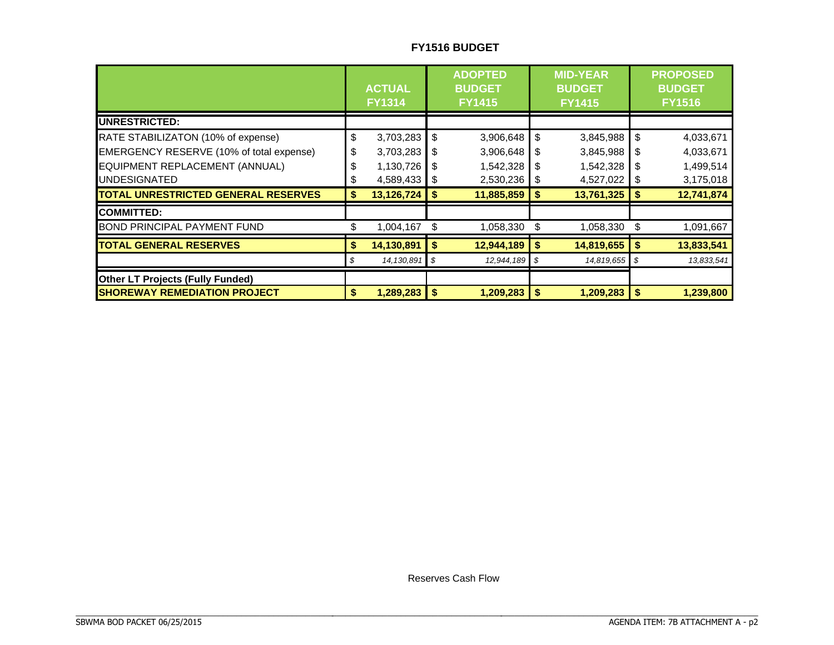### **FY1516 BUDGET**

|                                            |     | <b>ACTUAL</b><br><b>FY1314</b> |        | <b>ADOPTED</b><br><b>BUDGET</b><br><b>FY1415</b> |      | <b>MID-YEAR</b><br><b>BUDGET</b><br><b>FY1415</b> |               | <b>PROPOSED</b><br><b>BUDGET</b><br><b>FY1516</b> |
|--------------------------------------------|-----|--------------------------------|--------|--------------------------------------------------|------|---------------------------------------------------|---------------|---------------------------------------------------|
| <b>IUNRESTRICTED:</b>                      |     |                                |        |                                                  |      |                                                   |               |                                                   |
| RATE STABILIZATON (10% of expense)         | \$  | 3,703,283                      | -\$    | 3,906,648                                        | \$   | 3,845,988                                         | -\$           | 4,033,671                                         |
| EMERGENCY RESERVE (10% of total expense)   | \$  | 3,703,283                      | -S     | 3,906,648                                        | S    | 3,845,988                                         | - \$          | 4,033,671                                         |
| EQUIPMENT REPLACEMENT (ANNUAL)             | \$  | 1,130,726                      |        | 1,542,328                                        | S    | 1,542,328                                         | -S            | 1,499,514                                         |
| <b>UNDESIGNATED</b>                        | \$  | 4,589,433                      | l S    | 2,530,236                                        | -95  | 4,527,022                                         | - \$          | 3,175,018                                         |
| <b>TOTAL UNRESTRICTED GENERAL RESERVES</b> | \$  | 13,126,724                     | l \$   | 11,885,859                                       | \$.  | 13,761,325                                        | $\frac{1}{2}$ | 12,741,874                                        |
| <b>COMMITTED:</b>                          |     |                                |        |                                                  |      |                                                   |               |                                                   |
| <b>BOND PRINCIPAL PAYMENT FUND</b>         | \$  | 1,004,167                      | S      | 1,058,330                                        | - \$ | 1,058,330                                         | S             | 1,091,667                                         |
| <b>TOTAL GENERAL RESERVES</b>              | \$  | 14,130,891                     | l S    | $12,944,189$ \$                                  |      | $14,819,655$ \$                                   |               | 13,833,541                                        |
|                                            | \$. | 14,130,891                     | - \$   | 12,944,189                                       |      | 14,819,655                                        | -\$           | 13,833,541                                        |
| <b>Other LT Projects (Fully Funded)</b>    |     |                                |        |                                                  |      |                                                   |               |                                                   |
| <b>SHOREWAY REMEDIATION PROJECT</b>        | \$  | 1,289,283                      | $\sim$ | 1,209,283                                        | \$   | 1,209,283                                         | $\sqrt[3]{2}$ | 1,239,800                                         |

Reserves Cash Flow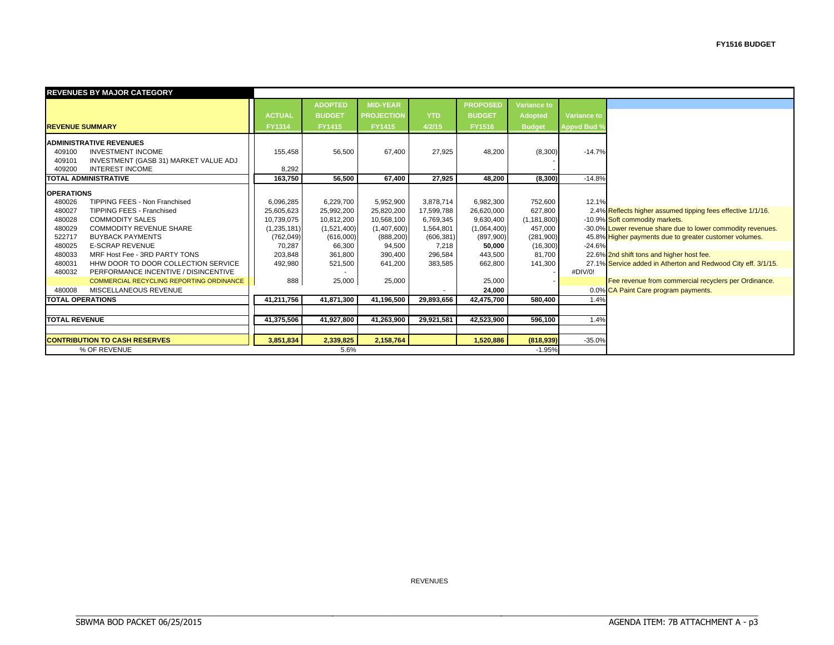| <b>REVENUES BY MAJOR CATEGORY</b> |                                          |               |                |                   |            |                 |                    |                    |                                                               |  |  |
|-----------------------------------|------------------------------------------|---------------|----------------|-------------------|------------|-----------------|--------------------|--------------------|---------------------------------------------------------------|--|--|
|                                   |                                          |               | <b>ADOPTED</b> | <b>MID-YEAR</b>   |            | <b>PROPOSED</b> | <b>Variance to</b> |                    |                                                               |  |  |
|                                   |                                          | <b>ACTUAL</b> | <b>BUDGET</b>  | <b>PROJECTION</b> | <b>YTD</b> | <b>BUDGET</b>   | <b>Adopted</b>     | Variance to        |                                                               |  |  |
| <b>REVENUE SUMMARY</b>            |                                          | <b>FY1314</b> | <b>FY1415</b>  | <b>FY1415</b>     | 4/2/15     | <b>FY1516</b>   | <b>Budget</b>      | <b>Appvd Bud 9</b> |                                                               |  |  |
|                                   |                                          |               |                |                   |            |                 |                    |                    |                                                               |  |  |
| <b>ADMINISTRATIVE REVENUES</b>    |                                          |               |                |                   |            |                 |                    |                    |                                                               |  |  |
| 409100                            | <b>INVESTMENT INCOME</b>                 | 155,458       | 56,500         | 67,400            | 27,925     | 48,200          | (8,300)            | $-14.7%$           |                                                               |  |  |
| 409101                            | INVESTMENT (GASB 31) MARKET VALUE ADJ    |               |                |                   |            |                 |                    |                    |                                                               |  |  |
| 409200                            | <b>INTEREST INCOME</b>                   | 8,292         |                |                   |            |                 |                    |                    |                                                               |  |  |
| <b>TOTAL ADMINISTRATIVE</b>       |                                          | 163.750       | 56.500         | 67.400            | 27.925     | 48.200          | (8,300)            | $-14.8%$           |                                                               |  |  |
| <b>OPERATIONS</b>                 |                                          |               |                |                   |            |                 |                    |                    |                                                               |  |  |
| 480026                            | TIPPING FEES - Non Franchised            | 6,096,285     | 6,229,700      | 5,952,900         | 3,878,714  | 6,982,300       | 752,600            | 12.1%              |                                                               |  |  |
| 480027                            | <b>TIPPING FEES - Franchised</b>         | 25,605,623    | 25,992,200     | 25,820,200        | 17,599,788 | 26,620,000      | 627,800            |                    | 2.4% Reflects higher assumed tipping fees effective 1/1/16.   |  |  |
| 480028                            | <b>COMMODITY SALES</b>                   | 10,739,075    | 10,812,200     | 10,568,100        | 6,769,345  | 9,630,400       | (1, 181, 800)      |                    | -10.9% Soft commodity markets.                                |  |  |
| 480029                            | <b>COMMODITY REVENUE SHARE</b>           | (1,235,181)   | (1,521,400)    | (1,407,600)       | 1,564,801  | (1,064,400)     | 457,000            |                    | -30.0% Lower revenue share due to lower commodity revenues.   |  |  |
| 522717                            | <b>BUYBACK PAYMENTS</b>                  | (762, 049)    | (616,000)      | (888, 200)        | (606, 381) | (897,900)       | (281,900)          |                    | 45.8% Higher payments due to greater customer volumes.        |  |  |
| 480025                            | <b>E-SCRAP REVENUE</b>                   | 70,287        | 66,300         | 94,500            | 7,218      | 50,000          | (16, 300)          | $-24.6%$           |                                                               |  |  |
| 480033                            | MRF Host Fee - 3RD PARTY TONS            | 203,848       | 361,800        | 390,400           | 296,584    | 443,500         | 81,700             |                    | 22.6% 2nd shift tons and higher host fee.                     |  |  |
| 480031                            | HHW DOOR TO DOOR COLLECTION SERVICE      | 492,980       | 521,500        | 641,200           | 383,585    | 662,800         | 141,300            |                    | 27.1% Service added in Atherton and Redwood City eff. 3/1/15. |  |  |
| 480032                            | PERFORMANCE INCENTIVE / DISINCENTIVE     |               |                |                   |            |                 |                    | #DIV/0!            |                                                               |  |  |
|                                   | COMMERCIAL RECYCLING REPORTING ORDINANCE | 888           | 25,000         | 25,000            |            | 25,000          |                    |                    | Fee revenue from commercial recyclers per Ordinance.          |  |  |
| 480008                            | MISCELLANEOUS REVENUE                    |               |                |                   |            | 24,000          |                    |                    | 0.0% CA Paint Care program payments.                          |  |  |
| <b>TOTAL OPERATIONS</b>           |                                          | 41.211.756    | 41.871.300     | 41.196.500        | 29.893.656 | 42.475.700      | 580.400            | 1.4%               |                                                               |  |  |
|                                   |                                          |               |                |                   |            |                 |                    |                    |                                                               |  |  |
| <b>TOTAL REVENUE</b>              |                                          | 41,375,506    | 41,927,800     | 41,263,900        | 29,921,581 | 42,523,900      | 596.100            | 1.4%               |                                                               |  |  |
|                                   |                                          |               |                |                   |            |                 |                    |                    |                                                               |  |  |
|                                   | <b>CONTRIBUTION TO CASH RESERVES</b>     | 3,851,834     | 2,339,825      | 2,158,764         |            | 1,520,886       | (818,939)          | $-35.0%$           |                                                               |  |  |
|                                   | % OF REVENUE                             |               | 5.6%           |                   |            |                 | $-1.95%$           |                    |                                                               |  |  |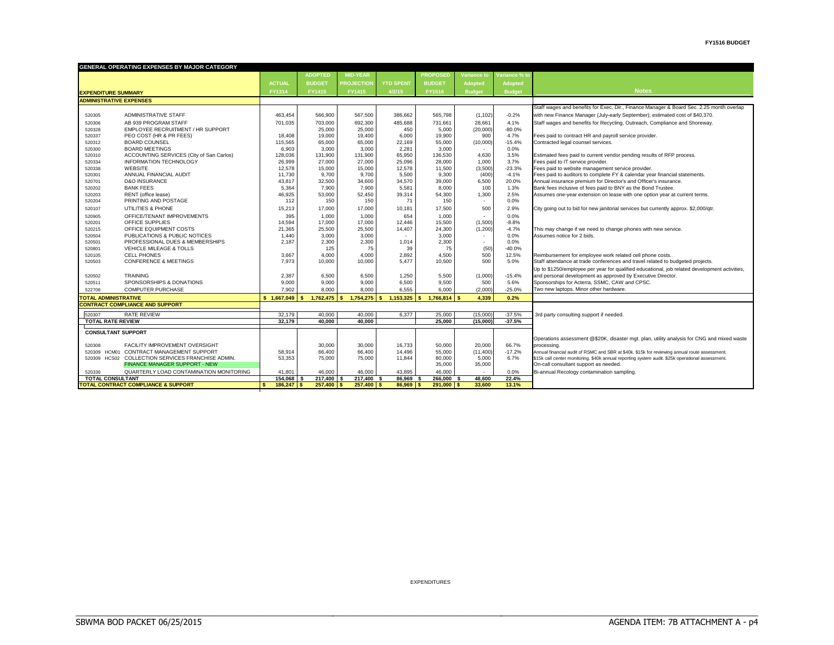|                                | <b>GENERAL OPERATING EXPENSES BY MAJOR CATEGORY</b> |                  |                       |                   |                       |                         |                    |                     |                                                                                                                                 |  |  |
|--------------------------------|-----------------------------------------------------|------------------|-----------------------|-------------------|-----------------------|-------------------------|--------------------|---------------------|---------------------------------------------------------------------------------------------------------------------------------|--|--|
|                                |                                                     |                  | <b>ADOPTED</b>        | <b>MID-YEAR</b>   |                       | <b>PROPOSED</b>         | <b>Variance to</b> | Variance % to       |                                                                                                                                 |  |  |
|                                |                                                     | <b>ACTUAL</b>    | <b>BUDGET</b>         | <b>PROJECTION</b> | <b>YTD SPENT</b>      | <b>BUDGET</b>           | <b>Adopted</b>     | <b>Adopted</b>      |                                                                                                                                 |  |  |
| <b>EXPENDITURE SUMMARY</b>     |                                                     | <b>FY1314</b>    | FY1415                | FY1415            | 4/2/15                | <b>FY1516</b>           | <b>Budget</b>      | <b>Budget</b>       | <b>Notes</b>                                                                                                                    |  |  |
| <b>ADMINISTRATIVE EXPENSES</b> |                                                     |                  |                       |                   |                       |                         |                    |                     |                                                                                                                                 |  |  |
|                                |                                                     |                  |                       |                   |                       |                         |                    |                     | Staff wages and benefits for Exec. Dir., Finance Manager & Board Sec. 2.25 month overlap                                        |  |  |
| 520305                         | <b>ADMINISTRATIVE STAFF</b>                         | 463.454          | 566,900               | 567,500           | 386.662               | 565.798                 | (1, 102)           | $-0.2%$             | with new Finance Manager (July-early September); estimated cost of \$40,370.                                                    |  |  |
| 520306                         | AB 939 PROGRAM STAFF                                | 701.035          | 703,000               | 692.300           | 485.688               | 731.661                 | 28.661             | 4.1%                | Staff wages and benefits for Recycling, Outreach, Compliance and Shoreway.                                                      |  |  |
| 520328                         | EMPLOYEE RECRUITMENT / HR SUPPORT                   |                  | 25,000                | 25,000            | 450                   | 5,000                   | (20,000)           | $-80.0%$            |                                                                                                                                 |  |  |
| 520337                         | PEO COST (HR & PR FEES)                             | 18,408           | 19,000                | 19,400            | 6,000                 | 19,900                  | 900                | 4.7%                | Fees paid to contract HR and payroll service provider.                                                                          |  |  |
| 520312                         | <b>BOARD COUNSEL</b>                                | 115.565          | 65,000                | 65,000            | 22.169                | 55,000                  | (10,000)           | $-15.4%$            | Contracted legal counsel services.                                                                                              |  |  |
| 520300                         | <b>BOARD MEETINGS</b>                               | 6,903            | 3,000                 | 3,000             | 2,281                 | 3.000                   |                    | 0.0%                |                                                                                                                                 |  |  |
| 520310                         | ACCOUNTING SERVICES (City of San Carlos)            | 128,036          | 131,900               | 131,900           | 65,950                | 136,530                 | 4,630              | 3.5%                | Estimated fees paid to current vendor pending results of RFP process.                                                           |  |  |
| 520334                         | <b>INFORMATION TECHNOLOGY</b>                       | 26,999           | 27,000                | 27,000            | 25.096                | 28,000                  | 1,000              | 3.7%                | Fees paid to IT service provider.                                                                                               |  |  |
| 520338                         | <b>WEBSITE</b><br>ANNUAL FINANCIAL AUDIT            | 12,578<br>11.730 | 15,000<br>9.700       | 15,000<br>9.700   | 12,578<br>5.500       | 11,500<br>9.300         | (3,500)<br>(400)   | $-23.3%$<br>$-4.1%$ | Fees paid to website management service provider.<br>Fees paid to auditors to complete FY & calendar year financial statements. |  |  |
| 520301<br>520701               | <b>D&amp;O INSURANCE</b>                            | 43.817           | 32,500                | 34,600            | 34.570                | 39,000                  | 6,500              | 20.0%               | Annual insurance premium for Director's and Officer's insurance.                                                                |  |  |
| 520202                         | <b>BANK FEES</b>                                    | 5,364            | 7,900                 | 7,900             | 5,581                 | 8,000                   | 100                | 1.3%                | Bank fees inclusive of fees paid to BNY as the Bond Trustee.                                                                    |  |  |
| 520203                         | RENT (office lease)                                 | 46,925           | 53,000                | 52,450            | 39,314                | 54,300                  | 1,300              | 2.5%                | Assumes one-year extension on lease with one option year at current terms.                                                      |  |  |
| 520204                         | PRINTING AND POSTAGE                                | 112              | 150                   | 150               | 71                    | 150                     |                    | 0.0%                |                                                                                                                                 |  |  |
| 520107                         | UTILITIES & PHONE                                   | 15,213           | 17,000                | 17,000            | 10,181                | 17,500                  | 500                | 2.9%                | City going out to bid for new janitorial services but currently approx. \$2,000/qtr.                                            |  |  |
| 520905                         | OFFICE/TENANT IMPROVEMENTS                          | 395              | 1,000                 | 1.000             | 654                   | 1,000                   |                    | 0.0%                |                                                                                                                                 |  |  |
| 520201                         | OFFICE SUPPLIES                                     | 14,594           | 17,000                | 17,000            | 12,446                | 15,500                  | (1,500)            | $-8.8%$             |                                                                                                                                 |  |  |
| 520215                         | OFFICE EQUIPMENT COSTS                              | 21,365           | 25,500                | 25,500            | 14.407                | 24,300                  | (1,200)            | $-4.7%$             | This may change if we need to change phones with new service.                                                                   |  |  |
| 520504                         | PUBLICATIONS & PUBLIC NOTICES                       | 1,440            | 3,000                 | 3,000             |                       | 3,000                   |                    | 0.0%                | Assumes notice for 2 bids.                                                                                                      |  |  |
| 520501                         | PROFESSIONAL DUES & MEMBERSHIPS                     | 2,187            | 2,300                 | 2,300             | 1,014                 | 2,300                   | $\sim$             | 0.0%                |                                                                                                                                 |  |  |
| 520801                         | VEHICLE MILEAGE & TOLLS                             |                  | 125                   | 75                | 39                    | 75                      | (50)               | $-40.0%$            |                                                                                                                                 |  |  |
| 520105                         | <b>CELL PHONES</b>                                  | 3.667            | 4,000                 | 4.000             | 2,892                 | 4,500                   | 500                | 12.5%               | Reimbursement for employee work related cell phone costs.                                                                       |  |  |
| 520503                         | <b>CONFERENCE &amp; MEETINGS</b>                    | 7.973            | 10,000                | 10,000            | 5,477                 | 10,500                  | 500                | 5.0%                | Staff attendance at trade conferences and travel related to budgeted projects.                                                  |  |  |
|                                |                                                     |                  |                       |                   |                       |                         |                    |                     | Up to \$1250/employee per year for qualified educational, job related development activities,                                   |  |  |
| 520502                         | <b>TRAINING</b>                                     | 2,387            | 6,500                 | 6,500             | 1,250                 | 5,500                   | (1,000)            | $-15.4%$            | and personal development as approved by Executive Director.                                                                     |  |  |
| 520511                         | SPONSORSHIPS & DONATIONS                            | 9.000            | 9.000                 | 9,000             | 6.500                 | 9.500                   | 500                | 5.6%                | Sponsorships for Acterra, SSMC, CAW and CPSC.                                                                                   |  |  |
| 522706                         | <b>COMPUTER PURCHASE</b>                            | 7.902            | 8.000                 | 8.000             | 6.555                 | 6,000                   | (2,000)            | $-25.0%$            | Two new laptops. Minor other hardware.                                                                                          |  |  |
| <b>TOTAL ADMINISTRATIVE</b>    |                                                     | \$1,667,049      | 1,762,475<br><b>S</b> | 1,754,275         | 1,153,325<br><b>S</b> | $\epsilon$<br>1,766,814 | 4,339              | 0.2%                |                                                                                                                                 |  |  |
|                                | <b>CONTRACT COMPLIANCE AND SUPPORT</b>              |                  |                       |                   |                       |                         |                    |                     |                                                                                                                                 |  |  |
| 520307                         | <b>RATE REVIEW</b>                                  | 32.179           | 40.000                | 40.000            | 6.377                 | 25,000                  | (15,000)           | $-37.5%$            | 3rd party consulting support if needed.                                                                                         |  |  |
| <b>TOTAL RATE REVIEW</b>       |                                                     | 32.179           | 40.000                | 40.000            |                       | 25,000                  | (15,000)           | $-37.5%$            |                                                                                                                                 |  |  |
| <b>CONSULTANT SUPPORT</b>      |                                                     |                  |                       |                   |                       |                         |                    |                     |                                                                                                                                 |  |  |
|                                |                                                     |                  |                       |                   |                       |                         |                    |                     | Operations assessment @\$20K, disaster mgt. plan, utility analysis for CNG and mixed waste                                      |  |  |
| 520308                         | <b>FACILITY IMPROVEMENT OVERSIGHT</b>               |                  | 30,000                | 30,000            | 16,733                | 50,000                  | 20,000             | 66.7%               | processing.                                                                                                                     |  |  |
|                                | 520309 HCM01 CONTRACT MANAGEMENT SUPPORT            | 58.914           | 66,400                | 66,400            | 14,496                | 55,000                  | (11, 400)          | $-17.2%$            | Annual financial audit of RSMC and SBR at \$40k. \$15k for reviewing annual route assessment.                                   |  |  |
|                                | 520309 HCS02 COLLECTION SERVICES FRANCHISE ADMIN.   | 53,353           | 75,000                | 75,000            | 11,844                | 80,000                  | 5,000              | 6.7%                | \$15k call center monitoring. \$40k annual reporting system audit. \$25k operational assessment.                                |  |  |
|                                | <b>FINANCE MANAGER SUPPORT - NEW</b>                |                  |                       |                   |                       | 35,000                  | 35,000             |                     | On-call consultant support as needed.                                                                                           |  |  |
| 520336                         | QUARTERLY LOAD CONTAMINATION MONITORING             | 41,801           | 46.000                | 46.000            | 43.895                | 46.000                  |                    | 0.0%                | Bi-annual Recology contamination sampling.                                                                                      |  |  |
| <b>TOTAL CONSULTANT</b>        |                                                     | 154,068          | 217,400               | $217,400$ \$      | 86.969                | 266,000                 | 48,600             | 22.4%               |                                                                                                                                 |  |  |
|                                | <b>TOTAL CONTRACT COMPLIANCE &amp; SUPPORT</b>      | 186,247 \$<br>S  | 257.400 \$            | 257.400 \$        | $86.969$ S            | 291.000 S               | 33.600             | 13.1%               |                                                                                                                                 |  |  |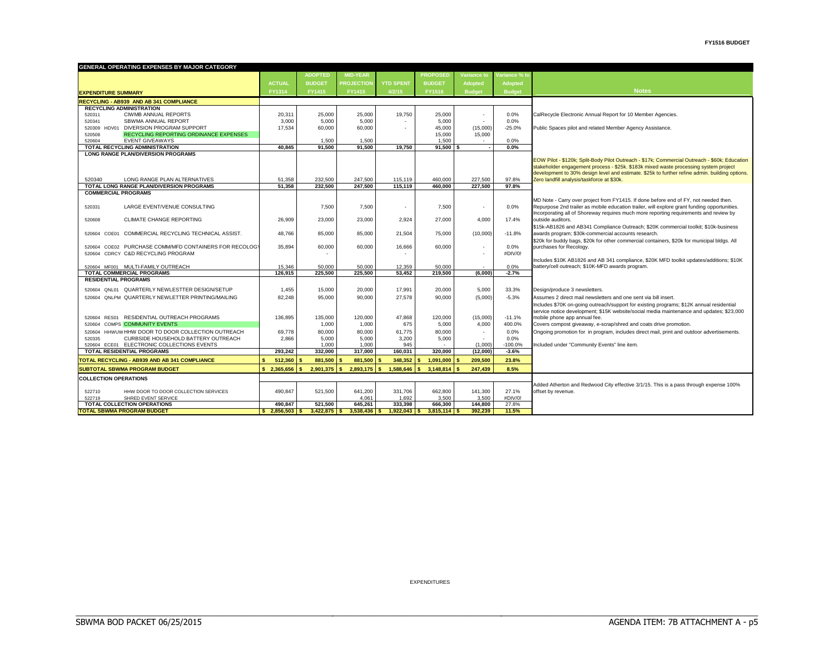| GENERAL OPERATING EXPENSES BY MAJOR CATEGORY                                    |                  |                     |                   |                          |                       |                          |                      |                                                                                                             |
|---------------------------------------------------------------------------------|------------------|---------------------|-------------------|--------------------------|-----------------------|--------------------------|----------------------|-------------------------------------------------------------------------------------------------------------|
|                                                                                 |                  | <b>ADOPTED</b>      | <b>MID-YEAR</b>   |                          | <b>PROPOSED</b>       | Variance to              | Variance % to        |                                                                                                             |
|                                                                                 | <b>ACTUAL</b>    | <b>BUDGET</b>       | <b>PROJECTION</b> | <b>YTD SPENT</b>         | <b>BUDGET</b>         | Adopted                  | <b>Adopted</b>       |                                                                                                             |
| <b>EXPENDITURE SUMMARY</b>                                                      | FY1314           | FY1415              | FY1415            | 4/2/15                   | FY1516                | <b>Budget</b>            | <b>Budget</b>        | <b>Notes</b>                                                                                                |
| RECYCLING - AB939 AND AB 341 COMPLIANCE                                         |                  |                     |                   |                          |                       |                          |                      |                                                                                                             |
| <b>RECYCLING ADMINISTRATION</b>                                                 |                  |                     |                   |                          |                       |                          |                      |                                                                                                             |
| <b>CIWMB ANNUAL REPORTS</b><br>520311                                           | 20,311           | 25,000              | 25,000            | 19,750                   | 25,000                | $\overline{\phantom{a}}$ | 0.0%                 | CalRecycle Electronic Annual Report for 10 Member Agencies.                                                 |
| SBWMA ANNUAL REPORT<br>520341                                                   | 3,000            | 5,000               | 5,000             | $\overline{\phantom{a}}$ | 5,000                 | ٠                        | 0.0%                 |                                                                                                             |
| 520309 HDV01 DIVERSION PROGRAM SUPPORT                                          | 17,534           | 60,000              | 60,000            |                          | 45,000                | (15,000)                 | $-25.0%$             | Public Spaces pilot and related Member Agency Assistance.                                                   |
| RECYCLING REPORTING ORDINANCE EXPENSES<br>520508                                |                  |                     |                   |                          | 15,000                | 15,000                   |                      |                                                                                                             |
| <b>EVENT GIVEAWAYS</b><br>520604<br>TOTAL RECYCLING ADMINISTRATION              | 40,845           | 1.500<br>91.500     | 1,500<br>91.500   | 19,750                   | 1.500<br>91,500       | $\sim$                   | 0.0%<br>0.0%         |                                                                                                             |
| <b>LONG RANGE PLAN/DIVERSION PROGRAMS</b>                                       |                  |                     |                   |                          |                       |                          |                      |                                                                                                             |
|                                                                                 |                  |                     |                   |                          |                       |                          |                      | EOW Pilot - \$120k; Split-Body Pilot Outreach - \$17k; Commercial Outreach - \$60k; Education               |
|                                                                                 |                  |                     |                   |                          |                       |                          |                      | stakeholder engagement process - \$25k. \$183k mixed waste processing system project                        |
|                                                                                 |                  |                     |                   |                          |                       |                          |                      | development to 30% design level and estimate. \$25k to further refine admin. building options.              |
| 520340<br>LONG RANGE PLAN ALTERNATIVES                                          | 51.358           | 232.500             | 247.500           | 115,119                  | 460.000               | 227.500                  | 97.8%                | Zero landfill analysis/taskforce at \$30k.                                                                  |
| <b>TOTAL LONG RANGE PLAN/DIVERSION PROGRAMS</b><br><b>COMMERCIAL PROGRAMS</b>   | 51.358           | 232.500             | 247.500           | 115.119                  | 460.000               | 227.500                  | 97.8%                |                                                                                                             |
|                                                                                 |                  |                     |                   |                          |                       |                          |                      | MD Note - Carry over project from FY1415. If done before end of FY, not needed then.                        |
| LARGE EVENT/VENUE CONSULTING<br>520331                                          |                  | 7,500               | 7,500             | $\sim$                   | 7,500                 | ٠                        | 0.0%                 | Repurpose 2nd trailer as mobile education trailer, will explore grant funding opportunities.                |
|                                                                                 |                  |                     |                   |                          |                       |                          |                      | Incorporating all of Shoreway requires much more reporting requirements and review by                       |
| CLIMATE CHANGE REPORTING<br>520608                                              | 26,909           | 23,000              | 23,000            | 2,924                    | 27,000                | 4,000                    | 17.4%                | outside auditors.                                                                                           |
|                                                                                 |                  |                     |                   |                          |                       |                          |                      | \$15k-AB1826 and AB341 Compliance Outreach; \$20K commercial toolkit; \$10k-business                        |
| 520604 COE01 COMMERCIAL RECYCLING TECHNICAL ASSIST.                             | 48,766           | 85,000              | 85,000            | 21,504                   | 75,000                | (10,000)                 | $-11.8%$             | awards program; \$30k-commercial accounts research.                                                         |
|                                                                                 |                  |                     |                   |                          |                       |                          |                      | \$20k for buddy bags, \$20k for other commercial containers, \$20k for municipal bldgs. All                 |
| 520604 COE02 PURCHASE COMM/MFD CONTAINERS FOR RECOLOGY                          | 35,894           | 60,000              | 60,000            | 16,666                   | 60,000                | ٠                        | 0.0%                 | purchases for Recology.                                                                                     |
| 520604 CDRCY C&D RECYCLING PROGRAM                                              |                  |                     |                   |                          |                       | $\overline{a}$           | #DIV/0!              | Includes \$10K AB1826 and AB 341 compliance, \$20K MFD toolkit updates/additions; \$10K                     |
| 520604 MF001 MULTI-FAMILY OUTREACH                                              | 15.346           | 50,000              | 50,000            | 12.359                   | 50.000                |                          | 0.0%                 | battery/cell outreach; \$10K-MFD awards program.                                                            |
| <b>TOTAL COMMERCIAL PROGRAMS</b>                                                | 126.915          | 225.500             | 225.500           | 53.452                   | 219.500               | (6.000)                  | $-2.7%$              |                                                                                                             |
| <b>RESIDENTIAL PROGRAMS</b>                                                     |                  |                     |                   |                          |                       |                          |                      |                                                                                                             |
| 520604 QNL01 QUARTERLY NEWLESTTER DESIGN/SETUP                                  | 1,455            | 15,000              | 20,000            | 17,991                   | 20,000                | 5,000                    | 33.3%                | Design/produce 3 newsletters.                                                                               |
| 520604 ONLPM QUARTERLY NEWLETTER PRINTING/MAILING                               | 82.248           | 95.000              | 90,000            | 27.578                   | 90.000                | (5,000)                  | $-5.3%$              | Assumes 2 direct mail newsletters and one sent via bill insert                                              |
|                                                                                 |                  |                     |                   |                          |                       |                          |                      | Includes \$70K on-going outreach/support for existing programs; \$12K annual residential                    |
|                                                                                 |                  |                     |                   |                          |                       |                          |                      | service notice development; \$15K website/social media maintenance and updates; \$23,000                    |
| 520604 RES01 RESIDENTIAL OUTREACH PROGRAMS                                      | 136,895          | 135,000             | 120,000           | 47.868                   | 120,000               | (15,000)                 | $-11.1%$             | mobile phone app annual fee.                                                                                |
| 520604 COMPS COMMUNITY EVENTS                                                   |                  | 1,000               | 1,000             | 675                      | 5,000                 | 4,000                    | 400.0%               | Covers compost giveaway, e-scrap/shred and coats drive promotion.                                           |
| 520604 HHWUW HHW DOOR TO DOOR COLLECTION OUTREACH                               | 69.778           | 80,000              | 80,000            | 61.775                   | 80,000                | $\sim$                   | 0.0%                 | Ongoing promotion for in program, includes direct mail, print and outdoor advertisements.                   |
| CURBSIDE HOUSEHOLD BATTERY OUTREACH<br>520335                                   | 2.866            | 5.000               | 5.000             | 3.200                    | 5,000                 | $\overline{\phantom{a}}$ | 0.0%                 |                                                                                                             |
| 520604 ECE01 ELECTRONIC COLLECTIONS EVENTS<br><b>TOTAL RESIDENTIAL PROGRAMS</b> | 293.242          | 1.000<br>332.000    | 1.000<br>317.000  | 945<br>160.031           | 320.000               | (1.000)<br>(12.000)      | $-100.0%$<br>$-3.6%$ | Included under "Community Events" line item.                                                                |
|                                                                                 |                  |                     |                   |                          |                       |                          |                      |                                                                                                             |
| TOTAL RECYCLING - AB939 AND AB 341 COMPLIANCE                                   | 512.360<br>\$.   | 881.500<br><b>S</b> | 881.500<br>- 5    | 348.352                  | 1.091.000             | 209.500<br>s             | 23.8%                |                                                                                                             |
| <b>SUBTOTAL SBWMA PROGRAM BUDGET</b>                                            | \$2.365.656      | 2.901.375<br>l s    | 2.893.175<br>l S  | 1.588.646<br>Ś.          | <b>S</b><br>3.148.814 | 247.439                  | 8.5%                 |                                                                                                             |
| <b>COLLECTION OPERATIONS</b>                                                    |                  |                     |                   |                          |                       |                          |                      |                                                                                                             |
|                                                                                 | 490,847          | 521,500             | 641,200           |                          | 662,800               | 141,300                  | 27.1%                | Added Atherton and Redwood City effective 3/1/15. This is a pass through expense 100%<br>offset by revenue. |
| 522710<br>HHW DOOR TO DOOR COLLECTION SERVICES<br>522719<br>SHRED EVENT SERVICE |                  |                     | 4.061             | 331,706<br>1,692         | 3,500                 | 3.500                    | #DIV/0!              |                                                                                                             |
| <b>TOTAL COLLECTION OPERATIONS</b>                                              | 490,847          | 521,500             | 645,261           | 333,398                  | 666,300               | 144.800                  | 27.8%                |                                                                                                             |
| <b>TOTAL SBWMA PROGRAM BUDGET</b>                                               | $$2,856,503$ \\$ | 3,422,875           | 3,538,436         | 1,922,043<br>s           | 3,815,114<br>s.       | 392,239                  | 11.5%                |                                                                                                             |

EXPENDITURES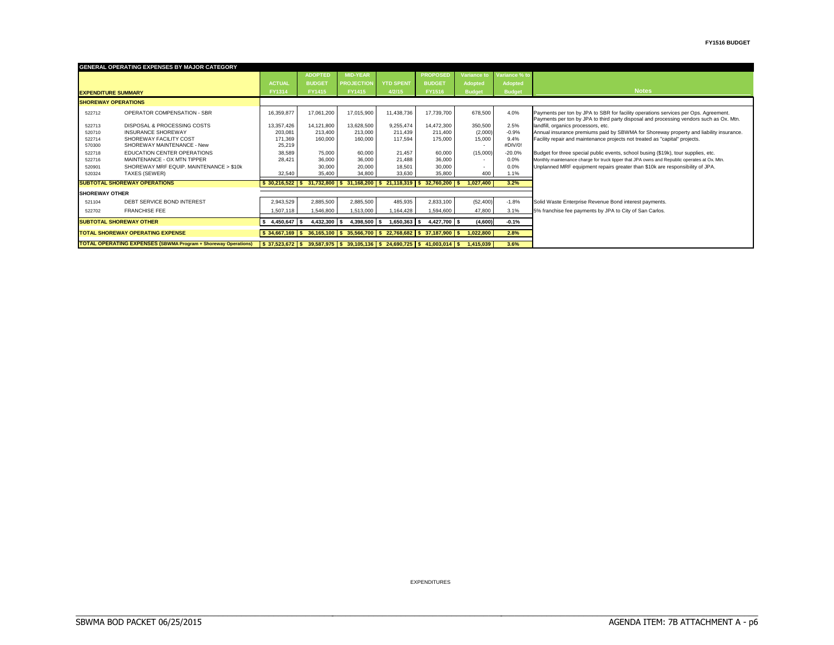|                            | <b>GENERAL OPERATING EXPENSES BY MAJOR CATEGORY</b>                   |                                                                                                         |                |                           |                                                                           |                 |                |               |                                                                                                                                                                                |
|----------------------------|-----------------------------------------------------------------------|---------------------------------------------------------------------------------------------------------|----------------|---------------------------|---------------------------------------------------------------------------|-----------------|----------------|---------------|--------------------------------------------------------------------------------------------------------------------------------------------------------------------------------|
|                            |                                                                       |                                                                                                         | <b>ADOPTED</b> | <b>MID-YEAR</b>           |                                                                           | <b>PROPOSED</b> | Variance to    | Variance % to |                                                                                                                                                                                |
|                            |                                                                       | <b>ACTUAL</b>                                                                                           | <b>BUDGET</b>  | <b>PROJECTION</b>         | <b>YTD SPENT</b>                                                          | <b>BUDGET</b>   | <b>Adopted</b> | Adopted       |                                                                                                                                                                                |
| <b>EXPENDITURE SUMMARY</b> |                                                                       | <b>FY1314</b>                                                                                           | FY1415         | FY1415                    | 4/2/15                                                                    | FY1516          | <b>Budget</b>  | <b>Budget</b> | <b>Notes</b>                                                                                                                                                                   |
| <b>SHOREWAY OPERATIONS</b> |                                                                       |                                                                                                         |                |                           |                                                                           |                 |                |               |                                                                                                                                                                                |
| 522712                     | <b>OPERATOR COMPENSATION - SBR</b>                                    | 16,359,877                                                                                              | 17,061,200     | 17,015,900                | 11,438,736                                                                | 17,739,700      | 678,500        | 4.0%          | Payments per ton by JPA to SBR for facility operations services per Ops. Agreement.<br>Payments per ton by JPA to third party disposal and processing vendors such as Ox. Mtn. |
| 522713                     | DISPOSAL & PROCESSING COSTS                                           | 13,357,426                                                                                              | 14,121,800     | 13,628,500                | 9,255,474                                                                 | 14,472,300      | 350,500        | 2.5%          | landfill, organics processors, etc.                                                                                                                                            |
| 520710                     | <b>INSURANCE SHOREWAY</b>                                             | 203,081                                                                                                 | 213,400        | 213,000                   | 211.439                                                                   | 211.400         | (2,000)        | $-0.9%$       | Annual insurance premiums paid by SBWMA for Shoreway property and liability insurance.                                                                                         |
| 522714                     | SHOREWAY FACILITY COST                                                | 171,369                                                                                                 | 160,000        | 160,000                   | 117.594                                                                   | 175,000         | 15,000         | 9.4%          | Facility repair and maintenance projects not treated as "capital" projects.                                                                                                    |
| 570300                     | SHOREWAY MAINTENANCE - New                                            | 25,219                                                                                                  |                |                           |                                                                           |                 |                | #DIV/0!       |                                                                                                                                                                                |
| 522718                     | EDUCATION CENTER OPERATIONS                                           | 38,589                                                                                                  | 75,000         | 60,000                    | 21,457                                                                    | 60,000          | (15,000)       | $-20.0%$      | Budget for three special public events, school busing (\$19k), tour supplies, etc.                                                                                             |
| 522716                     | MAINTENANCE - OX MTN TIPPER                                           | 28.421                                                                                                  | 36,000         | 36,000                    | 21,488                                                                    | 36,000          |                | 0.0%          | Monthly maintenance charge for truck tipper that JPA owns and Republic operates at Ox. Mtn.                                                                                    |
| 520901                     | SHOREWAY MRF EQUIP, MAINTENANCE > \$10k                               |                                                                                                         | 30,000         | 20,000                    | 18,501                                                                    | 30,000          |                | 0.0%          | Unplanned MRF equipment repairs greater than \$10k are responsibility of JPA.                                                                                                  |
| 520324                     | TAXES (SEWER)                                                         | 32,540                                                                                                  | 35,400         | 34,800                    | 33,630                                                                    | 35,800          | 400            | 1.1%          |                                                                                                                                                                                |
|                            | <b>SUBTOTAL SHOREWAY OPERATIONS</b>                                   |                                                                                                         |                |                           | $$30,216,522$ $$31,732,800$ $$31,168,200$ $$21,118,319$ $$32,760,200$ $$$ |                 | 1.027.400      | 3.2%          |                                                                                                                                                                                |
| <b>SHOREWAY OTHER</b>      |                                                                       |                                                                                                         |                |                           |                                                                           |                 |                |               |                                                                                                                                                                                |
| 521104                     | DEBT SERVICE BOND INTEREST                                            | 2,943,529                                                                                               | 2,885,500      | 2,885,500                 | 485,935                                                                   | 2,833,100       | (52, 400)      | $-1.8%$       | Solid Waste Enterprise Revenue Bond interest payments.                                                                                                                         |
| 522702                     | <b>FRANCHISE FEE</b>                                                  | 1.507.118                                                                                               | 1,546,800      | 1.513.000                 | 1,164,428                                                                 | 1,594,600       | 47,800         | 3.1%          | 5% franchise fee payments by JPA to City of San Carlos.                                                                                                                        |
|                            | <b>SUBTOTAL SHOREWAY OTHER</b>                                        | 4,450,647 \$                                                                                            |                | 4,432,300 \$ 4,398,500 \$ | $1,650,363$ \$                                                            | 4,427,700 \$    | (4,600)        | $-0.1%$       |                                                                                                                                                                                |
|                            | <b>TOTAL SHOREWAY OPERATING EXPENSE</b>                               |                                                                                                         |                |                           | $$34,667,169$ $$36,165,100$ $$35,566,700$ $$22,768,682$ $$37,187,900$ $$$ |                 | 1,022,800      | 2.8%          |                                                                                                                                                                                |
|                            | <b>TOTAL OPERATING EXPENSES (SBWMA Program + Shoreway Operations)</b> | $\frac{1}{3}$ 37,523,672 \ \$ 39,587,975 \ \$ 39,105,136 \ \$ 24,690,725 \ \$ 41,003,014 \ \$ 1,415,039 |                |                           |                                                                           |                 |                | 3.6%          |                                                                                                                                                                                |

EXPENDITURES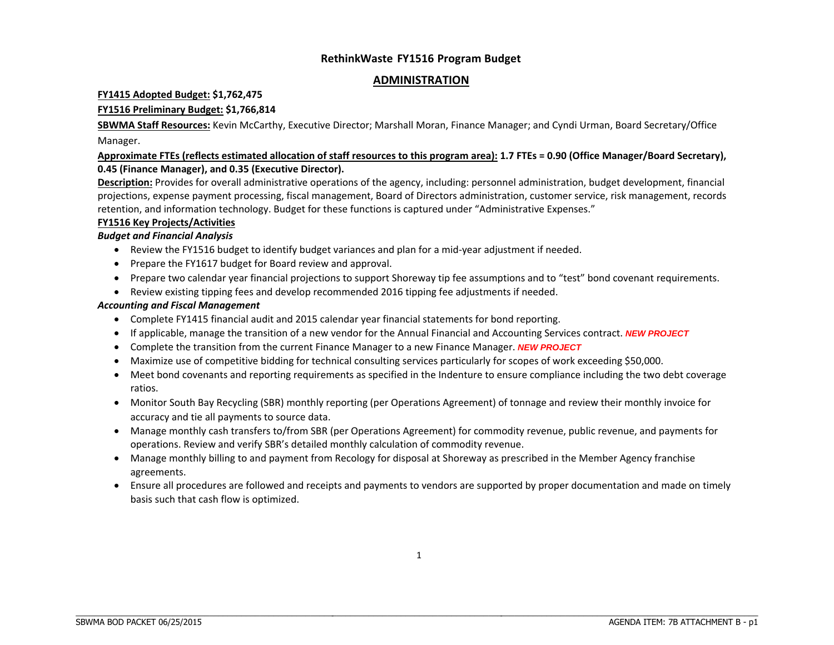#### **ADMINISTRATION**

#### **FY1415 Adopted Budget: \$1,762,475**

#### **FY1516 Preliminary Budget: \$1,766,814**

**SBWMA Staff Resources:** Kevin McCarthy, Executive Director; Marshall Moran, Finance Manager; and Cyndi Urman, Board Secretary/Office Manager.

#### Approximate FTEs (reflects estimated allocation of staff resources to this program area): 1.7 FTEs = 0.90 (Office Manager/Board Secretary), **0.45 (Finance Manager), and 0.35 (Executive Director).**

**Description:** Provides for overall administrative operations of the agency, including: personnel administration, budget development, financial projections, expense payment processing, fiscal management, Board of Directors administration, customer service, risk management, records retention, and information technology. Budget for these functions is captured under "Administrative Expenses."

#### **FY1516 Key Projects/Activities**

#### *Budget and Financial Analysis*

- Review the FY1516 budget to identify budget variances and plan for a mid-year adjustment if needed.
- Prepare the FY1617 budget for Board review and approval.
- Prepare two calendar year financial projections to support Shoreway tip fee assumptions and to "test" bond covenant requirements.
- Review existing tipping fees and develop recommended 2016 tipping fee adjustments if needed.

#### *Accounting and Fiscal Management*

- Complete FY1415 financial audit and 2015 calendar year financial statements for bond reporting.
- If applicable, manage the transition of <sup>a</sup> new vendor for the Annual Financial and Accounting Services contract. *NEW PROJECT*
- **•** Complete the transition from the current Finance Manager to a new Finance Manager. **NEW PROJECT**
- Maximize use of competitive bidding for technical consulting services particularly for scopes of work exceeding \$50,000.
- Meet bond covenants and reporting requirements as specified in the Indenture to ensure compliance including the two debt coverage ratios.
- Monitor South Bay Recycling (SBR) monthly reporting (per Operations Agreement) of tonnage and review their monthly invoice for accuracy and tie all payments to source data.
- Manage monthly cash transfers to/from SBR (per Operations Agreement) for commodity revenue, public revenue, and payments for operations. Review and verify SBR's detailed monthly calculation of commodity revenue.
- Manage monthly billing to and payment from Recology for disposal at Shoreway as prescribed in the Member Agency franchise agreements.
- Ensure all procedures are followed and receipts and payments to vendors are supported by proper documentation and made on timely basis such that cash flow is optimized.

\_\_\_\_\_\_\_\_\_\_\_\_\_\_\_\_\_\_\_\_\_\_\_\_\_\_\_\_\_\_\_\_\_\_\_\_\_\_\_\_\_\_\_\_\_\_\_\_\_\_\_\_\_\_\_\_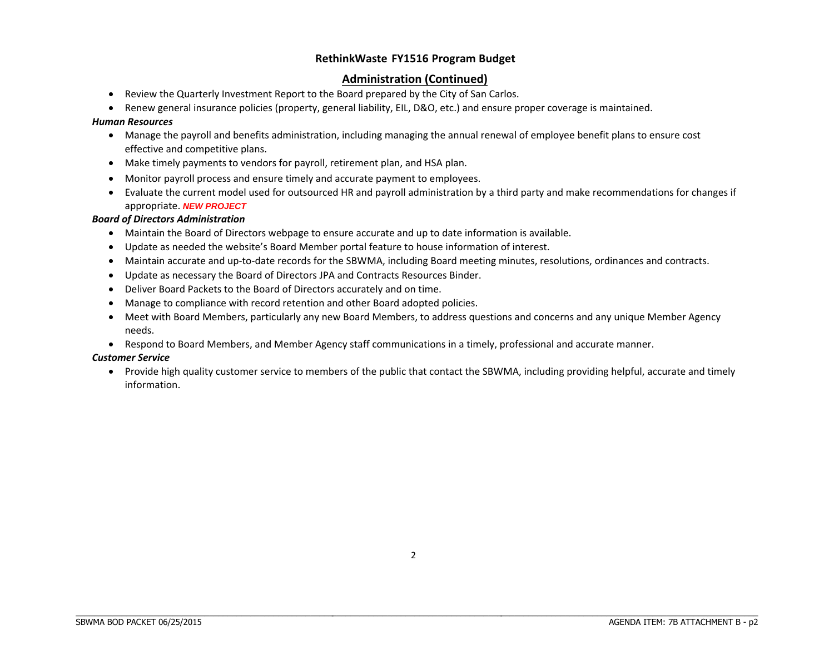#### **Administration (Continued)**

- Review the Quarterly Investment Report to the Board prepared by the City of San Carlos.
- 0 • Renew general insurance policies (property, general liability, EIL, D&O, etc.) and ensure proper coverage is maintained.

#### *Human Resources*

- Manage the payroll and benefits administration, including managing the annual renewal of employee benefit plans to ensure cost effective and competitive plans.
- Make timely payments to vendors for payroll, retirement plan, and HSA plan.
- Monitor payroll process and ensure timely and accurate payment to employees.
- Evaluate the current model used for outsourced HR and payroll administration by <sup>a</sup> third party and make recommendations for changes if appropriate. *NEW PROJECT*

#### *Board of Directors Administration*

- Maintain the Board of Directors webpage to ensure accurate and up to date information is available.
- Update as needed the website's Board Member portal feature to house information of interest.
- Maintain accurate and up-to-date records for the SBWMA, including Board meeting minutes, resolutions, ordinances and contracts.
- Update as necessary the Board of Directors JPA and Contracts Resources Binder.
- Deliver Board Packets to the Board of Directors accurately and on time.
- Manage to compliance with record retention and other Board adopted policies.
- Meet with Board Members, particularly any new Board Members, to address questions and concerns and any unique Member Agency needs.
- Respond to Board Members, and Member Agency staff communications in a timely, professional and accurate manner.

#### *Customer Service*

 Provide high quality customer service to members of the public that contact the SBWMA, including providing helpful, accurate and timely information.

\_\_\_\_\_\_\_\_\_\_\_\_\_\_\_\_\_\_\_\_\_\_\_\_\_\_\_\_\_\_\_\_\_\_\_\_\_\_\_\_\_\_\_\_\_\_\_\_\_\_\_\_\_\_\_\_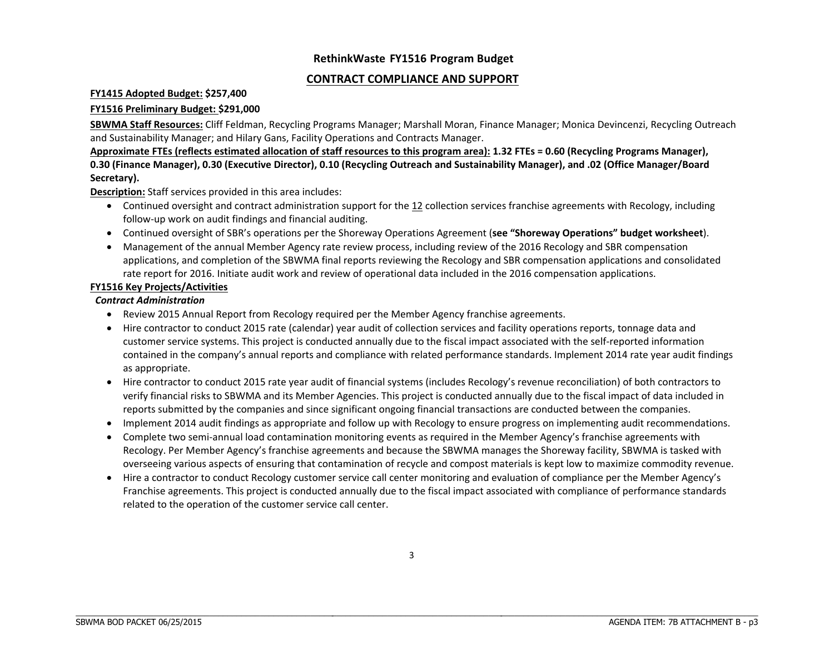#### **CONTRACT COMPLIANCE AND SUPPORT**

#### **FY1415 Adopted Budget: \$257,400**

#### **FY1516 Preliminary Budget: \$291,000**

**SBWMA Staff Resources:** Cliff Feldman, Recycling Programs Manager; Marshall Moran, Finance Manager; Monica Devincenzi, Recycling Outreach and Sustainability Manager; and Hilary Gans, Facility Operations and Contracts Manager.

Approximate FTEs (reflects estimated allocation of staff resources to this program area): 1.32 FTEs = 0.60 (Recycling Programs Manager), 0.30 (Finance Manager), 0.30 (Executive Director), 0.10 (Recycling Outreach and Sustainability Manager), and .02 (Office Manager/Board **Secretary).**

**Description:** Staff services provided in this area includes:

- **•** Continued oversight and contract administration support for the 12 collection services franchise agreements with Recology, including follow‐up work on audit findings and financial auditing.
- Continued oversight of SBR's operations per the Shoreway Operations Agreement (**see "Shoreway Operations" budget worksheet**).
- Management of the annual Member Agency rate review process, including review of the 2016 Recology and SBR compensation applications, and completion of the SBWMA final reports reviewing the Recology and SBR compensation applications and consolidated rate report for 2016. Initiate audit work and review of operational data included in the 2016 compensation applications.

#### **FY1516 Key Projects/Activities**

#### *Contract Administration*

- Review 2015 Annual Report from Recology required per the Member Agency franchise agreements.
- Hire contractor to conduct 2015 rate (calendar) year audit of collection services and facility operations reports, tonnage data and customer service systems. This project is conducted annually due to the fiscal impact associated with the self‐reported information contained in the company's annual reports and compliance with related performance standards. Implement 2014 rate year audit findings as appropriate.
- Hire contractor to conduct 2015 rate year audit of financial systems (includes Recology's revenue reconciliation) of both contractors to verify financial risks to SBWMA and its Member Agencies. This project is conducted annually due to the fiscal impact of data included in reports submitted by the companies and since significant ongoing financial transactions are conducted between the companies.
- Implement 2014 audit findings as appropriate and follow up with Recology to ensure progress on implementing audit recommendations.
- Complete two semi-annual load contamination monitoring events as required in the Member Agency's franchise agreements with Recology. Per Member Agency's franchise agreements and because the SBWMA manages the Shoreway facility, SBWMA is tasked with overseeing various aspects of ensuring that contamination of recycle and compost materials is kept low to maximize commodity revenue.
- Hire a contractor to conduct Recology customer service call center monitoring and evaluation of compliance per the Member Agency's Franchise agreements. This project is conducted annually due to the fiscal impact associated with compliance of performance standards related to the operation of the customer service call center.

\_\_\_\_\_\_\_\_\_\_\_\_\_\_\_\_\_\_\_\_\_\_\_\_\_\_\_\_\_\_\_\_\_\_\_\_\_\_\_\_\_\_\_\_\_\_\_\_\_\_\_\_\_\_\_\_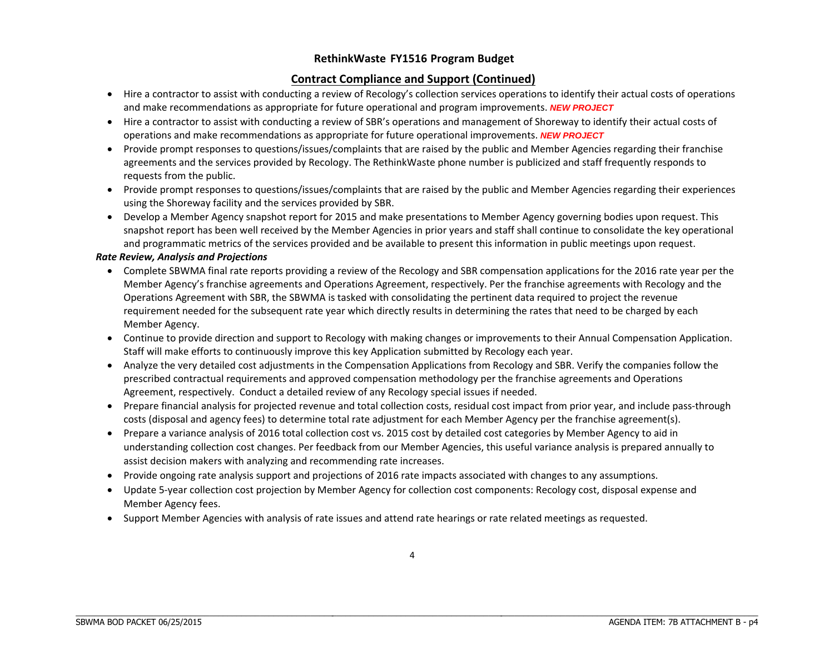#### **Contract Compliance and Support (Continued)**

- Hire a contractor to assist with conducting a review of Recology's collection services operations to identify their actual costs of operations and make recommendations as appropriate for future operational and program improvements. *NEW PROJECT*
- Hire a contractor to assist with conducting a review of SBR's operations and management of Shoreway to identify their actual costs of operations and make recommendations as appropriate for future operational improvements. *NEW PROJECT*
- Provide prompt responses to questions/issues/complaints that are raised by the public and Member Agencies regarding their franchise agreements and the services provided by Recology. The RethinkWaste phone number is publicized and staff frequently responds to requests from the public.
- Provide prompt responses to questions/issues/complaints that are raised by the public and Member Agencies regarding their experiences using the Shoreway facility and the services provided by SBR.
- Develop a Member Agency snapshot report for 2015 and make presentations to Member Agency governing bodies upon request. This snapshot report has been well received by the Member Agencies in prior years and staff shall continue to consolidate the key operational and programmatic metrics of the services provided and be available to present this information in public meetings upon request.

#### *Rate Review, Analysis and Projections*

- Complete SBWMA final rate reports providing <sup>a</sup> review of the Recology and SBR compensation applications for the 2016 rate year per the Member Agency's franchise agreements and Operations Agreement, respectively. Per the franchise agreements with Recology and the Operations Agreement with SBR, the SBWMA is tasked with consolidating the pertinent data required to project the revenue requirement needed for the subsequent rate year which directly results in determining the rates that need to be charged by each Member Agency.
- Continue to provide direction and support to Recology with making changes or improvements to their Annual Compensation Application. Staff will make efforts to continuously improve this key Application submitted by Recology each year.
- Analyze the very detailed cost adjustments in the Compensation Applications from Recology and SBR. Verify the companies follow the prescribed contractual requirements and approved compensation methodology per the franchise agreements and Operations Agreement, respectively. Conduct <sup>a</sup> detailed review of any Recology special issues if needed.
- Prepare financial analysis for projected revenue and total collection costs, residual cost impact from prior year, and include pass-through costs (disposal and agency fees) to determine total rate adjustment for each Member Agency per the franchise agreement(s).
- Prepare <sup>a</sup> variance analysis of 2016 total collection cost vs. 2015 cost by detailed cost categories by Member Agency to aid in understanding collection cost changes. Per feedback from our Member Agencies, this useful variance analysis is prepared annually to assist decision makers with analyzing and recommending rate increases.
- Provide ongoing rate analysis support and projections of 2016 rate impacts associated with changes to any assumptions.
- . Update 5‐year collection cost projection by Member Agency for collection cost components: Recology cost, disposal expense and Member Agency fees.
- Support Member Agencies with analysis of rate issues and attend rate hearings or rate related meetings as requested.

\_\_\_\_\_\_\_\_\_\_\_\_\_\_\_\_\_\_\_\_\_\_\_\_\_\_\_\_\_\_\_\_\_\_\_\_\_\_\_\_\_\_\_\_\_\_\_\_\_\_\_\_\_\_\_\_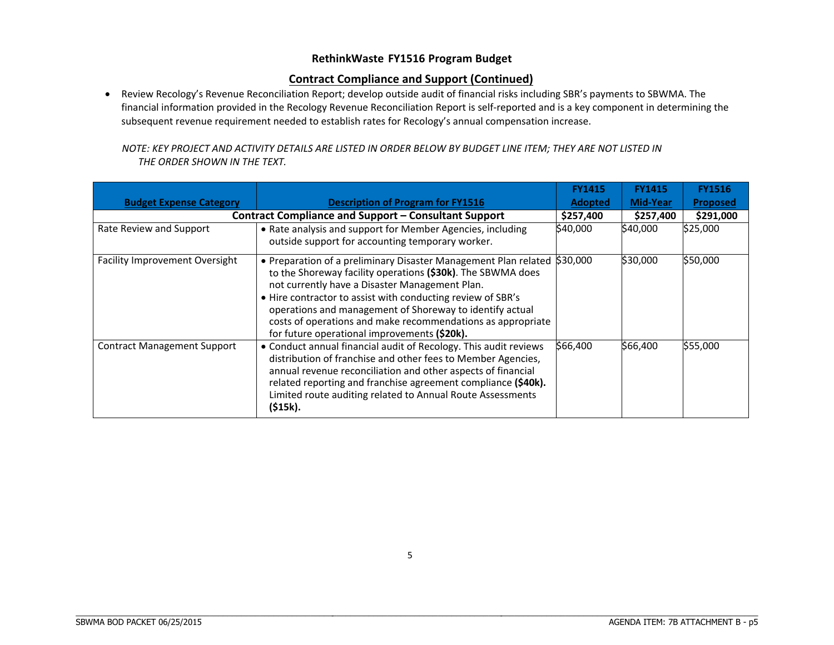#### **Contract Compliance and Support (Continued)**

• Review Recology's Revenue Reconciliation Report; develop outside audit of financial risks including SBR's payments to SBWMA. The financial information provided in the Recology Revenue Reconciliation Report is self‐reported and is <sup>a</sup> key component in determining the subsequent revenue requirement needed to establish rates for Recology's annual compensation increase.

| NOTE: KEY PROJECT AND ACTIVITY DETAILS ARE LISTED IN ORDER BELOW BY BUDGET LINE ITEM: THEY ARE NOT LISTED IN |  |
|--------------------------------------------------------------------------------------------------------------|--|
| THE ORDER SHOWN IN THE TEXT.                                                                                 |  |

|                                       |                                                                                                                                                                                                                                                                                                                                                                                                                            | <b>FY1415</b>  | <b>FY1415</b> | <b>FY1516</b>   |
|---------------------------------------|----------------------------------------------------------------------------------------------------------------------------------------------------------------------------------------------------------------------------------------------------------------------------------------------------------------------------------------------------------------------------------------------------------------------------|----------------|---------------|-----------------|
| <b>Budget Expense Category</b>        | <b>Description of Program for FY1516</b><br><b>Contract Compliance and Support – Consultant Support</b>                                                                                                                                                                                                                                                                                                                    | <b>Adopted</b> | Mid-Year      | <b>Proposed</b> |
|                                       | \$257,400                                                                                                                                                                                                                                                                                                                                                                                                                  | \$257,400      | \$291,000     |                 |
| Rate Review and Support               | • Rate analysis and support for Member Agencies, including<br>outside support for accounting temporary worker.                                                                                                                                                                                                                                                                                                             | \$40,000       | \$40,000      | \$25,000        |
| <b>Facility Improvement Oversight</b> | • Preparation of a preliminary Disaster Management Plan related<br>to the Shoreway facility operations (\$30k). The SBWMA does<br>not currently have a Disaster Management Plan.<br>. Hire contractor to assist with conducting review of SBR's<br>operations and management of Shoreway to identify actual<br>costs of operations and make recommendations as appropriate<br>for future operational improvements (\$20k). | \$30,000       | \$30,000      | \$50,000        |
| <b>Contract Management Support</b>    | • Conduct annual financial audit of Recology. This audit reviews<br>distribution of franchise and other fees to Member Agencies,<br>annual revenue reconciliation and other aspects of financial<br>related reporting and franchise agreement compliance (\$40k).<br>Limited route auditing related to Annual Route Assessments<br>(\$15k).                                                                                | \$66,400       | \$66,400      | \$55,000        |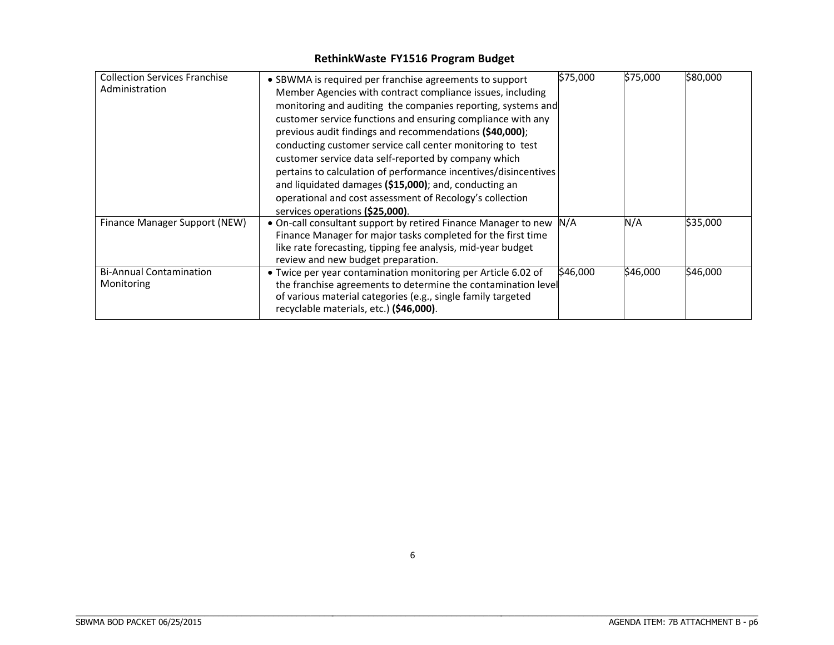| <b>Collection Services Franchise</b><br>Administration | • SBWMA is required per franchise agreements to support<br>Member Agencies with contract compliance issues, including<br>monitoring and auditing the companies reporting, systems and<br>customer service functions and ensuring compliance with any<br>previous audit findings and recommendations (\$40,000);<br>conducting customer service call center monitoring to test<br>customer service data self-reported by company which<br>pertains to calculation of performance incentives/disincentives<br>and liquidated damages (\$15,000); and, conducting an | \$75,000 | \$75,000 | \$80,000 |
|--------------------------------------------------------|-------------------------------------------------------------------------------------------------------------------------------------------------------------------------------------------------------------------------------------------------------------------------------------------------------------------------------------------------------------------------------------------------------------------------------------------------------------------------------------------------------------------------------------------------------------------|----------|----------|----------|
| Finance Manager Support (NEW)                          | operational and cost assessment of Recology's collection<br>services operations (\$25,000).<br>. On-call consultant support by retired Finance Manager to new<br>Finance Manager for major tasks completed for the first time<br>like rate forecasting, tipping fee analysis, mid-year budget<br>review and new budget preparation.                                                                                                                                                                                                                               | N/A      | N/A      | \$35,000 |
| <b>Bi-Annual Contamination</b><br>Monitoring           | • Twice per year contamination monitoring per Article 6.02 of<br>the franchise agreements to determine the contamination level<br>of various material categories (e.g., single family targeted<br>recyclable materials, etc.) (\$46,000).                                                                                                                                                                                                                                                                                                                         | \$46,000 | \$46,000 | \$46,000 |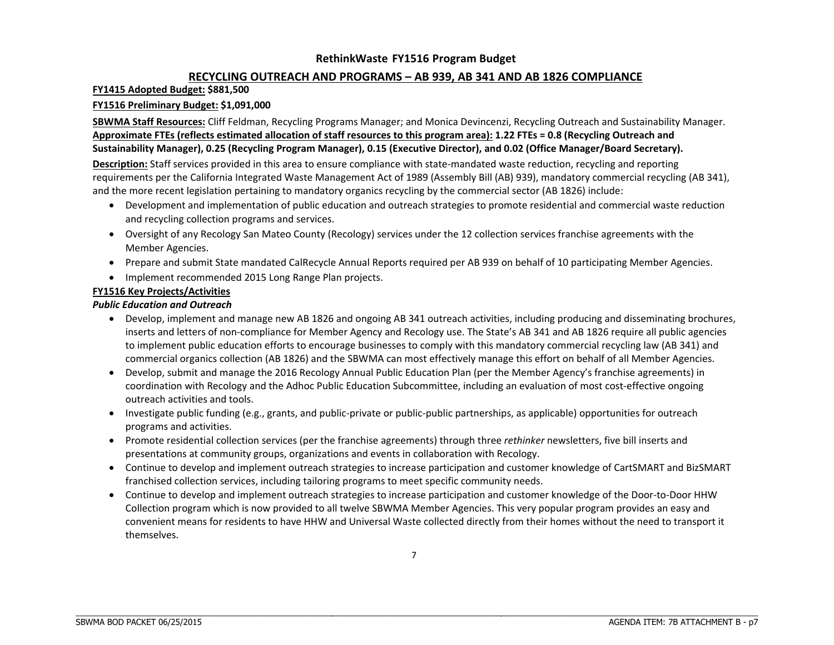#### **RECYCLING OUTREACH AND PROGRAMS – AB 939, AB 341 AND AB 1826 COMPLIANCE**

#### **FY1415 Adopted Budget: \$881,500**

#### **FY1516 Preliminary Budget: \$1,091,000**

**SBWMA Staff Resources:** Cliff Feldman, Recycling Programs Manager; and Monica Devincenzi, Recycling Outreach and Sustainability Manager. Approximate FTEs (reflects estimated allocation of staff resources to this program area): 1.22 FTEs = 0.8 (Recycling Outreach and Sustainability Manager), 0.25 (Recycling Program Manager), 0.15 (Executive Director), and 0.02 (Office Manager/Board Secretary).

**Description:** Staff services provided in this area to ensure compliance with state‐mandated waste reduction, recycling and reporting requirements per the California Integrated Waste Management Act of 1989 (Assembly Bill (AB) 939), mandatory commercial recycling (AB 341), and the more recent legislation pertaining to mandatory organics recycling by the commercial sector (AB 1826) include:

- Development and implementation of public education and outreach strategies to promote residential and commercial waste reduction and recycling collection programs and services.
- Oversight of any Recology San Mateo County (Recology) services under the 12 collection services franchise agreements with the Member Agencies.
- Prepare and submit State mandated CalRecycle Annual Reports required per AB 939 on behalf of 10 participating Member Agencies.
- Implement recommended 2015 Long Range Plan projects.

#### **FY1516 Key Projects/Activities**

#### *Public Education and Outreach*

- Develop, implement and manage new AB 1826 and ongoing AB 341 outreach activities, including producing and disseminating brochures, inserts and letters of non‐compliance for Member Agency and Recology use. The State's AB 341 and AB 1826 require all public agencies to implement public education efforts to encourage businesses to comply with this mandatory commercial recycling law (AB 341) and commercial organics collection (AB 1826) and the SBWMA can most effectively manage this effort on behalf of all Member Agencies.
- **•** Develop, submit and manage the 2016 Recology Annual Public Education Plan (per the Member Agency's franchise agreements) in coordination with Recology and the Adhoc Public Education Subcommittee, including an evaluation of most cost‐effective ongoing outreach activities and tools.
- Investigate public funding (e.g., grants, and public-private or public-public partnerships, as applicable) opportunities for outreach programs and activities.
- Promote residential collection services (per the franchise agreements) through three *rethinker* newsletters, five bill inserts and presentations at community groups, organizations and events in collaboration with Recology.
- Continue to develop and implement outreach strategies to increase participation and customer knowledge of CartSMART and BizSMART franchised collection services, including tailoring programs to meet specific community needs.
- Continue to develop and implement outreach strategies to increase participation and customer knowledge of the Door-to-Door HHW Collection program which is now provided to all twelve SBWMA Member Agencies. This very popular program provides an easy and convenient means for residents to have HHW and Universal Waste collected directly from their homes without the need to transport it themselves.

\_\_\_\_\_\_\_\_\_\_\_\_\_\_\_\_\_\_\_\_\_\_\_\_\_\_\_\_\_\_\_\_\_\_\_\_\_\_\_\_\_\_\_\_\_\_\_\_\_\_\_\_\_\_\_\_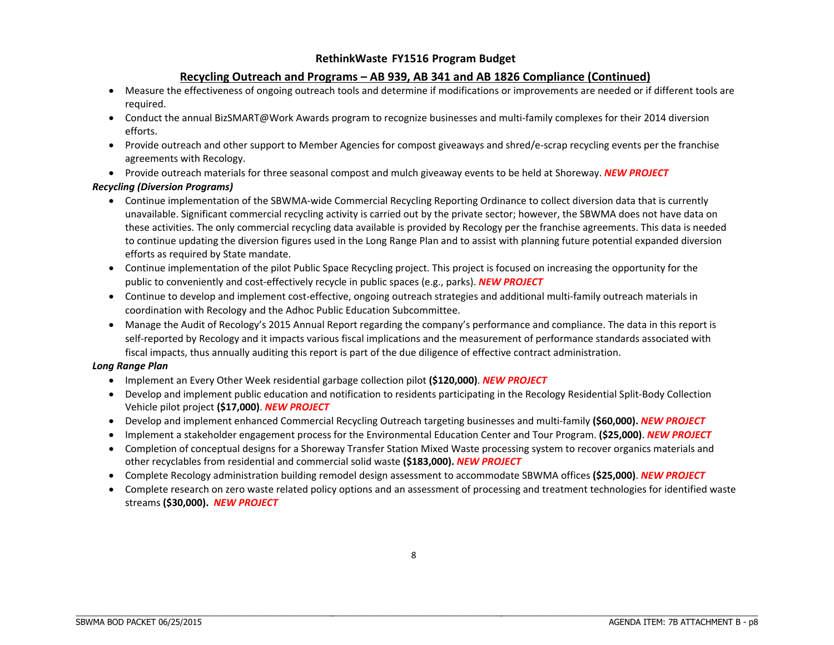#### **Recycling Outreach and Programs – AB 939, AB 341 and AB 1826 Compliance (Continued)**

- 0 Measure the effectiveness of ongoing outreach tools and determine if modifications or improvements are needed or if different tools are required.
- Conduct the annual BizSMART@Work Awards program to recognize businesses and multi‐family complexes for their 2014 diversion efforts.
- Provide outreach and other support to Member Agencies for compost giveaways and shred/e-scrap recycling events per the franchise agreements with Recology.
- Provide outreach materials for three seasonal compost and mulch giveaway events to be held at Shoreway. *NEW PROJECT*

#### *Recycling (Diversion Programs)*

- Continue implementation of the SBWMA-wide Commercial Recycling Reporting Ordinance to collect diversion data that is currently unavailable. Significant commercial recycling activity is carried out by the private sector; however, the SBWMA does not have data on these activities. The only commercial recycling data available is provided by Recology per the franchise agreements. This data is needed to continue updating the diversion figures used in the Long Range Plan and to assist with planning future potential expanded diversion efforts as required by State mandate.
- Continue implementation of the pilot Public Space Recycling project. This project is focused on increasing the opportunity for the public to conveniently and cost‐effectively recycle in public spaces (e.g., parks). *NEW PROJECT*
- Continue to develop and implement cost‐effective, ongoing outreach strategies and additional multi‐family outreach materials in coordination with Recology and the Adhoc Public Education Subcommittee.
- Manage the Audit of Recology's 2015 Annual Report regarding the company's performance and compliance. The data in this report is self-reported by Recology and it impacts various fiscal implications and the measurement of performance standards associated with fiscal impacts, thus annually auditing this report is part of the due diligence of effective contract administration.

#### *Long Range Plan*

- Implement an Every Other Week residential garbage collection pilot **(\$120,000)**. *NEW PROJECT*
- Develop and implement public education and notification to residents participating in the Recology Residential Split-Body Collection Vehicle pilot project **(\$17,000)**. *NEW PROJECT*
- Develop and implement enhanced Commercial Recycling Outreach targeting businesses and multi‐family **(\$60,000).** *NEW PROJECT*
- Implement <sup>a</sup> stakeholder engagement process for the Environmental Education Center and Tour Program. **(\$25,000)**. *NEW PROJECT*
- Completion of conceptual designs for <sup>a</sup> Shoreway Transfer Station Mixed Waste processing system to recover organics materials and other recyclables from residential and commercial solid waste **(\$183,000).** *NEW PROJECT*
- Complete Recology administration building remodel design assessment to accommodate SBWMA offices **(\$25,000)**. *NEW PROJECT*
- Complete research on zero waste related policy options and an assessment of processing and treatment technologies for identified waste streams **(\$30,000).** *NEW PROJECT*

\_\_\_\_\_\_\_\_\_\_\_\_\_\_\_\_\_\_\_\_\_\_\_\_\_\_\_\_\_\_\_\_\_\_\_\_\_\_\_\_\_\_\_\_\_\_\_\_\_\_\_\_\_\_\_\_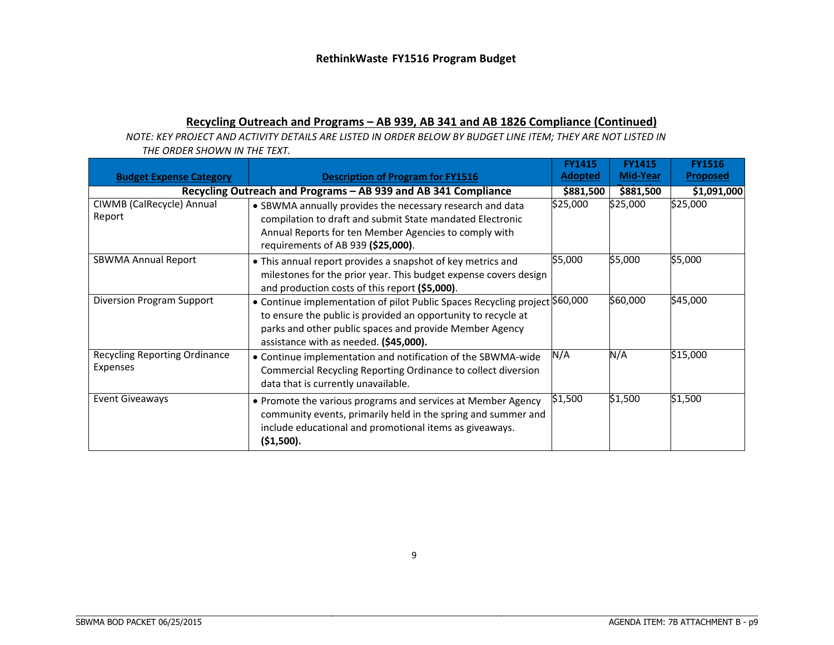### **Recycling Outreach and Programs – AB 939, AB 341 and AB 1826 Compliance (Continued)**

NOTE: KEY PROJECT AND ACTIVITY DETAILS ARE LISTED IN ORDER BELOW BY BUDGET LINE ITEM; THEY ARE NOT LISTED IN *THE ORDER SHOWN IN THE TEXT.*

| <b>Budget Expense Category</b>                   | <b>Description of Program for FY1516</b>                                                                                                                                                                                                          | <b>FY1415</b><br><b>Adopted</b> | <b>FY1415</b><br>Mid-Year | <b>FY1516</b><br><b>Proposed</b> |
|--------------------------------------------------|---------------------------------------------------------------------------------------------------------------------------------------------------------------------------------------------------------------------------------------------------|---------------------------------|---------------------------|----------------------------------|
|                                                  | Recycling Outreach and Programs - AB 939 and AB 341 Compliance                                                                                                                                                                                    | \$881,500                       | \$881,500                 | \$1,091,000                      |
| CIWMB (CalRecycle) Annual<br>Report              | • SBWMA annually provides the necessary research and data<br>compilation to draft and submit State mandated Electronic<br>Annual Reports for ten Member Agencies to comply with<br>requirements of AB 939 (\$25,000).                             | \$25,000                        | \$25,000                  | \$25,000                         |
| <b>SBWMA Annual Report</b>                       | • This annual report provides a snapshot of key metrics and<br>milestones for the prior year. This budget expense covers design<br>and production costs of this report (\$5,000).                                                                 | \$5,000                         | \$5,000                   | \$5,000                          |
| Diversion Program Support                        | • Continue implementation of pilot Public Spaces Recycling project \$60,000<br>to ensure the public is provided an opportunity to recycle at<br>parks and other public spaces and provide Member Agency<br>assistance with as needed. (\$45,000). |                                 | \$60,000                  | \$45,000                         |
| <b>Recycling Reporting Ordinance</b><br>Expenses | • Continue implementation and notification of the SBWMA-wide<br>Commercial Recycling Reporting Ordinance to collect diversion<br>data that is currently unavailable.                                                                              | N/A                             | N/A                       | \$15,000                         |
| <b>Event Giveaways</b>                           | • Promote the various programs and services at Member Agency<br>community events, primarily held in the spring and summer and<br>include educational and promotional items as giveaways.<br>(51,500).                                             | \$1,500                         | \$1,500                   | \$1,500                          |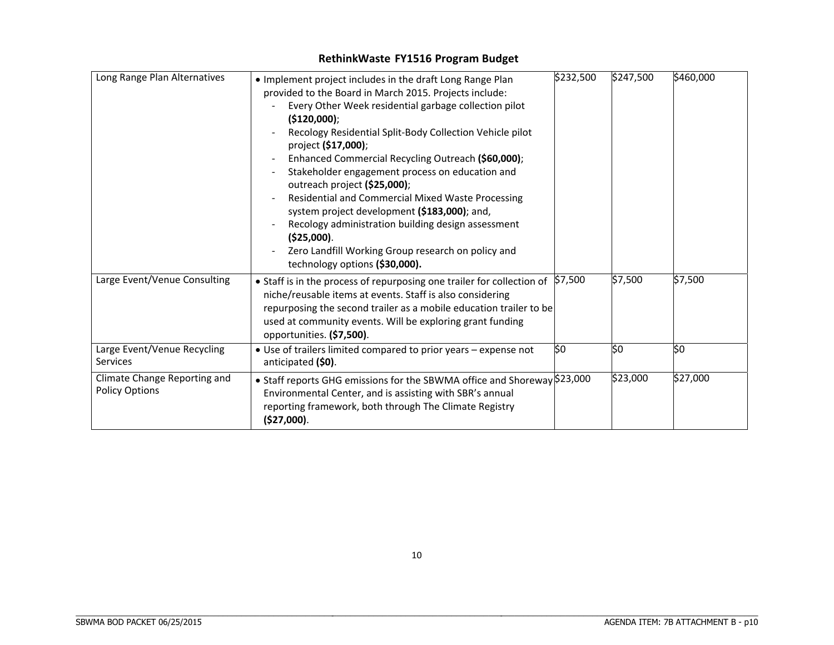| Long Range Plan Alternatives                          | . Implement project includes in the draft Long Range Plan<br>provided to the Board in March 2015. Projects include:<br>Every Other Week residential garbage collection pilot<br>(\$120,000);<br>Recology Residential Split-Body Collection Vehicle pilot<br>project (\$17,000);<br>Enhanced Commercial Recycling Outreach (\$60,000);<br>Stakeholder engagement process on education and<br>outreach project (\$25,000);<br>Residential and Commercial Mixed Waste Processing<br>system project development (\$183,000); and,<br>Recology administration building design assessment<br>(\$25,000).<br>Zero Landfill Working Group research on policy and<br>technology options (\$30,000). | \$232,500 | \$247,500 | \$460,000 |
|-------------------------------------------------------|--------------------------------------------------------------------------------------------------------------------------------------------------------------------------------------------------------------------------------------------------------------------------------------------------------------------------------------------------------------------------------------------------------------------------------------------------------------------------------------------------------------------------------------------------------------------------------------------------------------------------------------------------------------------------------------------|-----------|-----------|-----------|
| Large Event/Venue Consulting                          | • Staff is in the process of repurposing one trailer for collection of<br>niche/reusable items at events. Staff is also considering<br>repurposing the second trailer as a mobile education trailer to be<br>used at community events. Will be exploring grant funding<br>opportunities. (\$7,500).                                                                                                                                                                                                                                                                                                                                                                                        | \$7,500   | \$7,500   | \$7,500   |
| Large Event/Venue Recycling<br>Services               | • Use of trailers limited compared to prior years - expense not<br>anticipated (\$0).                                                                                                                                                                                                                                                                                                                                                                                                                                                                                                                                                                                                      | SO.       | \$0       | \$0       |
| Climate Change Reporting and<br><b>Policy Options</b> | • Staff reports GHG emissions for the SBWMA office and Shoreway \$23,000<br>Environmental Center, and is assisting with SBR's annual<br>reporting framework, both through The Climate Registry<br>(\$27,000).                                                                                                                                                                                                                                                                                                                                                                                                                                                                              |           | \$23,000  | \$27,000  |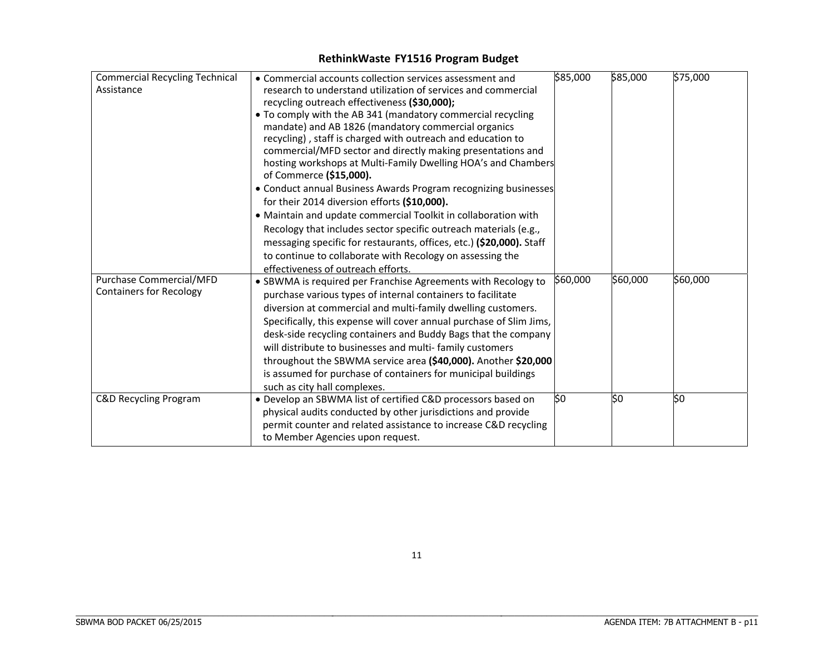| <b>Commercial Recycling Technical</b> | • Commercial accounts collection services assessment and                                                           | \$85,000 | \$85,000 | \$75,000 |
|---------------------------------------|--------------------------------------------------------------------------------------------------------------------|----------|----------|----------|
| Assistance                            |                                                                                                                    |          |          |          |
|                                       | research to understand utilization of services and commercial                                                      |          |          |          |
|                                       | recycling outreach effectiveness (\$30,000);                                                                       |          |          |          |
|                                       | • To comply with the AB 341 (mandatory commercial recycling                                                        |          |          |          |
|                                       | mandate) and AB 1826 (mandatory commercial organics<br>recycling), staff is charged with outreach and education to |          |          |          |
|                                       | commercial/MFD sector and directly making presentations and                                                        |          |          |          |
|                                       | hosting workshops at Multi-Family Dwelling HOA's and Chambers                                                      |          |          |          |
|                                       | of Commerce (\$15,000).                                                                                            |          |          |          |
|                                       | • Conduct annual Business Awards Program recognizing businesses                                                    |          |          |          |
|                                       | for their 2014 diversion efforts (\$10,000).                                                                       |          |          |          |
|                                       | • Maintain and update commercial Toolkit in collaboration with                                                     |          |          |          |
|                                       | Recology that includes sector specific outreach materials (e.g.,                                                   |          |          |          |
|                                       | messaging specific for restaurants, offices, etc.) (\$20,000). Staff                                               |          |          |          |
|                                       | to continue to collaborate with Recology on assessing the                                                          |          |          |          |
|                                       | effectiveness of outreach efforts.                                                                                 |          |          |          |
| Purchase Commercial/MFD               | • SBWMA is required per Franchise Agreements with Recology to                                                      | \$60,000 | \$60,000 | \$60,000 |
| <b>Containers for Recology</b>        | purchase various types of internal containers to facilitate                                                        |          |          |          |
|                                       | diversion at commercial and multi-family dwelling customers.                                                       |          |          |          |
|                                       | Specifically, this expense will cover annual purchase of Slim Jims,                                                |          |          |          |
|                                       | desk-side recycling containers and Buddy Bags that the company                                                     |          |          |          |
|                                       | will distribute to businesses and multi-family customers                                                           |          |          |          |
|                                       | throughout the SBWMA service area (\$40,000). Another \$20,000                                                     |          |          |          |
|                                       | is assumed for purchase of containers for municipal buildings                                                      |          |          |          |
|                                       | such as city hall complexes.                                                                                       |          |          |          |
| <b>C&amp;D Recycling Program</b>      | • Develop an SBWMA list of certified C&D processors based on                                                       | \$0      | \$0      | SO.      |
|                                       | physical audits conducted by other jurisdictions and provide                                                       |          |          |          |
|                                       | permit counter and related assistance to increase C&D recycling                                                    |          |          |          |
|                                       | to Member Agencies upon request.                                                                                   |          |          |          |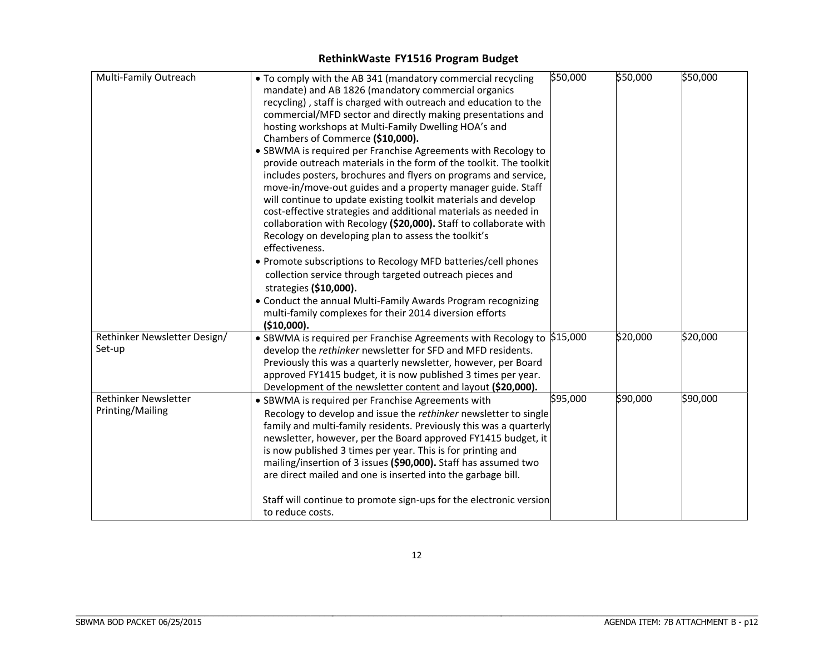| Multi-Family Outreach        | • To comply with the AB 341 (mandatory commercial recycling             | \$50,000 | \$50,000 | \$50,000 |
|------------------------------|-------------------------------------------------------------------------|----------|----------|----------|
|                              | mandate) and AB 1826 (mandatory commercial organics                     |          |          |          |
|                              | recycling), staff is charged with outreach and education to the         |          |          |          |
|                              | commercial/MFD sector and directly making presentations and             |          |          |          |
|                              | hosting workshops at Multi-Family Dwelling HOA's and                    |          |          |          |
|                              | Chambers of Commerce (\$10,000).                                        |          |          |          |
|                              | • SBWMA is required per Franchise Agreements with Recology to           |          |          |          |
|                              | provide outreach materials in the form of the toolkit. The toolkit      |          |          |          |
|                              | includes posters, brochures and flyers on programs and service,         |          |          |          |
|                              | move-in/move-out guides and a property manager guide. Staff             |          |          |          |
|                              | will continue to update existing toolkit materials and develop          |          |          |          |
|                              | cost-effective strategies and additional materials as needed in         |          |          |          |
|                              | collaboration with Recology (\$20,000). Staff to collaborate with       |          |          |          |
|                              | Recology on developing plan to assess the toolkit's                     |          |          |          |
|                              | effectiveness.                                                          |          |          |          |
|                              | • Promote subscriptions to Recology MFD batteries/cell phones           |          |          |          |
|                              | collection service through targeted outreach pieces and                 |          |          |          |
|                              | strategies (\$10,000).                                                  |          |          |          |
|                              | • Conduct the annual Multi-Family Awards Program recognizing            |          |          |          |
|                              | multi-family complexes for their 2014 diversion efforts                 |          |          |          |
|                              | (\$10,000).                                                             |          |          |          |
| Rethinker Newsletter Design/ | • SBWMA is required per Franchise Agreements with Recology to $$15,000$ |          | \$20,000 | \$20,000 |
| Set-up                       | develop the rethinker newsletter for SFD and MFD residents.             |          |          |          |
|                              | Previously this was a quarterly newsletter, however, per Board          |          |          |          |
|                              | approved FY1415 budget, it is now published 3 times per year.           |          |          |          |
|                              | Development of the newsletter content and layout (\$20,000).            |          |          |          |
| Rethinker Newsletter         | • SBWMA is required per Franchise Agreements with                       | \$95,000 | \$90,000 | \$90,000 |
| Printing/Mailing             | Recology to develop and issue the rethinker newsletter to single        |          |          |          |
|                              | family and multi-family residents. Previously this was a quarterly      |          |          |          |
|                              | newsletter, however, per the Board approved FY1415 budget, it           |          |          |          |
|                              | is now published 3 times per year. This is for printing and             |          |          |          |
|                              | mailing/insertion of 3 issues (\$90,000). Staff has assumed two         |          |          |          |
|                              | are direct mailed and one is inserted into the garbage bill.            |          |          |          |
|                              |                                                                         |          |          |          |
|                              | Staff will continue to promote sign-ups for the electronic version      |          |          |          |
|                              | to reduce costs.                                                        |          |          |          |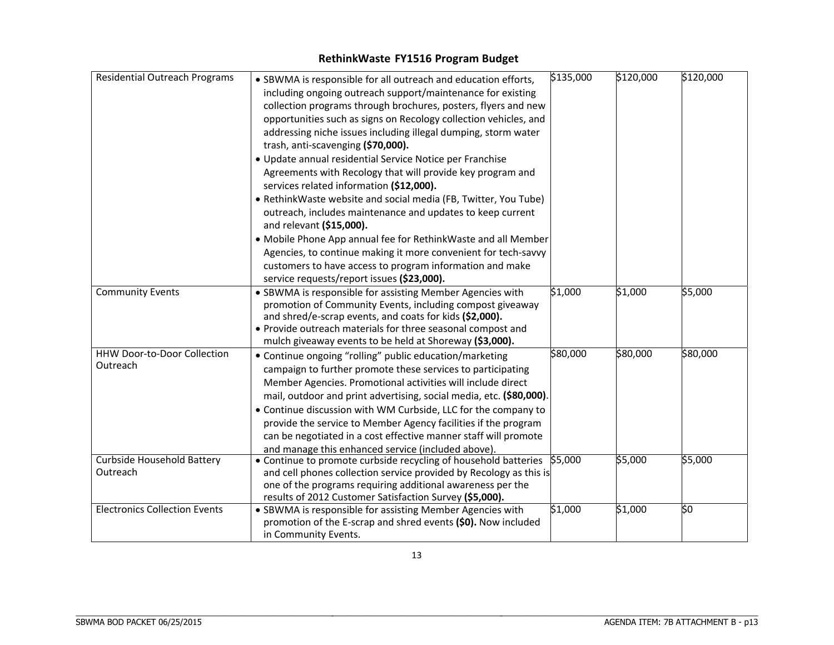| <b>Residential Outreach Programs</b> | • SBWMA is responsible for all outreach and education efforts,      | \$135,000 | \$120,000 | $\sqrt{51}20,000$ |
|--------------------------------------|---------------------------------------------------------------------|-----------|-----------|-------------------|
|                                      | including ongoing outreach support/maintenance for existing         |           |           |                   |
|                                      | collection programs through brochures, posters, flyers and new      |           |           |                   |
|                                      | opportunities such as signs on Recology collection vehicles, and    |           |           |                   |
|                                      | addressing niche issues including illegal dumping, storm water      |           |           |                   |
|                                      | trash, anti-scavenging (\$70,000).                                  |           |           |                   |
|                                      |                                                                     |           |           |                   |
|                                      | · Update annual residential Service Notice per Franchise            |           |           |                   |
|                                      | Agreements with Recology that will provide key program and          |           |           |                   |
|                                      | services related information (\$12,000).                            |           |           |                   |
|                                      | • RethinkWaste website and social media (FB, Twitter, You Tube)     |           |           |                   |
|                                      | outreach, includes maintenance and updates to keep current          |           |           |                   |
|                                      | and relevant (\$15,000).                                            |           |           |                   |
|                                      | • Mobile Phone App annual fee for RethinkWaste and all Member       |           |           |                   |
|                                      | Agencies, to continue making it more convenient for tech-savvy      |           |           |                   |
|                                      | customers to have access to program information and make            |           |           |                   |
|                                      | service requests/report issues (\$23,000).                          |           |           |                   |
| <b>Community Events</b>              | • SBWMA is responsible for assisting Member Agencies with           | \$1,000   | \$1,000   | \$5,000           |
|                                      | promotion of Community Events, including compost giveaway           |           |           |                   |
|                                      | and shred/e-scrap events, and coats for kids (\$2,000).             |           |           |                   |
|                                      | . Provide outreach materials for three seasonal compost and         |           |           |                   |
|                                      | mulch giveaway events to be held at Shoreway (\$3,000).             |           |           |                   |
| <b>HHW Door-to-Door Collection</b>   | • Continue ongoing "rolling" public education/marketing             | \$80,000  | \$80,000  | \$80,000          |
| Outreach                             | campaign to further promote these services to participating         |           |           |                   |
|                                      | Member Agencies. Promotional activities will include direct         |           |           |                   |
|                                      | mail, outdoor and print advertising, social media, etc. (\$80,000). |           |           |                   |
|                                      | • Continue discussion with WM Curbside, LLC for the company to      |           |           |                   |
|                                      | provide the service to Member Agency facilities if the program      |           |           |                   |
|                                      | can be negotiated in a cost effective manner staff will promote     |           |           |                   |
|                                      | and manage this enhanced service (included above).                  |           |           |                   |
| Curbside Household Battery           | • Continue to promote curbside recycling of household batteries     | \$5,000   | \$5,000   | \$5,000           |
| Outreach                             | and cell phones collection service provided by Recology as this is  |           |           |                   |
|                                      | one of the programs requiring additional awareness per the          |           |           |                   |
|                                      | results of 2012 Customer Satisfaction Survey (\$5,000).             |           |           |                   |
| <b>Electronics Collection Events</b> | • SBWMA is responsible for assisting Member Agencies with           | 51,000    | \$1,000   | \$0               |
|                                      | promotion of the E-scrap and shred events (\$0). Now included       |           |           |                   |
|                                      | in Community Events.                                                |           |           |                   |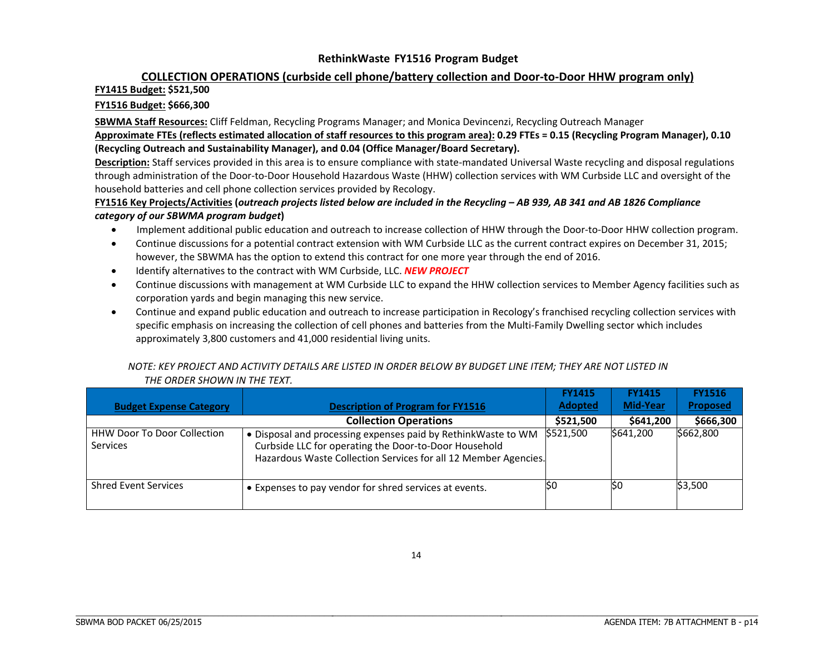# **COLLECTION OPERATIONS (curbside cell phone/battery collection and Door‐to‐Door HHW program only)**

#### **FY1415 Budget: \$521,500**

#### **FY1516 Budget: \$666,300**

**SBWMA Staff Resources:** Cliff Feldman, Recycling Programs Manager; and Monica Devincenzi, Recycling Outreach Manager Approximate FTEs (reflects estimated allocation of staff resources to this program area): 0.29 FTEs = 0.15 (Recycling Program Manager), 0.10 **(Recycling Outreach and Sustainability Manager), and 0.04 (Office Manager/Board Secretary).**

Description: Staff services provided in this area is to ensure compliance with state-mandated Universal Waste recycling and disposal regulations through administration of the Door‐to‐Door Household Hazardous Waste (HHW) collection services with WM Curbside LLC and oversight of the household batteries and cell phone collection services provided by Recology.

#### FY1516 Key Projects/Activities (outreach projects listed below are included in the Recycling – AB 939, AB 341 and AB 1826 Compliance *category of our SBWMA program budget***)**

- $\bullet$ Implement additional public education and outreach to increase collection of HHW through the Door‐to‐Door HHW collection program.
- $\bullet$  Continue discussions for <sup>a</sup> potential contract extension with WM Curbside LLC as the current contract expires on December 31, 2015; however, the SBWMA has the option to extend this contract for one more year through the end of 2016.
- $\bullet$ Identify alternatives to the contract with WM Curbside, LLC. *NEW PROJECT*
- $\bullet$  Continue discussions with management at WM Curbside LLC to expand the HHW collection services to Member Agency facilities such as corporation yards and begin managing this new service.
- $\bullet$  Continue and expand public education and outreach to increase participation in Recology's franchised recycling collection services with specific emphasis on increasing the collection of cell phones and batteries from the Multi-Family Dwelling sector which includes approximately 3,800 customers and 41,000 residential living units.

#### NOTE: KEY PROJECT AND ACTIVITY DETAILS ARE LISTED IN ORDER BELOW BY BUDGET LINE ITEM; THEY ARE NOT LISTED IN *THE ORDER SHOWN IN THE TEXT.*

| <b>Budget Expense Category</b>                        | <b>Description of Program for FY1516</b>                                                                                                                                                 | <b>FY1415</b><br><b>Adopted</b> | <b>FY1415</b><br><b>Mid-Year</b> | <b>FY1516</b><br>Proposed |
|-------------------------------------------------------|------------------------------------------------------------------------------------------------------------------------------------------------------------------------------------------|---------------------------------|----------------------------------|---------------------------|
|                                                       | <b>Collection Operations</b>                                                                                                                                                             | \$521,500                       | \$641,200                        | \$666,300                 |
| <b>HHW Door To Door Collection</b><br><b>Services</b> | Disposal and processing expenses paid by Rethink Waste to WM<br>Curbside LLC for operating the Door-to-Door Household<br>Hazardous Waste Collection Services for all 12 Member Agencies. | \$521,500                       | \$641,200                        | \$662,800                 |
| <b>Shred Event Services</b>                           | • Expenses to pay vendor for shred services at events.                                                                                                                                   | ISO                             | lso                              | \$3,500                   |

\_\_\_\_\_\_\_\_\_\_\_\_\_\_\_\_\_\_\_\_\_\_\_\_\_\_\_\_\_\_\_\_\_\_\_\_\_\_\_\_\_\_\_\_\_\_\_\_\_\_\_\_\_\_\_\_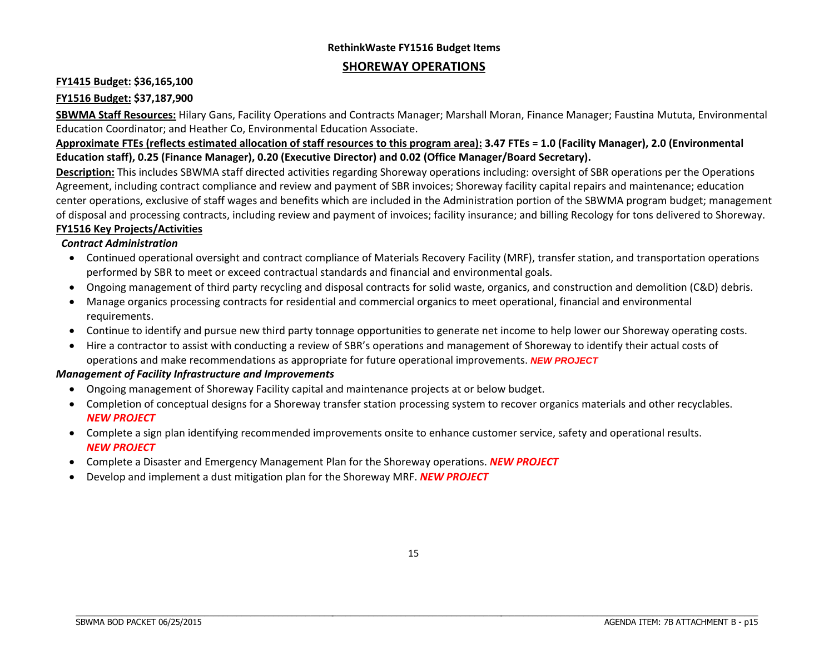# **RethinkWaste FY1516 Budget Items**

### **SHOREWAY OPERATIONS**

### **FY1415 Budget: \$36,165,100**

### **FY1516 Budget: \$37,187,900**

**SBWMA Staff Resources:** Hilary Gans, Facility Operations and Contracts Manager; Marshall Moran, Finance Manager; Faustina Mututa, Environmental Education Coordinator; and Heather Co, Environmental Education Associate.

### Approximate FTEs (reflects estimated allocation of staff resources to this program area): 3.47 FTEs = 1.0 (Facility Manager), 2.0 (Environmental **Education staff), 0.25 (Finance Manager), 0.20 (Executive Director) and 0.02 (Office Manager/Board Secretary).**

**Description:** This includes SBWMA staff directed activities regarding Shoreway operations including: oversight of SBR operations per the Operations Agreement, including contract compliance and review and payment of SBR invoices; Shoreway facility capital repairs and maintenance; education center operations, exclusive of staff wages and benefits which are included in the Administration portion of the SBWMA program budget; management of disposal and processing contracts, including review and payment of invoices; facility insurance; and billing Recology for tons delivered to Shoreway.

### **FY1516 Key Projects/Activities**

### *Contract Administration*

- Continued operational oversight and contract compliance of Materials Recovery Facility (MRF), transfer station, and transportation operations performed by SBR to meet or exceed contractual standards and financial and environmental goals.
- Ongoing management of third party recycling and disposal contracts for solid waste, organics, and construction and demolition (C&D) debris.
- Manage organics processing contracts for residential and commercial organics to meet operational, financial and environmental requirements.
- Continue to identify and pursue new third party tonnage opportunities to generate net income to help lower our Shoreway operating costs.
- Hire a contractor to assist with conducting a review of SBR's operations and management of Shoreway to identify their actual costs of operations and make recommendations as appropriate for future operational improvements. *NEW PROJECT*

### *Management of Facility Infrastructure and Improvements*

\_\_\_\_\_\_\_\_\_\_\_\_\_\_\_\_\_\_\_\_\_\_\_\_\_\_\_\_\_\_\_\_\_\_\_\_\_\_\_\_\_\_\_\_\_\_\_\_\_\_\_\_\_\_\_\_

- Ongoing management of Shoreway Facility capital and maintenance projects at or below budget.
- Completion of conceptual designs for <sup>a</sup> Shoreway transfer station processing system to recover organics materials and other recyclables. *NEW PROJECT*
- Complete <sup>a</sup> sign plan identifying recommended improvements onsite to enhance customer service, safety and operational results. *NEW PROJECT*
- Complete <sup>a</sup> Disaster and Emergency Management Plan for the Shoreway operations. *NEW PROJECT*
- $\bullet$ Develop and implement <sup>a</sup> dust mitigation plan for the Shoreway MRF. *NEW PROJECT*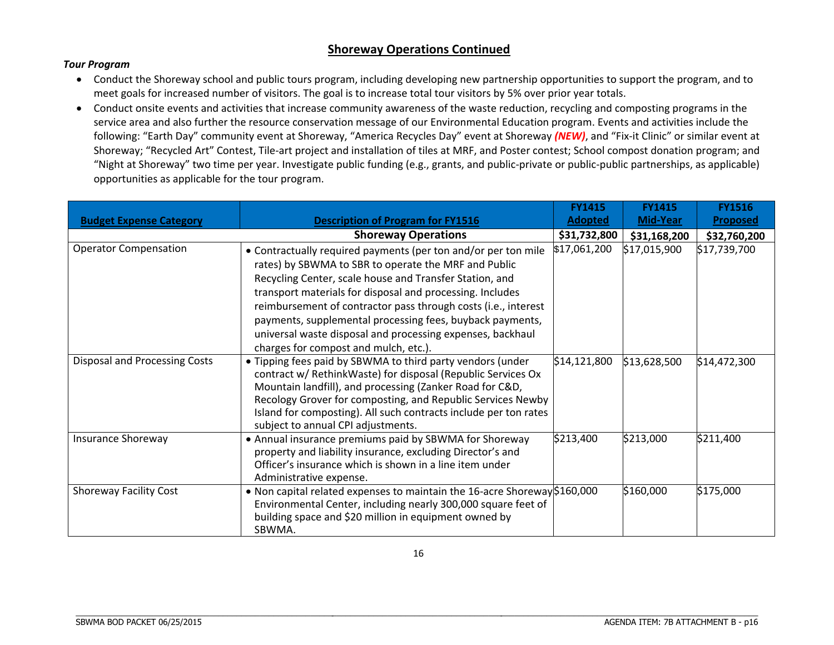### **Shoreway Operations Continued**

#### *Tour Program*

- Conduct the Shoreway school and public tours program, including developing new partnership opportunities to support the program, and to meet goals for increased number of visitors. The goal is to increase total tour visitors by 5% over prior year totals.
- Conduct onsite events and activities that increase community awareness of the waste reduction, recycling and composting programs in the service area and also further the resource conservation message of our Environmental Education program. Events and activities include the following: "Earth Day" community event at Shoreway, "America Recycles Day" event at Shoreway *(NEW)*, and "Fix‐it Clinic" or similar event at Shoreway; "Recycled Art" Contest, Tile‐art project and installation of tiles at MRF, and Poster contest; School compost donation program; and "Night at Shoreway" two time per year. Investigate public funding (e.g., grants, and public‐private or public‐public partnerships, as applicable) opportunities as applicable for the tour program.

|                                |                                                                                                                                                                                                                                                                                                                                                                                                                                             | <b>FY1415</b>  | <b>FY1415</b> | <b>FY1516</b>   |
|--------------------------------|---------------------------------------------------------------------------------------------------------------------------------------------------------------------------------------------------------------------------------------------------------------------------------------------------------------------------------------------------------------------------------------------------------------------------------------------|----------------|---------------|-----------------|
| <b>Budget Expense Category</b> | <b>Description of Program for FY1516</b>                                                                                                                                                                                                                                                                                                                                                                                                    | <b>Adopted</b> | Mid-Year      | <b>Proposed</b> |
|                                | <b>Shoreway Operations</b>                                                                                                                                                                                                                                                                                                                                                                                                                  | \$31,732,800   | \$31,168,200  | \$32,760,200    |
| <b>Operator Compensation</b>   | • Contractually required payments (per ton and/or per ton mile<br>rates) by SBWMA to SBR to operate the MRF and Public<br>Recycling Center, scale house and Transfer Station, and<br>transport materials for disposal and processing. Includes<br>reimbursement of contractor pass through costs (i.e., interest<br>payments, supplemental processing fees, buyback payments,<br>universal waste disposal and processing expenses, backhaul | \$17,061,200   | \$17,015,900  | \$17,739,700    |
|                                | charges for compost and mulch, etc.).                                                                                                                                                                                                                                                                                                                                                                                                       |                |               |                 |
| Disposal and Processing Costs  | • Tipping fees paid by SBWMA to third party vendors (under<br>contract w/ RethinkWaste) for disposal (Republic Services Ox<br>Mountain landfill), and processing (Zanker Road for C&D,<br>Recology Grover for composting, and Republic Services Newby<br>Island for composting). All such contracts include per ton rates<br>subject to annual CPI adjustments.                                                                             | \$14,121,800   | \$13,628,500  | \$14,472,300    |
| <b>Insurance Shoreway</b>      | • Annual insurance premiums paid by SBWMA for Shoreway<br>property and liability insurance, excluding Director's and<br>Officer's insurance which is shown in a line item under<br>Administrative expense.                                                                                                                                                                                                                                  | \$213,400      | \$213,000     | \$211,400       |
| <b>Shoreway Facility Cost</b>  | • Non capital related expenses to maintain the 16-acre Shoreway \$160,000<br>Environmental Center, including nearly 300,000 square feet of<br>building space and \$20 million in equipment owned by<br>SBWMA.                                                                                                                                                                                                                               |                | \$160,000     | \$175,000       |

\_\_\_\_\_\_\_\_\_\_\_\_\_\_\_\_\_\_\_\_\_\_\_\_\_\_\_\_\_\_\_\_\_\_\_\_\_\_\_\_\_\_\_\_\_\_\_\_\_\_\_\_\_\_\_\_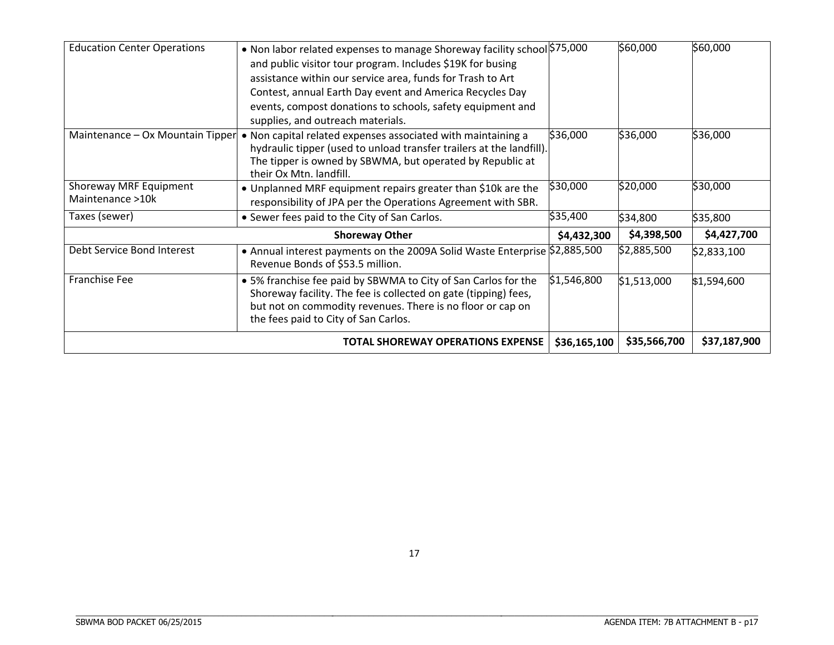| <b>Education Center Operations</b> | • Non labor related expenses to manage Shoreway facility school \$75,000                                                          |              | \$60,000     | \$60,000     |
|------------------------------------|-----------------------------------------------------------------------------------------------------------------------------------|--------------|--------------|--------------|
|                                    | and public visitor tour program. Includes \$19K for busing                                                                        |              |              |              |
|                                    | assistance within our service area, funds for Trash to Art                                                                        |              |              |              |
|                                    | Contest, annual Earth Day event and America Recycles Day                                                                          |              |              |              |
|                                    | events, compost donations to schools, safety equipment and                                                                        |              |              |              |
|                                    | supplies, and outreach materials.                                                                                                 |              |              |              |
| Maintenance - Ox Mountain Tipper   | • Non capital related expenses associated with maintaining a                                                                      | \$36,000     | \$36,000     | \$36,000     |
|                                    | hydraulic tipper (used to unload transfer trailers at the landfill).                                                              |              |              |              |
|                                    | The tipper is owned by SBWMA, but operated by Republic at                                                                         |              |              |              |
|                                    | their Ox Mtn. landfill.                                                                                                           |              |              |              |
| Shoreway MRF Equipment             | • Unplanned MRF equipment repairs greater than \$10k are the                                                                      | \$30,000     | \$20,000     | \$30,000     |
| Maintenance >10k                   | responsibility of JPA per the Operations Agreement with SBR.                                                                      |              |              |              |
| Taxes (sewer)                      | • Sewer fees paid to the City of San Carlos.                                                                                      | \$35,400     | \$34,800     | \$35,800     |
|                                    | <b>Shoreway Other</b>                                                                                                             | \$4,432,300  | \$4,398,500  | \$4,427,700  |
| Debt Service Bond Interest         | • Annual interest payments on the 2009A Solid Waste Enterprise \$2,885,500<br>Revenue Bonds of \$53.5 million.                    |              | \$2,885,500  | \$2,833,100  |
| Franchise Fee                      | • 5% franchise fee paid by SBWMA to City of San Carlos for the<br>Shoreway facility. The fee is collected on gate (tipping) fees, | \$1,546,800  | \$1,513,000  | \$1,594,600  |
|                                    | but not on commodity revenues. There is no floor or cap on                                                                        |              |              |              |
|                                    | the fees paid to City of San Carlos.                                                                                              |              |              |              |
|                                    | <b>TOTAL SHOREWAY OPERATIONS EXPENSE</b>                                                                                          | \$36,165,100 | \$35,566,700 | \$37,187,900 |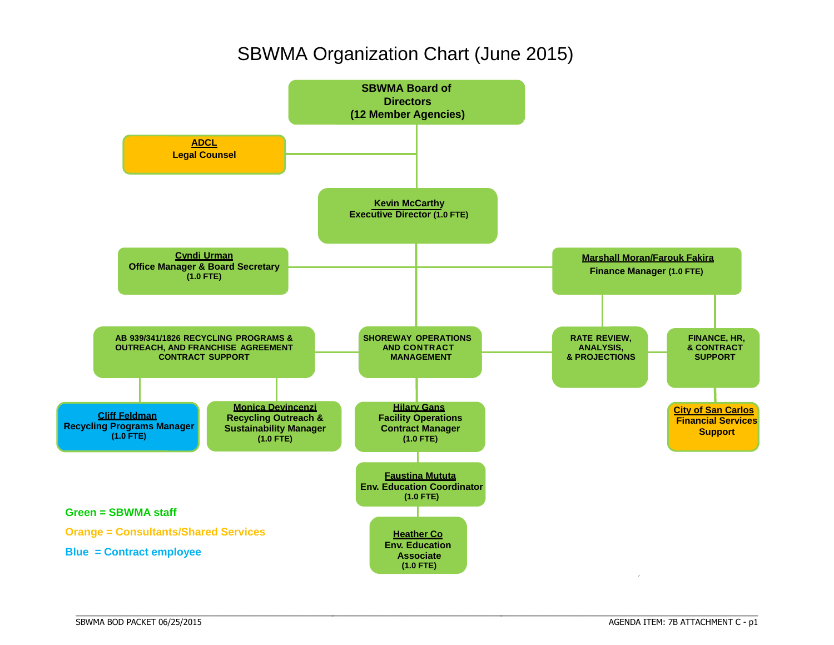# SBWMA Organization Chart (June 2015)



\_\_\_\_\_\_\_\_\_\_\_\_\_\_\_\_\_\_\_\_\_\_\_\_\_\_\_\_\_\_\_\_\_\_\_\_\_\_\_\_\_\_\_\_\_\_\_\_\_\_\_\_\_\_\_\_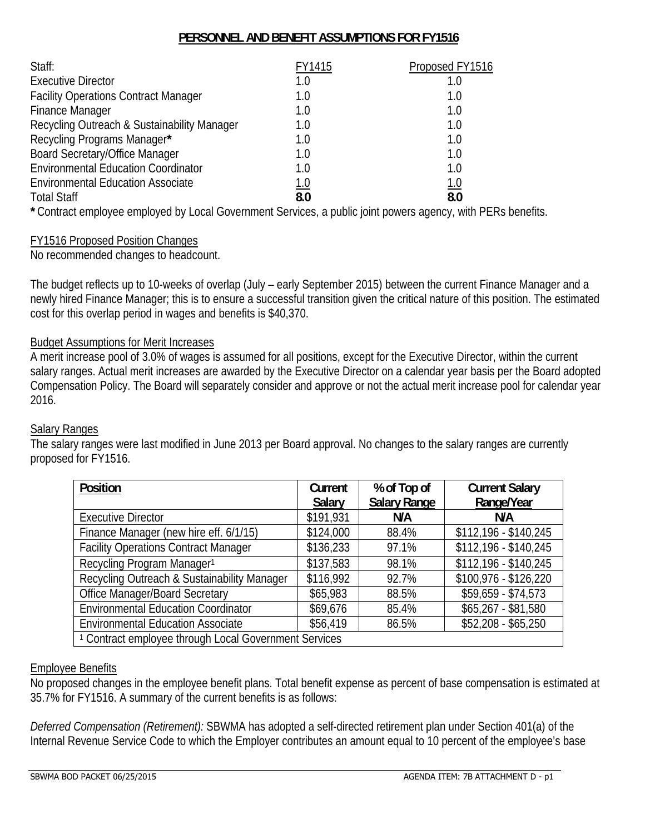### **PERSONNEL AND BENEFIT ASSUMPTIONS FOR FY1516**

| Staff:                                      | FY1415 | Proposed FY1516 |
|---------------------------------------------|--------|-----------------|
| <b>Executive Director</b>                   | 1.0    |                 |
| <b>Facility Operations Contract Manager</b> | 1.0    | 1.0             |
| <b>Finance Manager</b>                      | 1.0    | 1.0             |
| Recycling Outreach & Sustainability Manager | 1.0    | 1.0             |
| Recycling Programs Manager*                 | 1.0    | 1.0             |
| <b>Board Secretary/Office Manager</b>       | 1.0    | 1.0             |
| <b>Environmental Education Coordinator</b>  | 1.0    | 1.0             |
| <b>Environmental Education Associate</b>    | 1.0    | 1.0             |
| <b>Total Staff</b>                          | 8.0    | 8.0             |

**\*** Contract employee employed by Local Government Services, a public joint powers agency, with PERs benefits.

### FY1516 Proposed Position Changes

No recommended changes to headcount.

The budget reflects up to 10-weeks of overlap (July – early September 2015) between the current Finance Manager and a newly hired Finance Manager; this is to ensure a successful transition given the critical nature of this position. The estimated cost for this overlap period in wages and benefits is \$40,370.

### Budget Assumptions for Merit Increases

A merit increase pool of 3.0% of wages is assumed for all positions, except for the Executive Director, within the current salary ranges. Actual merit increases are awarded by the Executive Director on a calendar year basis per the Board adopted Compensation Policy. The Board will separately consider and approve or not the actual merit increase pool for calendar year 2016.

### Salary Ranges

The salary ranges were last modified in June 2013 per Board approval. No changes to the salary ranges are currently proposed for FY1516.

| Position                                                         | Current<br><b>Salary</b> | % of Top of<br><b>Salary Range</b> | <b>Current Salary</b><br>Range/Year |
|------------------------------------------------------------------|--------------------------|------------------------------------|-------------------------------------|
|                                                                  |                          |                                    |                                     |
| <b>Executive Director</b>                                        | \$191,931                | N/A                                | N/A                                 |
| Finance Manager (new hire eff. 6/1/15)                           | \$124,000                | 88.4%                              | $$112,196 - $140,245$               |
| <b>Facility Operations Contract Manager</b>                      | \$136,233                | 97.1%                              | $$112,196 - $140,245$               |
| Recycling Program Manager <sup>1</sup>                           | \$137,583                | 98.1%                              | $$112,196 - $140,245$               |
| Recycling Outreach & Sustainability Manager                      | \$116,992                | 92.7%                              | $$100,976 - $126,220$               |
| <b>Office Manager/Board Secretary</b>                            | \$65,983                 | 88.5%                              | \$59,659 - \$74,573                 |
| <b>Environmental Education Coordinator</b>                       | \$69,676                 | 85.4%                              | $$65,267 - $81,580$                 |
| <b>Environmental Education Associate</b>                         | \$56,419                 | 86.5%                              | $$52,208 - $65,250$                 |
| <sup>1</sup> Contract employee through Local Government Services |                          |                                    |                                     |

### Employee Benefits

No proposed changes in the employee benefit plans. Total benefit expense as percent of base compensation is estimated at 35.7% for FY1516. A summary of the current benefits is as follows:

*Deferred Compensation (Retirement):* SBWMA has adopted a self-directed retirement plan under Section 401(a) of the Internal Revenue Service Code to which the Employer contributes an amount equal to 10 percent of the employee's base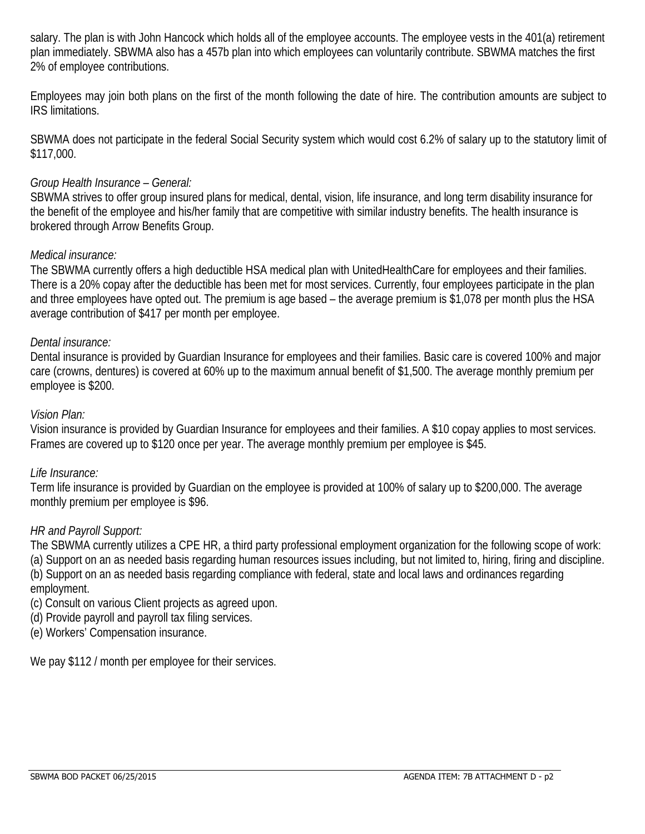salary. The plan is with John Hancock which holds all of the employee accounts. The employee vests in the 401(a) retirement plan immediately. SBWMA also has a 457b plan into which employees can voluntarily contribute. SBWMA matches the first 2% of employee contributions.

Employees may join both plans on the first of the month following the date of hire. The contribution amounts are subject to IRS limitations.

SBWMA does not participate in the federal Social Security system which would cost 6.2% of salary up to the statutory limit of \$117,000.

### *Group Health Insurance – General:*

SBWMA strives to offer group insured plans for medical, dental, vision, life insurance, and long term disability insurance for the benefit of the employee and his/her family that are competitive with similar industry benefits. The health insurance is brokered through Arrow Benefits Group.

### *Medical insurance:*

The SBWMA currently offers a high deductible HSA medical plan with UnitedHealthCare for employees and their families. There is a 20% copay after the deductible has been met for most services. Currently, four employees participate in the plan and three employees have opted out. The premium is age based – the average premium is \$1,078 per month plus the HSA average contribution of \$417 per month per employee.

### *Dental insurance:*

Dental insurance is provided by Guardian Insurance for employees and their families. Basic care is covered 100% and major care (crowns, dentures) is covered at 60% up to the maximum annual benefit of \$1,500. The average monthly premium per employee is \$200.

### *Vision Plan:*

Vision insurance is provided by Guardian Insurance for employees and their families. A \$10 copay applies to most services. Frames are covered up to \$120 once per year. The average monthly premium per employee is \$45.

### *Life Insurance:*

Term life insurance is provided by Guardian on the employee is provided at 100% of salary up to \$200,000. The average monthly premium per employee is \$96.

### *HR and Payroll Support:*

The SBWMA currently utilizes a CPE HR, a third party professional employment organization for the following scope of work: (a) Support on an as needed basis regarding human resources issues including, but not limited to, hiring, firing and discipline. (b) Support on an as needed basis regarding compliance with federal, state and local laws and ordinances regarding employment.

- (c) Consult on various Client projects as agreed upon.
- (d) Provide payroll and payroll tax filing services.
- (e) Workers' Compensation insurance.

We pay \$112 / month per employee for their services.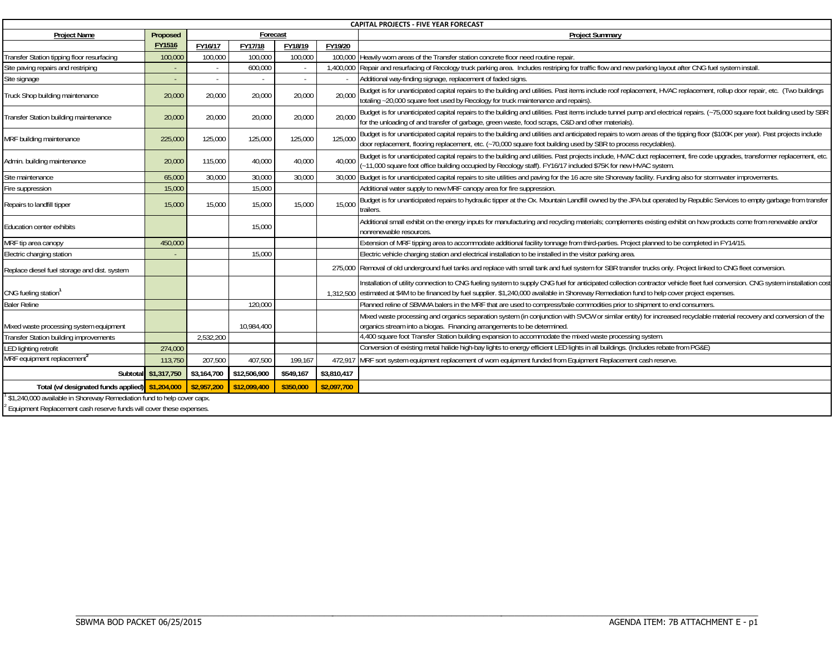|                                                                                                                                               |                      |             |              |           |             | <b>CAPITAL PROJECTS - FIVE YEAR FORECAST</b>                                                                                                                                                                                                                                                                           |
|-----------------------------------------------------------------------------------------------------------------------------------------------|----------------------|-------------|--------------|-----------|-------------|------------------------------------------------------------------------------------------------------------------------------------------------------------------------------------------------------------------------------------------------------------------------------------------------------------------------|
| <b>Project Name</b>                                                                                                                           | Proposed             |             | Forecast     |           |             | <b>Project Summary</b>                                                                                                                                                                                                                                                                                                 |
|                                                                                                                                               | <b>FY1516</b>        | FY16/17     | FY17/18      | FY18/19   | FY19/20     |                                                                                                                                                                                                                                                                                                                        |
| Transfer Station tipping floor resurfacing                                                                                                    | 100,000              | 100,000     | 100,000      | 100,000   | 100,000     | Heavily worn areas of the Transfer station concrete floor need routine repair.                                                                                                                                                                                                                                         |
| Site paving repairs and restriping                                                                                                            |                      |             | 600,000      | $\sim$    | 1,400,000   | Repair and resurfacing of Recology truck parking area. Includes restriping for traffic flow and new parking layout after CNG fuel system install.                                                                                                                                                                      |
| Site signage                                                                                                                                  |                      | $\sim$      |              | $\sim$    |             | Additional way-finding signage, replacement of faded signs.                                                                                                                                                                                                                                                            |
| Truck Shop building maintenance                                                                                                               | 20,000               | 20,000      | 20,000       | 20,000    | 20,000      | Budget is for unanticipated capital repairs to the building and utilities. Past items include roof replacement, HVAC replacement, rollup door repair, etc. (Two buildings<br>totaling ~20,000 square feet used by Recology for truck maintenance and repairs).                                                         |
| Transfer Station building maintenance                                                                                                         | 20,000               | 20,000      | 20,000       | 20,000    | 20,000      | Budget is for unanticipated capital repairs to the building and utilities. Past items include tunnel pump and electrical repairs. (~75,000 square foot building used by SBR<br>for the unloading of and transfer of garbage, green waste, food scraps, C&D and other materials).                                       |
| MRF building maintenance                                                                                                                      | 225,000              | 125,000     | 125,000      | 125,000   | 125,000     | Budget is for unanticipated capital repairs to the building and utilities and anticipated repairs to worn areas of the tipping floor (\$100K per year). Past projects include<br>door replacement, flooring replacement, etc. (~70,000 square foot building used by SBR to process recyclables).                       |
| Admin. building maintenance                                                                                                                   | 20,000               | 115,000     | 40,000       | 40,000    | 40.000      | Budget is for unanticipated capital repairs to the building and utilities. Past projects include, HVAC duct replacement, fire code upgrades, transformer replacement, etc<br>-11,000 square foot office building occupied by Recology staff). FY16/17 included \$75K for new HVAC system.                              |
| Site maintenance                                                                                                                              | 65,000               | 30.000      | 30,000       | 30,000    |             | 30,000 Budget is for unanticipated capital repairs to site utilities and paving for the 16 acre site Shoreway facility. Funding also for stormwater improvements.                                                                                                                                                      |
| Fire suppression                                                                                                                              | 15,000               |             | 15,000       |           |             | Additional water supply to new MRF canopy area for fire suppression.                                                                                                                                                                                                                                                   |
| Repairs to landfill tipper                                                                                                                    | 15,000               | 15,000      | 15,000       | 15,000    | 15,000      | Budget is for unanticipated repairs to hydraulic tipper at the Ox. Mountain Landfill owned by the JPA but operated by Republic Services to empty garbage from transfer<br>railers.                                                                                                                                     |
| <b>Education center exhibits</b>                                                                                                              |                      |             | 15,000       |           |             | Additional small exhibit on the energy inputs for manufacturing and recycling materials; complements existing exhibit on how products come from renewable and/or<br>nonrenewable resources                                                                                                                             |
| MRF tip area canopy                                                                                                                           | 450,000              |             |              |           |             | Extension of MRF tipping area to accommodate additional facility tonnage from third-parties. Project planned to be completed in FY14/15.                                                                                                                                                                               |
| Electric charging station                                                                                                                     |                      |             | 15,000       |           |             | Electric vehicle charging station and electrical installation to be installed in the visitor parking area.                                                                                                                                                                                                             |
| Replace diesel fuel storage and dist. system                                                                                                  |                      |             |              |           |             | 275,000 Removal of old underground fuel tanks and replace with small tank and fuel system for SBR transfer trucks only. Project linked to CNG fleet conversion.                                                                                                                                                        |
| CNG fueling station <sup>1</sup>                                                                                                              |                      |             |              |           | 1.312.500   | Installation of utility connection to CNG fueling system to supply CNG fuel for anticipated collection contractor vehicle fleet fuel conversion. CNG system installation cost<br>estimated at \$4M to be financed by fuel supplier. \$1,240,000 available in Shoreway Remediation fund to help cover project expenses. |
| <b>Baler Reline</b>                                                                                                                           |                      |             | 120,000      |           |             | Planned reline of SBWMA balers in the MRF that are used to compress/bale commodities prior to shipment to end consumers.                                                                                                                                                                                               |
| Mixed waste processing system equipment                                                                                                       |                      |             | 10,984,400   |           |             | Vlixed waste processing and organics separation system (in conjunction with SVCW or similar entity) for increased recyclable material recovery and conversion of the<br>prganics stream into a biogas. Financing arrangements to be determined                                                                         |
| Transfer Station building improvements                                                                                                        |                      | 2,532,200   |              |           |             | 4,400 square foot Transfer Station building expansion to accommodate the mixed waste processing system.                                                                                                                                                                                                                |
| <b>LED lighting retrofit</b>                                                                                                                  | 274,000              |             |              |           |             | Conversion of existing metal halide high-bay lights to energy efficient LED lights in all buildings. (Includes rebate from PG&E)                                                                                                                                                                                       |
| MRF equipment replacement <sup>2</sup>                                                                                                        | 113,750              | 207,500     | 407,500      | 199,167   |             | 472,917 MRF sort system equipment replacement of worn equipment funded from Equipment Replacement cash reserve.                                                                                                                                                                                                        |
|                                                                                                                                               | Subtotal \$1,317,750 | \$3,164,700 | \$12,506,900 | \$549,167 | \$3,810,417 |                                                                                                                                                                                                                                                                                                                        |
| Total (w/ designated funds applied) \$1,204,000                                                                                               |                      | \$2,957,200 | \$12,099,400 | \$350,000 | \$2,097,700 |                                                                                                                                                                                                                                                                                                                        |
| \$1,240,000 available in Shoreway Remediation fund to help cover capx.<br>Equipment Replacement cash reserve funds will cover these expenses. |                      |             |              |           |             |                                                                                                                                                                                                                                                                                                                        |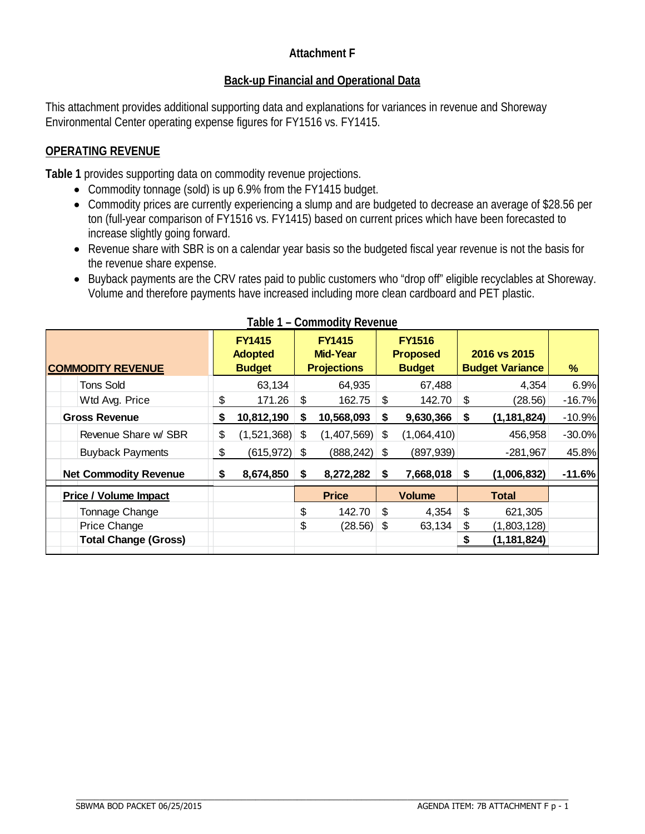### **Attachment F**

### **Back-up Financial and Operational Data**

This attachment provides additional supporting data and explanations for variances in revenue and Shoreway Environmental Center operating expense figures for FY1516 vs. FY1415.

### **OPERATING REVENUE**

**Table 1** provides supporting data on commodity revenue projections.

- Commodity tonnage (sold) is up 6.9% from the FY1415 budget.
- Commodity prices are currently experiencing a slump and are budgeted to decrease an average of \$28.56 per ton (full-year comparison of FY1516 vs. FY1415) based on current prices which have been forecasted to increase slightly going forward.
- Revenue share with SBR is on a calendar year basis so the budgeted fiscal year revenue is not the basis for the revenue share expense.
- Buyback payments are the CRV rates paid to public customers who "drop off" eligible recyclables at Shoreway. Volume and therefore payments have increased including more clean cardboard and PET plastic.

|    | $\sim$ $\sim$ $\sim$                             |    |                                  |                    |                                                     |                                |               |                                        |
|----|--------------------------------------------------|----|----------------------------------|--------------------|-----------------------------------------------------|--------------------------------|---------------|----------------------------------------|
|    | <b>FY1415</b><br><b>Adopted</b><br><b>Budget</b> |    | <b>FY1415</b><br><b>Mid-Year</b> |                    | <b>FY1516</b><br><b>Budget</b>                      |                                |               | %                                      |
|    | 63,134                                           |    | 64,935                           |                    | 67,488                                              |                                | 4,354         | 6.9%                                   |
| \$ | 171.26                                           | \$ | 162.75                           | \$                 | 142.70                                              | \$                             | (28.56)       | $-16.7%$                               |
| \$ | 10,812,190                                       | S  | 10,568,093                       | S                  | 9,630,366                                           | S                              | (1, 181, 824) | $-10.9%$                               |
| \$ |                                                  | S  |                                  |                    |                                                     |                                | 456,958       | $-30.0%$                               |
| \$ |                                                  |    |                                  |                    | (897, 939)                                          |                                | $-281,967$    | 45.8%                                  |
| S. | 8,674,850                                        | S  | 8,272,282                        | S                  | 7,668,018                                           | S                              | (1,006,832)   | $-11.6%$                               |
|    |                                                  |    | <b>Price</b>                     |                    | <b>Volume</b>                                       |                                | <b>Total</b>  |                                        |
|    |                                                  | \$ | 142.70                           | \$                 | 4,354                                               | \$                             | 621,305       |                                        |
|    |                                                  | \$ |                                  |                    | 63,134                                              | \$                             | (1,803,128)   |                                        |
|    |                                                  |    |                                  |                    |                                                     |                                | (1, 181, 824) |                                        |
|    |                                                  |    | (1,521,368)<br>$(615, 972)$ \$   | <b>Projections</b> | $(1,407,569)$ \$<br>$(888, 242)$ \$<br>$(28.56)$ \$ | <b>Proposed</b><br>(1,064,410) |               | 2016 vs 2015<br><b>Budget Variance</b> |

| Table 1 - Commodity Revenue |
|-----------------------------|
|-----------------------------|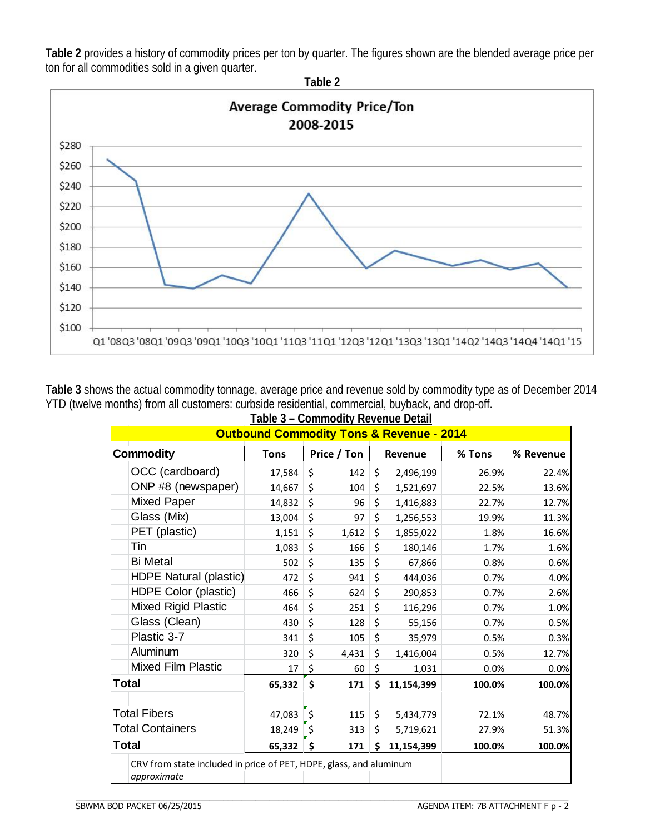**Table 2** provides a history of commodity prices per ton by quarter. The figures shown are the blended average price per ton for all commodities sold in a given quarter.



**Table 3** shows the actual commodity tonnage, average price and revenue sold by commodity type as of December 2014 YTD (twelve months) from all customers: curbside residential, commercial, buyback, and drop-off.

| Table 3 - Commodity Revenue Detail                                 |  |             |               |       |         |            |        |           |  |  |  |
|--------------------------------------------------------------------|--|-------------|---------------|-------|---------|------------|--------|-----------|--|--|--|
| <b>Outbound Commodity Tons &amp; Revenue - 2014</b>                |  |             |               |       |         |            |        |           |  |  |  |
| Commodity                                                          |  | <b>Tons</b> | Price / Ton   |       | Revenue |            | % Tons | % Revenue |  |  |  |
| OCC (cardboard)                                                    |  | 17,584      | \$            | 142   | \$      | 2,496,199  | 26.9%  | 22.4%     |  |  |  |
| ONP #8 (newspaper)                                                 |  | 14,667      | \$            | 104   | \$      | 1,521,697  | 22.5%  | 13.6%     |  |  |  |
| <b>Mixed Paper</b>                                                 |  | 14,832      | \$            | 96    | \$      | 1,416,883  | 22.7%  | 12.7%     |  |  |  |
| Glass (Mix)                                                        |  | 13,004      | \$            | 97    | \$      | 1,256,553  | 19.9%  | 11.3%     |  |  |  |
| PET (plastic)                                                      |  | 1,151       | \$            | 1,612 | \$      | 1,855,022  | 1.8%   | 16.6%     |  |  |  |
| Tin                                                                |  | 1,083       | \$            | 166   | $\zeta$ | 180,146    | 1.7%   | 1.6%      |  |  |  |
| <b>Bi Metal</b>                                                    |  | 502         | \$            | 135   | \$      | 67,866     | 0.8%   | 0.6%      |  |  |  |
| <b>HDPE Natural (plastic)</b>                                      |  | 472         | \$            | 941   | \$      | 444,036    | 0.7%   | 4.0%      |  |  |  |
| HDPE Color (plastic)                                               |  | 466         | \$            | 624   | \$      | 290,853    | 0.7%   | 2.6%      |  |  |  |
| <b>Mixed Rigid Plastic</b>                                         |  | 464         | \$            | 251   | \$      | 116,296    | 0.7%   | 1.0%      |  |  |  |
| Glass (Clean)                                                      |  | 430         | \$            | 128   | \$      | 55,156     | 0.7%   | 0.5%      |  |  |  |
| Plastic 3-7                                                        |  | 341         | \$            | 105   | \$      | 35,979     | 0.5%   | 0.3%      |  |  |  |
| Aluminum                                                           |  | 320         | \$            | 4,431 | \$      | 1,416,004  | 0.5%   | 12.7%     |  |  |  |
| <b>Mixed Film Plastic</b>                                          |  | 17          | \$            | 60    | \$      | 1,031      | 0.0%   | 0.0%      |  |  |  |
| <b>Total</b>                                                       |  | 65,332      | \$            | 171   | Ś.      | 11,154,399 | 100.0% | 100.0%    |  |  |  |
|                                                                    |  |             |               |       |         |            |        |           |  |  |  |
| <b>Total Fibers</b>                                                |  | 47,083      | $\zeta$       | 115   | \$      | 5,434,779  | 72.1%  | 48.7%     |  |  |  |
| <b>Total Containers</b>                                            |  | 18,249      | $\frac{1}{2}$ | 313   | \$      | 5,719,621  | 27.9%  | 51.3%     |  |  |  |
| <b>Total</b>                                                       |  | 65,332      | \$            | 171   | \$      | 11,154,399 | 100.0% | 100.0%    |  |  |  |
| CRV from state included in price of PET, HDPE, glass, and aluminum |  |             |               |       |         |            |        |           |  |  |  |
| approximate                                                        |  |             |               |       |         |            |        |           |  |  |  |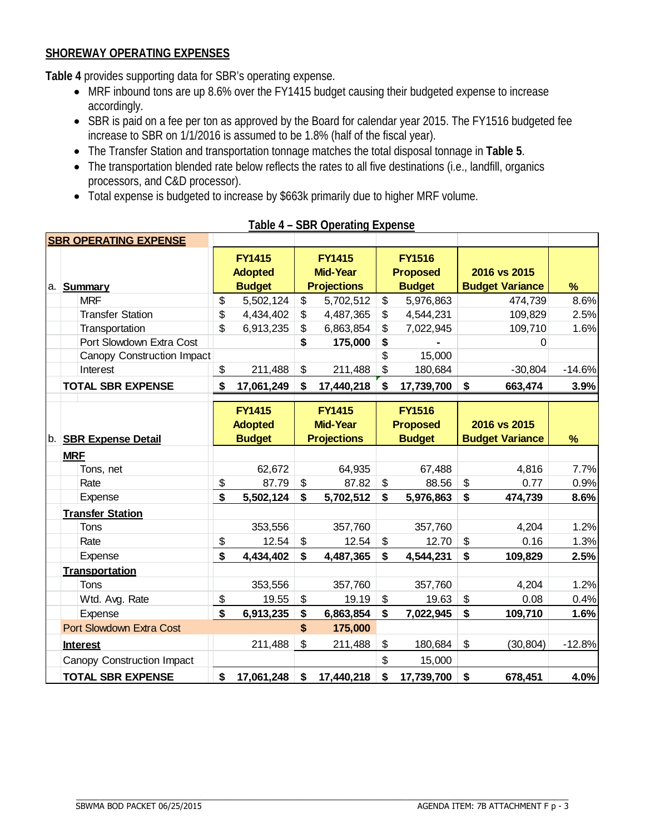### **SHOREWAY OPERATING EXPENSES**

**Table 4** provides supporting data for SBR's operating expense.

- MRF inbound tons are up 8.6% over the FY1415 budget causing their budgeted expense to increase accordingly.
- SBR is paid on a fee per ton as approved by the Board for calendar year 2015. The FY1516 budgeted fee increase to SBR on 1/1/2016 is assumed to be 1.8% (half of the fiscal year).
- The Transfer Station and transportation tonnage matches the total disposal tonnage in **Table 5**.
- The transportation blended rate below reflects the rates to all five destinations (i.e., landfill, organics processors, and C&D processor).
- Total expense is budgeted to increase by \$663k primarily due to higher MRF volume.

|                            | <b>SBR OPERATING EXPENSE</b>    |               |                                 |                    |                                  |               |                                  |                        |                        |          |
|----------------------------|---------------------------------|---------------|---------------------------------|--------------------|----------------------------------|---------------|----------------------------------|------------------------|------------------------|----------|
|                            |                                 |               | <b>FY1415</b><br><b>Adopted</b> |                    | <b>FY1415</b><br><b>Mid-Year</b> |               | <b>FY1516</b><br><b>Proposed</b> |                        | 2016 vs 2015           |          |
| a.                         | <b>Summary</b>                  |               | <b>Budget</b>                   |                    | <b>Projections</b>               |               | <b>Budget</b>                    |                        | <b>Budget Variance</b> | %        |
|                            | <b>MRF</b>                      | \$            | 5,502,124                       | \$                 | 5,702,512                        | \$            | 5,976,863                        |                        | 474,739                | 8.6%     |
|                            | <b>Transfer Station</b>         | \$            | 4,434,402                       | \$                 | 4,487,365                        | \$            | 4,544,231                        |                        | 109,829                | 2.5%     |
|                            | Transportation                  | \$            | 6,913,235                       | \$                 | 6,863,854                        | \$            | 7,022,945                        |                        | 109,710                | 1.6%     |
|                            | Port Slowdown Extra Cost        |               |                                 | \$                 | 175,000                          | \$            |                                  |                        | 0                      |          |
|                            | Canopy Construction Impact      |               |                                 |                    |                                  | \$            | 15,000                           |                        |                        |          |
|                            | Interest                        | \$            | 211,488                         | \$                 | 211,488                          | \$            | 180,684                          |                        | $-30,804$              | $-14.6%$ |
|                            | <b>TOTAL SBR EXPENSE</b>        | \$            | 17,061,249                      | \$                 | 17,440,218                       | \$            | 17,739,700                       | \$                     | 663,474                | 3.9%     |
|                            |                                 |               | <b>FY1415</b><br><b>Adopted</b> |                    | <b>FY1415</b><br><b>Mid-Year</b> |               | <b>FY1516</b><br><b>Proposed</b> |                        | 2016 vs 2015           |          |
|                            | b. SBR Expense Detail           | <b>Budget</b> |                                 | <b>Projections</b> |                                  | <b>Budget</b> |                                  | <b>Budget Variance</b> |                        | %        |
|                            | <b>MRF</b>                      |               |                                 |                    |                                  |               |                                  |                        |                        |          |
|                            | Tons, net                       |               | 62,672                          |                    | 64,935                           |               | 67,488                           |                        | 4,816                  | 7.7%     |
|                            | Rate                            | \$            | 87.79                           | \$                 | 87.82                            | \$            | 88.56                            | \$                     | 0.77                   | 0.9%     |
|                            | Expense                         | \$            | 5,502,124                       | \$                 | 5,702,512                        | \$            | 5,976,863                        | \$                     | 474,739                | 8.6%     |
|                            | <b>Transfer Station</b>         |               |                                 |                    |                                  |               |                                  |                        |                        |          |
|                            | Tons                            |               | 353,556                         |                    | 357,760                          |               | 357,760                          |                        | 4,204                  | 1.2%     |
|                            | Rate                            | \$            | 12.54                           | \$                 | 12.54                            | \$            | 12.70                            | \$                     | 0.16                   | 1.3%     |
|                            | Expense                         | \$            | 4,434,402                       | \$                 | 4,487,365                        | \$            | 4,544,231                        | \$                     | 109,829                | 2.5%     |
|                            | Transportation                  |               |                                 |                    |                                  |               |                                  |                        |                        |          |
|                            | Tons                            |               | 353,556                         |                    | 357,760                          |               | 357,760                          |                        | 4,204                  | 1.2%     |
|                            | Wtd. Avg. Rate                  | \$            | 19.55                           | \$                 | 19.19                            | \$            | 19.63                            | \$                     | 0.08                   | 0.4%     |
|                            | Expense                         | \$            | 6,913,235                       | \$                 | 6,863,854                        | \$            | 7,022,945                        | \$                     | 109,710                | 1.6%     |
|                            | <b>Port Slowdown Extra Cost</b> |               |                                 | \$                 | 175,000                          |               |                                  |                        |                        |          |
|                            | <b>Interest</b>                 |               | 211,488                         | \$                 | 211,488                          | \$            | 180,684                          | $\$\$                  | (30, 804)              | $-12.8%$ |
| Canopy Construction Impact |                                 |               |                                 |                    |                                  | \$            | 15,000                           |                        |                        |          |
| <b>TOTAL SBR EXPENSE</b>   |                                 | \$            | 17,061,248                      | \$                 | 17,440,218                       | \$            | 17,739,700                       | \$                     | 678,451                | 4.0%     |

 $\_$  , and the set of the set of the set of the set of the set of the set of the set of the set of the set of the set of the set of the set of the set of the set of the set of the set of the set of the set of the set of th

**Table 4 – SBR Operating Expense**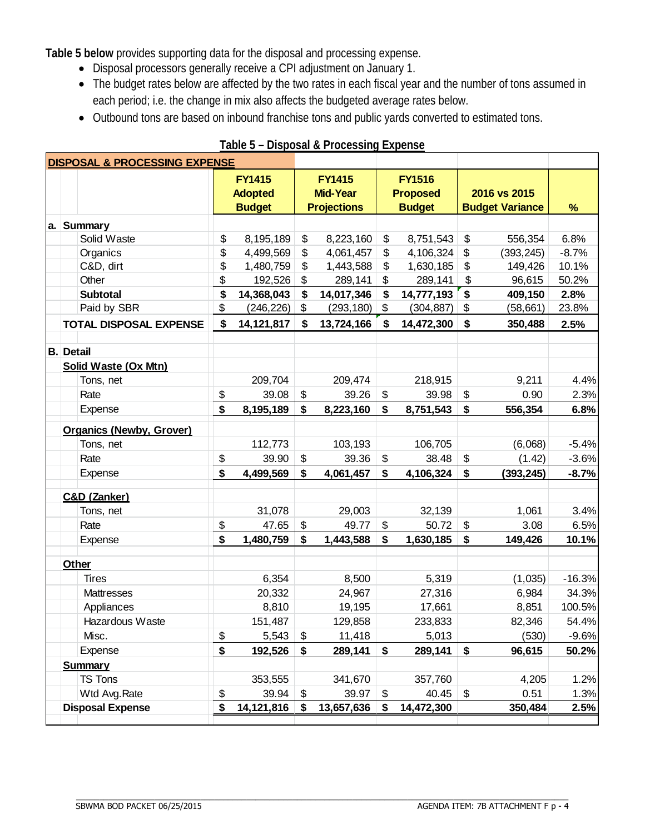**Table 5 below** provides supporting data for the disposal and processing expense.

- Disposal processors generally receive a CPI adjustment on January 1.
- The budget rates below are affected by the two rates in each fiscal year and the number of tons assumed in each period; i.e. the change in mix also affects the budgeted average rates below.
- Outbound tons are based on inbound franchise tons and public yards converted to estimated tons.

| <b>DISPOSAL &amp; PROCESSING EXPENSE</b> |                  |                                 |    |                 |                    |                 |               |                           |                        |          |
|------------------------------------------|------------------|---------------------------------|----|-----------------|--------------------|-----------------|---------------|---------------------------|------------------------|----------|
|                                          |                  |                                 |    | <b>FY1415</b>   | <b>FY1415</b>      | <b>FY1516</b>   |               |                           |                        |          |
|                                          |                  | <b>Adopted</b>                  |    | <b>Mid-Year</b> |                    | <b>Proposed</b> |               | 2016 vs 2015              |                        |          |
|                                          |                  |                                 |    | <b>Budget</b>   | <b>Projections</b> |                 | <b>Budget</b> |                           | <b>Budget Variance</b> | %        |
|                                          |                  | a. Summary                      |    |                 |                    |                 |               |                           |                        |          |
|                                          |                  | Solid Waste                     | \$ | 8,195,189       | \$<br>8,223,160    | \$              | 8,751,543     | \$                        | 556,354                | 6.8%     |
|                                          |                  | Organics                        | \$ | 4,499,569       | \$<br>4,061,457    | \$              | 4,106,324     | $\boldsymbol{\mathsf{S}}$ | (393, 245)             | $-8.7%$  |
|                                          |                  | C&D, dirt                       | \$ | 1,480,759       | \$<br>1,443,588    | \$              | 1,630,185     | \$                        | 149,426                | 10.1%    |
|                                          |                  | Other                           | \$ | 192,526         | \$<br>289,141      | \$              | 289,141       | \$                        | 96,615                 | 50.2%    |
|                                          |                  | <b>Subtotal</b>                 | \$ | 14,368,043      | \$<br>14,017,346   | \$              | 14,777,193    | \$                        | 409,150                | 2.8%     |
|                                          |                  | Paid by SBR                     | \$ | (246, 226)      | \$<br>(293,180)    | \$              | (304, 887)    | \$                        | (58, 661)              | 23.8%    |
|                                          |                  | <b>TOTAL DISPOSAL EXPENSE</b>   | \$ | 14, 121, 817    | \$<br>13,724,166   | \$              | 14,472,300    | \$                        | 350,488                | 2.5%     |
|                                          |                  |                                 |    |                 |                    |                 |               |                           |                        |          |
|                                          | <b>B.</b> Detail |                                 |    |                 |                    |                 |               |                           |                        |          |
|                                          |                  | Solid Waste (Ox Mtn)            |    |                 |                    |                 |               |                           |                        |          |
|                                          |                  | Tons, net                       |    | 209,704         | 209,474            |                 | 218,915       |                           | 9,211                  | 4.4%     |
|                                          |                  | Rate                            | \$ | 39.08           | \$<br>39.26        | \$              | 39.98         | \$                        | 0.90                   | 2.3%     |
|                                          |                  | Expense                         | \$ | 8,195,189       | \$<br>8,223,160    | \$              | 8,751,543     | \$                        | 556,354                | 6.8%     |
|                                          |                  | <b>Organics (Newby, Grover)</b> |    |                 |                    |                 |               |                           |                        |          |
|                                          |                  | Tons, net                       |    | 112,773         | 103,193            |                 | 106,705       |                           | (6,068)                | $-5.4%$  |
|                                          |                  | Rate                            | \$ | 39.90           | \$<br>39.36        | \$              | 38.48         | \$                        | (1.42)                 | $-3.6%$  |
|                                          |                  | Expense                         | \$ | 4,499,569       | \$<br>4,061,457    | \$              | 4,106,324     | \$                        | (393, 245)             | $-8.7%$  |
|                                          |                  | C&D (Zanker)                    |    |                 |                    |                 |               |                           |                        |          |
|                                          |                  | Tons, net                       |    | 31,078          | 29,003             |                 | 32,139        |                           | 1,061                  | 3.4%     |
|                                          |                  | Rate                            | \$ | 47.65           | \$<br>49.77        | \$              | 50.72         | \$                        | 3.08                   | 6.5%     |
|                                          |                  | Expense                         | \$ | 1,480,759       | \$<br>1,443,588    | \$              | 1,630,185     | \$                        | 149,426                | 10.1%    |
|                                          |                  |                                 |    |                 |                    |                 |               |                           |                        |          |
|                                          | <b>Other</b>     |                                 |    |                 |                    |                 |               |                           |                        |          |
|                                          |                  | <b>Tires</b>                    |    | 6,354           | 8,500              |                 | 5,319         |                           | (1,035)                | $-16.3%$ |
|                                          |                  | Mattresses                      |    | 20,332          | 24,967             |                 | 27,316        |                           | 6,984                  | 34.3%    |
|                                          |                  | Appliances                      |    | 8,810           | 19,195             |                 | 17,661        |                           | 8,851                  | 100.5%   |
|                                          |                  | Hazardous Waste                 |    | 151,487         | 129,858            |                 | 233,833       |                           | 82,346                 | 54.4%    |
|                                          |                  | Misc.                           | \$ | 5,543           | \$<br>11,418       |                 | 5,013         |                           | (530)                  | $-9.6%$  |
|                                          |                  | Expense                         | \$ | 192,526         | \$<br>289,141      | \$              | 289,141       | \$                        | 96,615                 | 50.2%    |
|                                          |                  | <b>Summary</b>                  |    |                 |                    |                 |               |                           |                        |          |
|                                          |                  | TS Tons                         |    | 353,555         | 341,670            |                 | 357,760       |                           | 4,205                  | 1.2%     |
|                                          |                  | Wtd Avg.Rate                    | \$ | 39.94           | \$<br>39.97        | \$              | 40.45         | \$                        | 0.51                   | 1.3%     |
|                                          |                  | <b>Disposal Expense</b>         | \$ | 14,121,816      | \$<br>13,657,636   | \$              | 14,472,300    |                           | 350,484                | 2.5%     |
|                                          |                  |                                 |    |                 |                    |                 |               |                           |                        |          |

 $\_$  , and the set of the set of the set of the set of the set of the set of the set of the set of the set of the set of the set of the set of the set of the set of the set of the set of the set of the set of the set of th

**Table 5 – Disposal & Processing Expense**